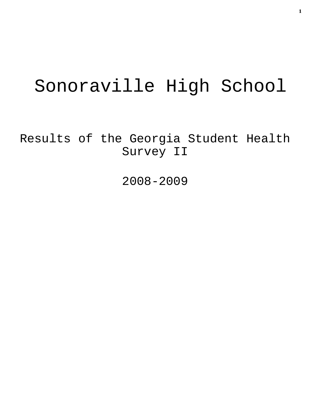# Sonoraville High School

Results of the Georgia Student Health Survey II

2008-2009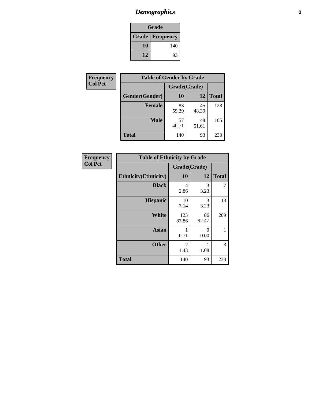# *Demographics* **2**

| Grade |                          |  |  |
|-------|--------------------------|--|--|
|       | <b>Grade   Frequency</b> |  |  |
| 10    | 140                      |  |  |
| 12    | 93                       |  |  |

| <b>Frequency</b> | <b>Table of Gender by Grade</b> |              |             |              |  |
|------------------|---------------------------------|--------------|-------------|--------------|--|
| <b>Col Pct</b>   |                                 | Grade(Grade) |             |              |  |
|                  | Gender(Gender)                  | 10           | 12          | <b>Total</b> |  |
|                  | <b>Female</b>                   | 83<br>59.29  | 45<br>48.39 | 128          |  |
|                  | <b>Male</b>                     | 57<br>40.71  | 48<br>51.61 | 105          |  |
|                  | <b>Total</b>                    | 140          | 93          | 233          |  |

| <b>Frequency</b> |  |
|------------------|--|
| <b>Col Pct</b>   |  |

| <b>Table of Ethnicity by Grade</b> |              |             |              |  |  |  |
|------------------------------------|--------------|-------------|--------------|--|--|--|
|                                    | Grade(Grade) |             |              |  |  |  |
| <b>Ethnicity</b> (Ethnicity)       | 10           | 12          | <b>Total</b> |  |  |  |
| <b>Black</b>                       | 4<br>2.86    | 3<br>3.23   | 7            |  |  |  |
| <b>Hispanic</b>                    | 10<br>7.14   | 3<br>3.23   | 13           |  |  |  |
| <b>White</b>                       | 123<br>87.86 | 86<br>92.47 | 209          |  |  |  |
| <b>Asian</b>                       | 1<br>0.71    | 0<br>0.00   | 1            |  |  |  |
| <b>Other</b>                       | 2<br>1.43    | 1<br>1.08   | 3            |  |  |  |
| <b>Total</b>                       | 140          | 93          | 233          |  |  |  |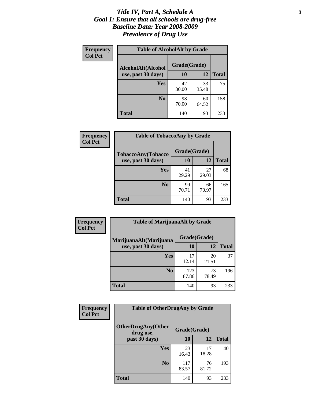### *Title IV, Part A, Schedule A* **3** *Goal 1: Ensure that all schools are drug-free Baseline Data: Year 2008-2009 Prevalence of Drug Use*

| Frequency<br><b>Col Pct</b> | <b>Table of AlcoholAlt by Grade</b> |              |             |              |  |  |
|-----------------------------|-------------------------------------|--------------|-------------|--------------|--|--|
|                             | AlcoholAlt(Alcohol                  | Grade(Grade) |             |              |  |  |
|                             | use, past 30 days)                  | 10           | 12          | <b>Total</b> |  |  |
|                             | Yes                                 | 42<br>30.00  | 33<br>35.48 | 75           |  |  |
|                             | N <sub>0</sub>                      | 98<br>70.00  | 60<br>64.52 | 158          |  |  |
|                             | <b>Total</b>                        | 140          | 93          | 233          |  |  |

| Frequency<br><b>Col Pct</b> | <b>Table of TobaccoAny by Grade</b> |              |             |              |  |
|-----------------------------|-------------------------------------|--------------|-------------|--------------|--|
|                             | TobaccoAny(Tobacco                  | Grade(Grade) |             |              |  |
|                             | use, past 30 days)                  | 10           | 12          | <b>Total</b> |  |
|                             | Yes                                 | 41<br>29.29  | 27<br>29.03 | 68           |  |
|                             | N <sub>0</sub>                      | 99<br>70.71  | 66<br>70.97 | 165          |  |
|                             | Total                               | 140          | 93          | 233          |  |

| Frequency<br><b>Col Pct</b> | <b>Table of MarijuanaAlt by Grade</b> |              |             |              |  |
|-----------------------------|---------------------------------------|--------------|-------------|--------------|--|
|                             | MarijuanaAlt(Marijuana                | Grade(Grade) |             |              |  |
|                             | use, past 30 days)                    | <b>10</b>    | 12          | <b>Total</b> |  |
|                             | <b>Yes</b>                            | 17<br>12.14  | 20<br>21.51 | 37           |  |
|                             | N <sub>0</sub>                        | 123<br>87.86 | 73<br>78.49 | 196          |  |
|                             | <b>Total</b>                          | 140          | 93          | 233          |  |

| Frequency      | <b>Table of OtherDrugAny by Grade</b>  |              |             |              |  |
|----------------|----------------------------------------|--------------|-------------|--------------|--|
| <b>Col Pct</b> | <b>OtherDrugAny(Other</b><br>drug use, | Grade(Grade) |             |              |  |
|                | past 30 days)                          | 10           | 12          | <b>Total</b> |  |
|                | <b>Yes</b>                             | 23<br>16.43  | 17<br>18.28 | 40           |  |
|                | N <sub>0</sub>                         | 117<br>83.57 | 76<br>81.72 | 193          |  |
|                | <b>Total</b>                           | 140          | 93          | 233          |  |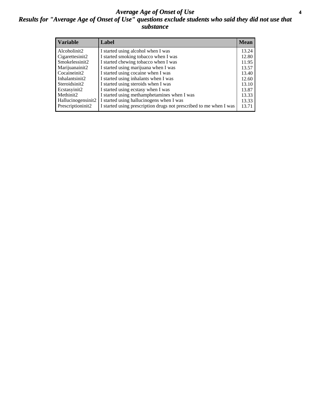### *Average Age of Onset of Use* **4** *Results for "Average Age of Onset of Use" questions exclude students who said they did not use that substance*

| <b>Variable</b>       | Label                                                              | <b>Mean</b> |
|-----------------------|--------------------------------------------------------------------|-------------|
| Alcoholinit2          | I started using alcohol when I was                                 | 13.24       |
| Cigarettesinit2       | I started smoking tobacco when I was                               | 12.80       |
| Smokelessinit2        | I started chewing tobacco when I was                               | 11.95       |
| Marijuanainit2        | I started using marijuana when I was                               | 13.57       |
| Cocaineinit2          | I started using cocaine when I was                                 | 13.40       |
| Inhalantsinit2        | I started using inhalants when I was                               | 12.60       |
| Steroidsinit2         | I started using steroids when I was                                | 13.10       |
| Ecstasyinit2          | I started using ecstasy when I was                                 | 13.87       |
| Methinit <sub>2</sub> | I started using methamphetamines when I was                        | 13.33       |
| Hallucinogensinit2    | I started using hallucinogens when I was                           | 13.33       |
| Prescriptioninit2     | I started using prescription drugs not prescribed to me when I was | 13.71       |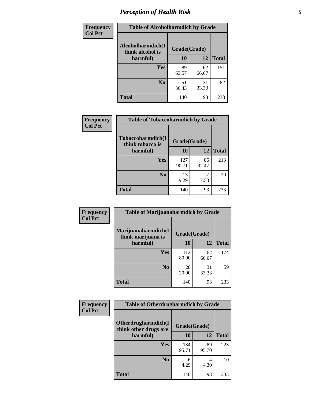# *Perception of Health Risk* **5**

| Frequency      | <b>Table of Alcoholharmdich by Grade</b> |              |             |              |  |
|----------------|------------------------------------------|--------------|-------------|--------------|--|
| <b>Col Pct</b> | Alcoholharmdich(I<br>think alcohol is    | Grade(Grade) |             |              |  |
|                | harmful)                                 | 10           | 12          | <b>Total</b> |  |
|                | <b>Yes</b>                               | 89<br>63.57  | 62<br>66.67 | 151          |  |
|                | N <sub>0</sub>                           | 51<br>36.43  | 31<br>33.33 | 82           |  |
|                | <b>Total</b>                             | 140          | 93          | 233          |  |

| Frequency<br><b>Col Pct</b> | <b>Table of Tobaccoharmdich by Grade</b> |              |             |              |  |
|-----------------------------|------------------------------------------|--------------|-------------|--------------|--|
|                             | Tobaccoharmdich(I<br>think tobacco is    | Grade(Grade) |             |              |  |
|                             | harmful)                                 | 10           | 12          | <b>Total</b> |  |
|                             | Yes                                      | 127<br>90.71 | 86<br>92.47 | 213          |  |
|                             | N <sub>0</sub>                           | 13<br>9.29   | 7<br>7.53   | 20           |  |
|                             | <b>Total</b>                             | 140          | 93          | 233          |  |

| <b>Frequency</b> | <b>Table of Marijuanaharmdich by Grade</b> |              |             |              |  |
|------------------|--------------------------------------------|--------------|-------------|--------------|--|
| <b>Col Pct</b>   | Marijuanaharmdich(I<br>think marijuana is  | Grade(Grade) |             |              |  |
|                  | harmful)                                   | 10           | 12          | <b>Total</b> |  |
|                  | Yes                                        | 112<br>80.00 | 62<br>66.67 | 174          |  |
|                  | N <sub>0</sub>                             | 28<br>20.00  | 31<br>33.33 | 59           |  |
|                  | <b>Total</b>                               | 140          | 93          | 233          |  |

| <b>Frequency</b> | <b>Table of Otherdrugharmdich by Grade</b>   |              |             |              |  |  |  |  |
|------------------|----------------------------------------------|--------------|-------------|--------------|--|--|--|--|
| <b>Col Pct</b>   | Otherdrugharmdich(I<br>think other drugs are | Grade(Grade) |             |              |  |  |  |  |
|                  | harmful)                                     | 10           | 12          | <b>Total</b> |  |  |  |  |
|                  | <b>Yes</b>                                   | 134<br>95.71 | 89<br>95.70 | 223          |  |  |  |  |
|                  | N <sub>0</sub>                               | 6<br>4.29    | 4<br>4.30   | 10           |  |  |  |  |
|                  | <b>Total</b>                                 | 140          | 93          | 233          |  |  |  |  |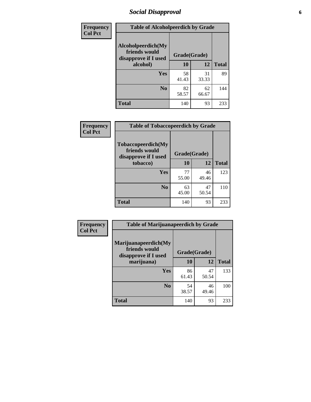# *Social Disapproval* **6**

| Frequency      | <b>Table of Alcoholpeerdich by Grade</b>                    |              |             |              |
|----------------|-------------------------------------------------------------|--------------|-------------|--------------|
| <b>Col Pct</b> | Alcoholpeerdich(My<br>friends would<br>disapprove if I used | Grade(Grade) |             |              |
|                | alcohol)                                                    | 10           | 12          | <b>Total</b> |
|                | <b>Yes</b>                                                  | 58<br>41.43  | 31<br>33.33 | 89           |
|                | N <sub>0</sub>                                              | 82<br>58.57  | 62<br>66.67 | 144          |
|                | Total                                                       | 140          | 93          | 233          |

| <b>Frequency</b> |
|------------------|
| <b>Col Pct</b>   |

| <b>Table of Tobaccopeerdich by Grade</b>                    |              |             |              |  |  |  |  |
|-------------------------------------------------------------|--------------|-------------|--------------|--|--|--|--|
| Tobaccopeerdich(My<br>friends would<br>disapprove if I used | Grade(Grade) |             |              |  |  |  |  |
| tobacco)                                                    | 10           | 12          | <b>Total</b> |  |  |  |  |
| Yes                                                         | 77<br>55.00  | 46<br>49.46 | 123          |  |  |  |  |
| N <sub>0</sub>                                              | 63<br>45.00  | 47<br>50.54 | 110          |  |  |  |  |
| <b>Total</b>                                                | 140          | 93          | 233          |  |  |  |  |

| Frequency      | <b>Table of Marijuanapeerdich by Grade</b>                    |              |             |              |  |  |  |  |
|----------------|---------------------------------------------------------------|--------------|-------------|--------------|--|--|--|--|
| <b>Col Pct</b> | Marijuanapeerdich(My<br>friends would<br>disapprove if I used | Grade(Grade) |             |              |  |  |  |  |
|                | marijuana)                                                    | 10           | 12          | <b>Total</b> |  |  |  |  |
|                | <b>Yes</b>                                                    | 86<br>61.43  | 47<br>50.54 | 133          |  |  |  |  |
|                | N <sub>0</sub>                                                | 54<br>38.57  | 46<br>49.46 | 100          |  |  |  |  |
|                | <b>Total</b>                                                  | 140          | 93          | 233          |  |  |  |  |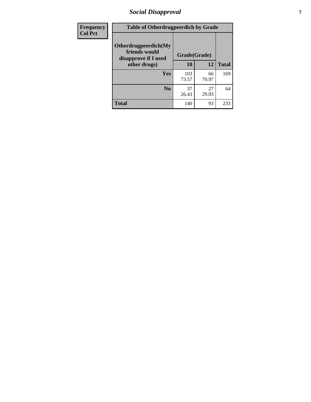# *Social Disapproval* **7**

| Frequency      | <b>Table of Otherdrugpeerdich by Grade</b>                    |              |             |              |  |  |  |  |
|----------------|---------------------------------------------------------------|--------------|-------------|--------------|--|--|--|--|
| <b>Col Pct</b> | Otherdrugpeerdich(My<br>friends would<br>disapprove if I used | Grade(Grade) |             |              |  |  |  |  |
|                | other drugs)                                                  | 10           | 12          | <b>Total</b> |  |  |  |  |
|                | Yes                                                           | 103<br>73.57 | 66<br>70.97 | 169          |  |  |  |  |
|                | N <sub>0</sub>                                                | 37<br>26.43  | 27<br>29.03 | 64           |  |  |  |  |
|                | <b>Total</b>                                                  | 140          | 93          | 233          |  |  |  |  |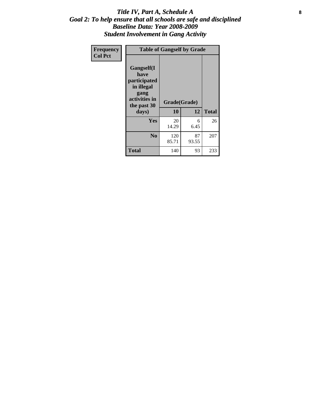### Title IV, Part A, Schedule A **8** *Goal 2: To help ensure that all schools are safe and disciplined Baseline Data: Year 2008-2009 Student Involvement in Gang Activity*

| Frequency      | <b>Table of Gangself by Grade</b>                                                                 |                    |             |              |
|----------------|---------------------------------------------------------------------------------------------------|--------------------|-------------|--------------|
| <b>Col Pct</b> | Gangself(I<br>have<br>participated<br>in illegal<br>gang<br>activities in<br>the past 30<br>days) | Grade(Grade)<br>10 | 12          | <b>Total</b> |
|                | Yes                                                                                               | 20<br>14.29        | 6<br>6.45   | 26           |
|                | N <sub>0</sub>                                                                                    | 120<br>85.71       | 87<br>93.55 | 207          |
|                | <b>Total</b>                                                                                      | 140                | 93          | 233          |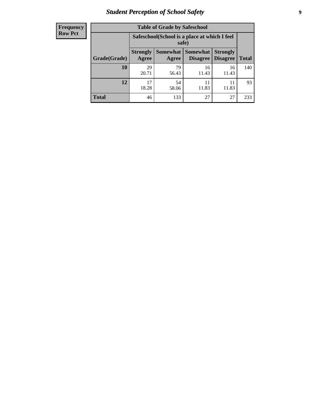# *Student Perception of School Safety* **9**

| <b>Frequency</b><br>Row Pct |
|-----------------------------|
|                             |

| <b>Table of Grade by Safeschool</b> |                                                        |                     |                             |                                    |              |  |  |
|-------------------------------------|--------------------------------------------------------|---------------------|-----------------------------|------------------------------------|--------------|--|--|
|                                     | Safeschool (School is a place at which I feel<br>safe) |                     |                             |                                    |              |  |  |
| Grade(Grade)                        | <b>Strongly</b><br>Agree                               | Somewhat  <br>Agree | <b>Somewhat</b><br>Disagree | <b>Strongly</b><br><b>Disagree</b> | <b>Total</b> |  |  |
| 10                                  | 29<br>20.71                                            | 79<br>56.43         | 16<br>11.43                 | 16<br>11.43                        | 140          |  |  |
| 12                                  | 17<br>18.28                                            | 54<br>58.06         | 11<br>11.83                 | 11<br>11.83                        | 93           |  |  |
| <b>Total</b>                        | 46                                                     | 133                 | 27                          | 27                                 | 233          |  |  |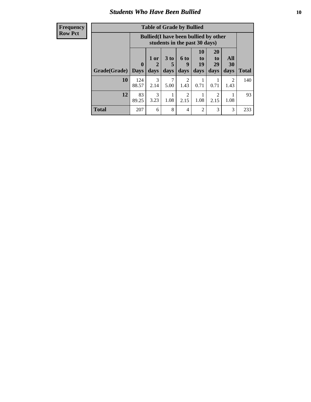### *Students Who Have Been Bullied* **10**

| <b>Frequency</b> |
|------------------|
| Row Pct          |

| <b>Table of Grade by Bullied</b> |              |                                                                               |                              |                        |                         |                        |                          |              |
|----------------------------------|--------------|-------------------------------------------------------------------------------|------------------------------|------------------------|-------------------------|------------------------|--------------------------|--------------|
|                                  |              | <b>Bullied</b> (I have been bullied by other<br>students in the past 30 days) |                              |                        |                         |                        |                          |              |
| <b>Grade</b> (Grade)   Days      | $\bf{0}$     | 1 or<br>2<br>days                                                             | 3 <sub>to</sub><br>5<br>days | 6 to<br>9<br>days      | 10<br>to.<br>19<br>days | 20<br>to<br>29<br>days | All<br><b>30</b><br>days | <b>Total</b> |
| 10                               | 124<br>88.57 | 3<br>2.14                                                                     | 7<br>5.00                    | $\overline{2}$<br>1.43 | 0.71                    | 0.71                   | $\mathfrak{D}$<br>1.43   | 140          |
| 12                               | 83<br>89.25  | 3<br>3.23                                                                     | 1.08                         | 2<br>2.15              | 1.08                    | 2<br>2.15              | 1.08                     | 93           |
| <b>Total</b>                     | 207          | 6                                                                             | 8                            | $\overline{4}$         | 2                       | 3                      | 3                        | 233          |

 $\blacksquare$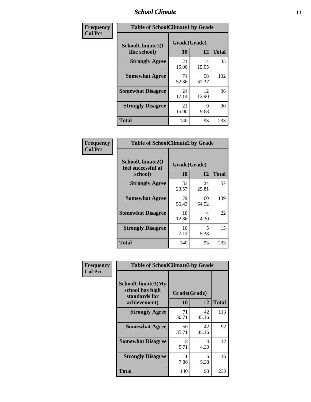### *School Climate* **11**

| Frequency      | <b>Table of SchoolClimate1 by Grade</b> |                    |             |              |  |  |  |
|----------------|-----------------------------------------|--------------------|-------------|--------------|--|--|--|
| <b>Col Pct</b> | SchoolClimate1(I<br>like school)        | Grade(Grade)<br>10 | 12          | <b>Total</b> |  |  |  |
|                | <b>Strongly Agree</b>                   | 21<br>15.00        | 14<br>15.05 | 35           |  |  |  |
|                | <b>Somewhat Agree</b>                   | 74<br>52.86        | 58<br>62.37 | 132          |  |  |  |
|                | <b>Somewhat Disagree</b>                | 24<br>17.14        | 12<br>12.90 | 36           |  |  |  |
|                | <b>Strongly Disagree</b>                | 21<br>15.00        | 9<br>9.68   | 30           |  |  |  |
|                | <b>Total</b>                            | 140                | 93          | 233          |  |  |  |

| <b>Frequency</b> |  |
|------------------|--|
| <b>Col Pct</b>   |  |

| <b>Table of SchoolClimate2 by Grade</b>           |                    |             |              |  |
|---------------------------------------------------|--------------------|-------------|--------------|--|
| SchoolClimate2(I<br>feel successful at<br>school) | Grade(Grade)<br>10 | 12          | <b>Total</b> |  |
| <b>Strongly Agree</b>                             | 33<br>23.57        | 24<br>25.81 | 57           |  |
| <b>Somewhat Agree</b>                             | 79<br>56.43        | 60<br>64.52 | 139          |  |
| <b>Somewhat Disagree</b>                          | 18<br>12.86        | 4<br>4.30   | 22           |  |
| <b>Strongly Disagree</b>                          | 10<br>7.14         | 5<br>5.38   | 15           |  |
| Total                                             | 140                | 93          | 233          |  |

| Frequency      | <b>Table of SchoolClimate3 by Grade</b>                                      |             |                    |              |
|----------------|------------------------------------------------------------------------------|-------------|--------------------|--------------|
| <b>Col Pct</b> | <b>SchoolClimate3(My</b><br>school has high<br>standards for<br>achievement) | 10          | Grade(Grade)<br>12 | <b>Total</b> |
|                |                                                                              |             |                    |              |
|                | <b>Strongly Agree</b>                                                        | 71<br>50.71 | 42<br>45.16        | 113          |
|                | <b>Somewhat Agree</b>                                                        | 50<br>35.71 | 42<br>45.16        | 92           |
|                | <b>Somewhat Disagree</b>                                                     | 8<br>5.71   | 4<br>4.30          | 12           |
|                | <b>Strongly Disagree</b>                                                     | 11<br>7.86  | 5<br>5.38          | 16           |
|                | Total                                                                        | 140         | 93                 | 233          |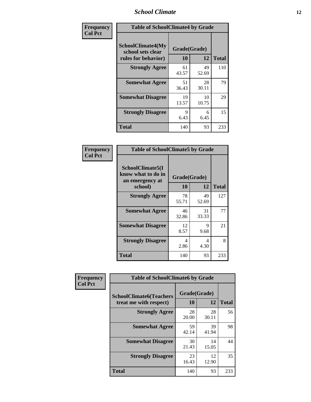### *School Climate* **12**

| Frequency      | <b>Table of SchoolClimate4 by Grade</b>                       |                    |             |              |
|----------------|---------------------------------------------------------------|--------------------|-------------|--------------|
| <b>Col Pct</b> | SchoolClimate4(My<br>school sets clear<br>rules for behavior) | Grade(Grade)<br>10 | 12          | <b>Total</b> |
|                | <b>Strongly Agree</b>                                         | 61<br>43.57        | 49<br>52.69 | 110          |
|                | <b>Somewhat Agree</b>                                         | 51<br>36.43        | 28<br>30.11 | 79           |
|                | <b>Somewhat Disagree</b>                                      | 19<br>13.57        | 10<br>10.75 | 29           |
|                | <b>Strongly Disagree</b>                                      | 9<br>6.43          | 6<br>6.45   | 15           |
|                | <b>Total</b>                                                  | 140                | 93          | 233          |

| <b>Table of SchoolClimate5 by Grade</b>                              |                    |             |              |  |  |
|----------------------------------------------------------------------|--------------------|-------------|--------------|--|--|
| SchoolClimate5(I<br>know what to do in<br>an emergency at<br>school) | Grade(Grade)<br>10 | 12          | <b>Total</b> |  |  |
| <b>Strongly Agree</b>                                                | 78<br>55.71        | 49<br>52.69 | 127          |  |  |
| <b>Somewhat Agree</b>                                                | 46<br>32.86        | 31<br>33.33 | 77           |  |  |
| <b>Somewhat Disagree</b>                                             | 12<br>8.57         | 9<br>9.68   | 21           |  |  |
| <b>Strongly Disagree</b>                                             | 4<br>2.86          | 4<br>4.30   | 8            |  |  |
| Total                                                                | 140                | 93          | 233          |  |  |

| Frequency      | <b>Table of SchoolClimate6 by Grade</b>                  |                    |             |              |  |
|----------------|----------------------------------------------------------|--------------------|-------------|--------------|--|
| <b>Col Pct</b> | <b>SchoolClimate6(Teachers</b><br>treat me with respect) | Grade(Grade)<br>10 | 12          | <b>Total</b> |  |
|                | <b>Strongly Agree</b>                                    | 28<br>20.00        | 28<br>30.11 | 56           |  |
|                | <b>Somewhat Agree</b>                                    | 59<br>42.14        | 39<br>41.94 | 98           |  |
|                | <b>Somewhat Disagree</b>                                 | 30<br>21.43        | 14<br>15.05 | 44           |  |
|                | <b>Strongly Disagree</b>                                 | 23<br>16.43        | 12<br>12.90 | 35           |  |
|                | <b>Total</b>                                             | 140                | 93          | 233          |  |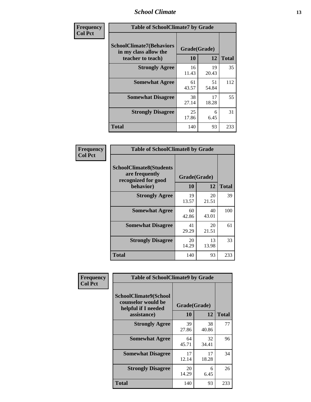### *School Climate* **13**

| Frequency      | <b>Table of SchoolClimate7 by Grade</b>                                       |                           |             |              |
|----------------|-------------------------------------------------------------------------------|---------------------------|-------------|--------------|
| <b>Col Pct</b> | <b>SchoolClimate7(Behaviors</b><br>in my class allow the<br>teacher to teach) | Grade(Grade)<br><b>10</b> | 12          | <b>Total</b> |
|                | <b>Strongly Agree</b>                                                         | 16<br>11.43               | 19<br>20.43 | 35           |
|                | <b>Somewhat Agree</b>                                                         | 61<br>43.57               | 51<br>54.84 | 112          |
|                | <b>Somewhat Disagree</b>                                                      | 38<br>27.14               | 17<br>18.28 | 55           |
|                | <b>Strongly Disagree</b>                                                      | 25<br>17.86               | 6<br>6.45   | 31           |
|                | <b>Total</b>                                                                  | 140                       | 93          | 233          |

| Frequency      | <b>Table of SchoolClimate8 by Grade</b>                                              |                    |             |              |  |
|----------------|--------------------------------------------------------------------------------------|--------------------|-------------|--------------|--|
| <b>Col Pct</b> | <b>SchoolClimate8(Students</b><br>are frequently<br>recognized for good<br>behavior) | Grade(Grade)<br>10 | 12          | <b>Total</b> |  |
|                | <b>Strongly Agree</b>                                                                | 19                 | 20          | 39           |  |
|                |                                                                                      | 13.57              | 21.51       |              |  |
|                | <b>Somewhat Agree</b>                                                                | 60<br>42.86        | 40<br>43.01 | 100          |  |
|                | <b>Somewhat Disagree</b>                                                             | 41<br>29.29        | 20<br>21.51 | 61           |  |
|                | <b>Strongly Disagree</b>                                                             | 20<br>14.29        | 13<br>13.98 | 33           |  |
|                | <b>Total</b>                                                                         | 140                | 93          | 233          |  |

| Frequency      | <b>Table of SchoolClimate9 by Grade</b>                                           |                    |             |              |
|----------------|-----------------------------------------------------------------------------------|--------------------|-------------|--------------|
| <b>Col Pct</b> | SchoolClimate9(School<br>counselor would be<br>helpful if I needed<br>assistance) | Grade(Grade)<br>10 | 12          | <b>Total</b> |
|                | <b>Strongly Agree</b>                                                             | 39<br>27.86        | 38<br>40.86 | 77           |
|                | <b>Somewhat Agree</b>                                                             | 64<br>45.71        | 32<br>34.41 | 96           |
|                | <b>Somewhat Disagree</b>                                                          | 17<br>12.14        | 17<br>18.28 | 34           |
|                | <b>Strongly Disagree</b>                                                          | 20<br>14.29        | 6<br>6.45   | 26           |
|                | Total                                                                             | 140                | 93          | 233          |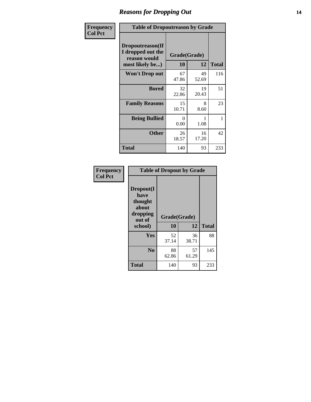### *Reasons for Dropping Out* **14**

| Frequency      | <b>Table of Dropoutreason by Grade</b>                                   |                    |             |              |
|----------------|--------------------------------------------------------------------------|--------------------|-------------|--------------|
| <b>Col Pct</b> | Dropoutreason(If<br>I dropped out the<br>reason would<br>most likely be) | Grade(Grade)<br>10 | 12          | <b>Total</b> |
|                | Won't Drop out                                                           | 67<br>47.86        | 49<br>52.69 | 116          |
|                | <b>Bored</b>                                                             | 32<br>22.86        | 19<br>20.43 | 51           |
|                | <b>Family Reasons</b>                                                    | 15<br>10.71        | 8<br>8.60   | 23           |
|                | <b>Being Bullied</b>                                                     | $\Omega$<br>0.00   | 1<br>1.08   | 1            |
|                | <b>Other</b>                                                             | 26<br>18.57        | 16<br>17.20 | 42           |
|                | <b>Total</b>                                                             | 140                | 93          | 233          |

| Frequency<br><b>Col Pct</b> | <b>Table of Dropout by Grade</b>                            |              |             |              |  |
|-----------------------------|-------------------------------------------------------------|--------------|-------------|--------------|--|
|                             | Dropout(I<br>have<br>thought<br>about<br>dropping<br>out of | Grade(Grade) |             |              |  |
|                             | school)                                                     | 10           | 12          | <b>Total</b> |  |
|                             | Yes                                                         | 52<br>37.14  | 36<br>38.71 | 88           |  |
|                             | N <sub>0</sub>                                              | 88<br>62.86  | 57<br>61.29 | 145          |  |
|                             |                                                             |              |             |              |  |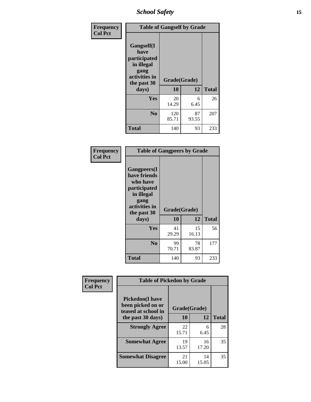*School Safety* **15**

| Frequency      | <b>Table of Gangself by Grade</b>                                                                 |                    |             |              |
|----------------|---------------------------------------------------------------------------------------------------|--------------------|-------------|--------------|
| <b>Col Pct</b> | Gangself(I<br>have<br>participated<br>in illegal<br>gang<br>activities in<br>the past 30<br>days) | Grade(Grade)<br>10 | 12          | <b>Total</b> |
|                | Yes                                                                                               | 20<br>14.29        | 6<br>6.45   | 26           |
|                | N <sub>o</sub>                                                                                    | 120<br>85.71       | 87<br>93.55 | 207          |
|                | Total                                                                                             | 140                | 93          | 233          |

| Frequency<br><b>Col Pct</b> | <b>Table of Gangpeers by Grade</b>                                                                                             |                    |             |              |  |  |  |  |  |  |  |
|-----------------------------|--------------------------------------------------------------------------------------------------------------------------------|--------------------|-------------|--------------|--|--|--|--|--|--|--|
|                             | <b>Gangpeers</b> (I<br>have friends<br>who have<br>participated<br>in illegal<br>gang<br>activities in<br>the past 30<br>days) | Grade(Grade)<br>10 | 12          | <b>Total</b> |  |  |  |  |  |  |  |
|                             | Yes                                                                                                                            | 41<br>29.29        | 15<br>16.13 | 56           |  |  |  |  |  |  |  |
|                             | N <sub>0</sub>                                                                                                                 | 99<br>70.71        | 78<br>83.87 | 177          |  |  |  |  |  |  |  |
|                             | <b>Total</b>                                                                                                                   | 140                | 93          | 233          |  |  |  |  |  |  |  |

| Frequency      |                                                                     | <b>Table of Pickedon by Grade</b> |             |              |  |  |  |  |  |  |
|----------------|---------------------------------------------------------------------|-----------------------------------|-------------|--------------|--|--|--|--|--|--|
| <b>Col Pct</b> | <b>Pickedon</b> (I have<br>been picked on or<br>teased at school in | Grade(Grade)                      |             |              |  |  |  |  |  |  |
|                | the past 30 days)                                                   | 10                                | 12          | <b>Total</b> |  |  |  |  |  |  |
|                | <b>Strongly Agree</b>                                               | 22<br>15.71                       | 6<br>6.45   | 28           |  |  |  |  |  |  |
|                | <b>Somewhat Agree</b>                                               | 19<br>13.57                       | 16<br>17.20 | 35           |  |  |  |  |  |  |
|                | <b>Somewhat Disagree</b>                                            | 21<br>15.00                       | 14<br>15.05 | 35           |  |  |  |  |  |  |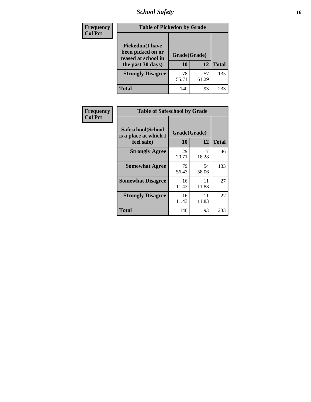*School Safety* **16**

| <b>Frequency</b> |                                                                                          | <b>Table of Pickedon by Grade</b> |             |              |  |  |  |  |  |  |  |
|------------------|------------------------------------------------------------------------------------------|-----------------------------------|-------------|--------------|--|--|--|--|--|--|--|
| <b>Col Pct</b>   | <b>Pickedon</b> (I have<br>been picked on or<br>teased at school in<br>the past 30 days) | Grade(Grade)<br>10                | 12          | <b>Total</b> |  |  |  |  |  |  |  |
|                  | <b>Strongly Disagree</b>                                                                 | 78<br>55.71                       | 57<br>61.29 | 135          |  |  |  |  |  |  |  |
|                  | Total                                                                                    | 140                               | 93          | 233          |  |  |  |  |  |  |  |

| <b>Frequency</b> | <b>Table of Safeschool by Grade</b>        |              |             |              |  |  |  |  |  |
|------------------|--------------------------------------------|--------------|-------------|--------------|--|--|--|--|--|
| <b>Col Pct</b>   | Safeschool(School<br>is a place at which I | Grade(Grade) |             |              |  |  |  |  |  |
|                  | feel safe)                                 | 10           | 12          | <b>Total</b> |  |  |  |  |  |
|                  | <b>Strongly Agree</b>                      | 29<br>20.71  | 17<br>18.28 | 46           |  |  |  |  |  |
|                  | <b>Somewhat Agree</b>                      | 79<br>56.43  | 54<br>58.06 | 133          |  |  |  |  |  |
|                  | <b>Somewhat Disagree</b>                   | 16<br>11.43  | 11<br>11.83 | 27           |  |  |  |  |  |
|                  | <b>Strongly Disagree</b>                   | 16<br>11.43  | 11<br>11.83 | 27           |  |  |  |  |  |
|                  | <b>Total</b>                               | 140          | 93          | 233          |  |  |  |  |  |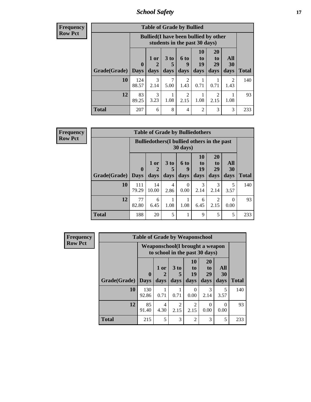*School Safety* **17**

**Frequency Row Pct**

| <b>Table of Grade by Bullied</b> |                             |                                                                               |                              |                                  |                        |                               |                                     |       |  |  |  |
|----------------------------------|-----------------------------|-------------------------------------------------------------------------------|------------------------------|----------------------------------|------------------------|-------------------------------|-------------------------------------|-------|--|--|--|
|                                  |                             | <b>Bullied</b> (I have been bullied by other<br>students in the past 30 days) |                              |                                  |                        |                               |                                     |       |  |  |  |
| Grade(Grade)                     | $\mathbf{0}$<br><b>Days</b> | 1 or<br>2<br>days                                                             | 3 <sub>to</sub><br>5<br>days | 6 to<br>q<br>days                | 10<br>to<br>19<br>days | <b>20</b><br>to<br>29<br>days | All<br><b>30</b><br>days            | Total |  |  |  |
| 10                               | 124<br>88.57                | 3<br>2.14                                                                     | 7<br>5.00                    | $\overline{\mathcal{L}}$<br>1.43 | 0.71                   | 0.71                          | $\mathcal{D}_{\mathcal{A}}$<br>1.43 | 140   |  |  |  |
| 12                               | 83<br>89.25                 | 3<br>3.23                                                                     | 1.08                         | 2<br>2.15                        | 1.08                   | 2<br>2.15                     | 1.08                                | 93    |  |  |  |
| <b>Total</b>                     | 207                         | 6                                                                             | 8                            | 4                                | $\overline{2}$         | 3                             | 3                                   | 233   |  |  |  |

**Frequency Row Pct**

| $\overline{J}$ | <b>Table of Grade by Bulliedothers</b> |                             |                                                                |                         |                          |                               |                               |                          |              |  |  |
|----------------|----------------------------------------|-----------------------------|----------------------------------------------------------------|-------------------------|--------------------------|-------------------------------|-------------------------------|--------------------------|--------------|--|--|
|                |                                        |                             | <b>Bulliedothers</b> (I bullied others in the past<br>30 days) |                         |                          |                               |                               |                          |              |  |  |
|                | Grade(Grade)                           | $\mathbf{0}$<br><b>Days</b> | 1 or<br>2<br>days                                              | 3 <sub>to</sub><br>days | <b>6 to</b><br>9<br>days | <b>10</b><br>to<br>19<br>days | <b>20</b><br>to<br>29<br>days | All<br><b>30</b><br>days | <b>Total</b> |  |  |
|                | 10                                     | 111<br>79.29                | 14<br>10.00                                                    | 4<br>2.86               | 0<br>0.00                | 3<br>2.14                     | 3<br>2.14                     | 3.57                     | 140          |  |  |
|                | 12                                     | 77<br>82.80                 | 6<br>6.45                                                      | 1.08                    | 1.08                     | 6<br>6.45                     | 2<br>2.15                     | 0<br>0.00                | 93           |  |  |
|                | <b>Total</b>                           | 188                         | 20                                                             | 5                       |                          | 9                             | 5                             | 5                        | 233          |  |  |

| <b>Frequency</b> | <b>Table of Grade by Weaponschool</b> |                                                                   |                              |                                     |                               |                                           |                   |              |  |  |  |
|------------------|---------------------------------------|-------------------------------------------------------------------|------------------------------|-------------------------------------|-------------------------------|-------------------------------------------|-------------------|--------------|--|--|--|
| <b>Row Pct</b>   |                                       | Weaponschool(I brought a weapon<br>to school in the past 30 days) |                              |                                     |                               |                                           |                   |              |  |  |  |
|                  | Grade(Grade)                          | $\mathbf{0}$<br><b>Days</b>                                       | 1 or<br>$\mathbf{2}$<br>days | 3 <sub>to</sub><br>5<br>days        | <b>10</b><br>to<br>19<br>days | <b>20</b><br>t <sub>0</sub><br>29<br>days | All<br>30<br>days | <b>Total</b> |  |  |  |
|                  | 10                                    | 130<br>92.86                                                      | 0.71                         | 0.71                                | $\Omega$<br>0.00              | $\mathcal{R}$<br>2.14                     | 5<br>3.57         | 140          |  |  |  |
|                  | 12                                    | 85<br>91.40                                                       | 4<br>4.30                    | $\mathcal{D}_{\mathcal{L}}$<br>2.15 | $\mathfrak{D}$<br>2.15        | $\Omega$<br>0.00                          | 0<br>0.00         | 93           |  |  |  |
|                  | <b>Total</b>                          | 215                                                               | 5                            | 3                                   | $\overline{2}$                | 3                                         | 5                 | 233          |  |  |  |

ł,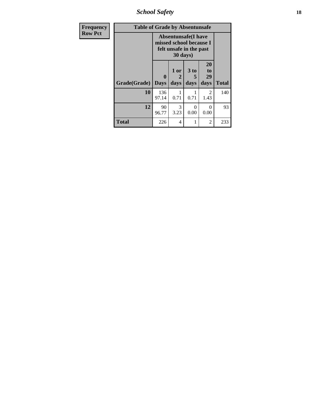*School Safety* **18**

| <b>Frequency</b> | <b>Table of Grade by Absentunsafe</b> |                                                                                  |                   |                   |                                    |              |  |  |  |  |  |
|------------------|---------------------------------------|----------------------------------------------------------------------------------|-------------------|-------------------|------------------------------------|--------------|--|--|--|--|--|
| <b>Row Pct</b>   |                                       | <b>Absentunsafe(I have</b><br>missed school because I<br>felt unsafe in the past |                   |                   |                                    |              |  |  |  |  |  |
|                  | <b>Grade</b> (Grade)   Days           | 0                                                                                | 1 or<br>2<br>days | 3 to<br>5<br>days | 20<br>t <sub>0</sub><br>29<br>days | <b>Total</b> |  |  |  |  |  |
|                  | 10                                    | 136<br>97.14                                                                     | 0.71              | 0.71              | 2<br>1.43                          | 140          |  |  |  |  |  |
|                  | 12                                    | 90<br>96.77                                                                      | 3<br>3.23         | 0<br>0.00         | 0<br>0.00                          | 93           |  |  |  |  |  |
|                  | <b>Total</b>                          | 226                                                                              | 4                 | 1                 | $\overline{2}$                     | 233          |  |  |  |  |  |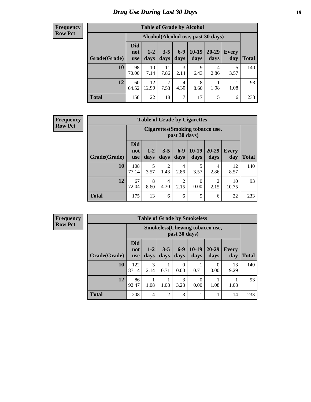# *Drug Use During Last 30 Days* **19**

#### **Frequency Row Pct**

| <b>Table of Grade by Alcohol</b> |                                 |                                     |                 |               |               |               |                     |       |  |  |  |  |
|----------------------------------|---------------------------------|-------------------------------------|-----------------|---------------|---------------|---------------|---------------------|-------|--|--|--|--|
|                                  |                                 | Alcohol (Alcohol use, past 30 days) |                 |               |               |               |                     |       |  |  |  |  |
| Grade(Grade)                     | <b>Did</b><br>not<br><b>use</b> | $1 - 2$<br>days                     | $3 - 5$<br>days | $6-9$<br>days | 10-19<br>days | 20-29<br>days | <b>Every</b><br>day | Total |  |  |  |  |
| 10                               | 98<br>70.00                     | 10<br>7.14                          | 11<br>7.86      | 3<br>2.14     | 9<br>6.43     | 4<br>2.86     | 5<br>3.57           | 140   |  |  |  |  |
| 12                               | 60<br>64.52                     | 12<br>12.90                         | 7<br>7.53       | 4<br>4.30     | 8<br>8.60     | 1.08          | 1.08                | 93    |  |  |  |  |
| <b>Total</b>                     | 158                             | 22                                  | 18              | 7             | 17            | 5             | 6                   | 233   |  |  |  |  |

#### **Frequency Row Pct**

| <b>Table of Grade by Cigarettes</b> |                                 |                                                   |                 |                        |                  |                        |              |              |  |  |  |
|-------------------------------------|---------------------------------|---------------------------------------------------|-----------------|------------------------|------------------|------------------------|--------------|--------------|--|--|--|
|                                     |                                 | Cigarettes (Smoking tobacco use,<br>past 30 days) |                 |                        |                  |                        |              |              |  |  |  |
| Grade(Grade)                        | <b>Did</b><br>not<br><b>use</b> | $1 - 2$<br>days                                   | $3 - 5$<br>days | $6-9$<br>days          | $10-19$<br>days  | 20-29<br>days          | Every<br>day | <b>Total</b> |  |  |  |
| 10                                  | 108<br>77.14                    | 5<br>3.57                                         | 2<br>1.43       | 4<br>2.86              | 5<br>3.57        | 4<br>2.86              | 12<br>8.57   | 140          |  |  |  |
| 12                                  | 67<br>72.04                     | 8<br>8.60                                         | 4<br>4.30       | $\overline{c}$<br>2.15 | $\Omega$<br>0.00 | $\overline{2}$<br>2.15 | 10<br>10.75  | 93           |  |  |  |
| <b>Total</b>                        | 175                             | 13                                                | 6               | 6                      | 5                | 6                      | 22           | 233          |  |  |  |

| <b>Table of Grade by Smokeless</b> |                                 |                                                        |                 |                  |                 |                   |                     |              |  |  |  |
|------------------------------------|---------------------------------|--------------------------------------------------------|-----------------|------------------|-----------------|-------------------|---------------------|--------------|--|--|--|
|                                    |                                 | <b>Smokeless</b> (Chewing tobaccouse,<br>past 30 days) |                 |                  |                 |                   |                     |              |  |  |  |
| Grade(Grade)                       | <b>Did</b><br>not<br><b>use</b> | $1 - 2$<br>days                                        | $3 - 5$<br>days | $6 - 9$<br>days  | $10-19$<br>days | $20 - 29$<br>days | <b>Every</b><br>day | <b>Total</b> |  |  |  |
| 10                                 | 122<br>87.14                    | 3<br>2.14                                              | 0.71            | $\Omega$<br>0.00 | 0.71            | 0<br>0.00         | 13<br>9.29          | 140          |  |  |  |
| 12                                 | 86<br>92.47                     | 1.08                                                   | 1.08            | 3<br>3.23        | 0<br>0.00       | 1.08              | 1.08                | 93           |  |  |  |
| <b>Total</b>                       | 208                             | 4                                                      | $\overline{2}$  | 3                | 1               |                   | 14                  | 233          |  |  |  |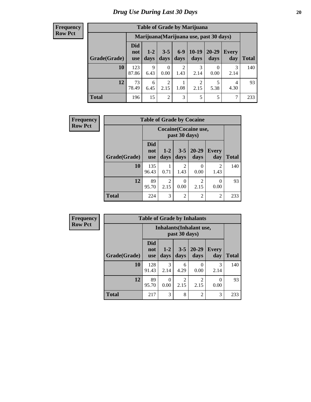| <b>Table of Grade by Marijuana</b> |                                 |                                         |                        |                        |                        |               |              |       |  |  |  |
|------------------------------------|---------------------------------|-----------------------------------------|------------------------|------------------------|------------------------|---------------|--------------|-------|--|--|--|
|                                    |                                 | Marijuana (Marijuana use, past 30 days) |                        |                        |                        |               |              |       |  |  |  |
| Grade(Grade)                       | <b>Did</b><br>not<br><b>use</b> | $1 - 2$<br>days                         | $3 - 5$<br>days        | $6-9$<br>days          | $10-19$<br>days        | 20-29<br>days | Every<br>day | Total |  |  |  |
| 10                                 | 123<br>87.86                    | 9<br>6.43                               | 0<br>0.00              | $\overline{2}$<br>1.43 | 3<br>2.14              | 0.00          | 3<br>2.14    | 140   |  |  |  |
| 12                                 | 73<br>78.49                     | 6<br>6.45                               | $\mathfrak{D}$<br>2.15 | 1.08                   | $\overline{2}$<br>2.15 | 5.38          | 4<br>4.30    | 93    |  |  |  |
| <b>Total</b>                       | 196                             | 15                                      | 2                      | 3                      | 5                      | 5             | 7            | 233   |  |  |  |

| <b>Frequency</b> | <b>Table of Grade by Cocaine</b> |                                 |                                        |                 |                        |                        |       |  |
|------------------|----------------------------------|---------------------------------|----------------------------------------|-----------------|------------------------|------------------------|-------|--|
| <b>Row Pct</b>   |                                  |                                 | Cocaine (Cocaine use,<br>past 30 days) |                 |                        |                        |       |  |
|                  | Grade(Grade)                     | <b>Did</b><br>not<br><b>use</b> | $1 - 2$<br>days                        | $3 - 5$<br>days | $20 - 29$<br>days      | <b>Every</b><br>day    | Total |  |
|                  | 10                               | 135<br>96.43                    | 0.71                                   | 2<br>1.43       | 0<br>0.00              | $\mathfrak{D}$<br>1.43 | 140   |  |
|                  | 12                               | 89<br>95.70                     | $\overline{2}$<br>2.15                 | 0<br>0.00       | $\mathfrak{D}$<br>2.15 | 0<br>0.00              | 93    |  |
|                  | <b>Total</b>                     | 224                             | 3                                      | $\overline{2}$  | $\overline{2}$         | $\overline{2}$         | 233   |  |

| Frequency      | <b>Table of Grade by Inhalants</b> |                                                  |                       |                        |                        |              |              |  |
|----------------|------------------------------------|--------------------------------------------------|-----------------------|------------------------|------------------------|--------------|--------------|--|
| <b>Row Pct</b> |                                    | <b>Inhalants</b> (Inhalant use,<br>past 30 days) |                       |                        |                        |              |              |  |
|                | Grade(Grade)                       | <b>Did</b><br>not<br><b>use</b>                  | $1 - 2$<br>days       | $3-5$<br>days          | $20 - 29$<br>days      | Every<br>day | <b>Total</b> |  |
|                | 10                                 | 128<br>91.43                                     | $\mathcal{R}$<br>2.14 | 6<br>4.29              | 0.00                   | 3<br>2.14    | 140          |  |
|                | 12                                 | 89<br>95.70                                      | $\Omega$<br>0.00      | $\mathfrak{D}$<br>2.15 | $\mathfrak{D}$<br>2.15 | 0<br>0.00    | 93           |  |
|                | <b>Total</b>                       | 217                                              | 3                     | 8                      | $\mathfrak{D}$         | 3            | 233          |  |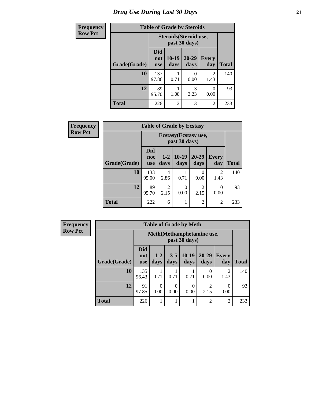# *Drug Use During Last 30 Days* **21**

| <b>Frequency</b> | <b>Table of Grade by Steroids</b> |                          |                 |                                         |                     |              |
|------------------|-----------------------------------|--------------------------|-----------------|-----------------------------------------|---------------------|--------------|
| <b>Row Pct</b>   |                                   |                          |                 | Steroids (Steroid use,<br>past 30 days) |                     |              |
|                  | Grade(Grade)                      | Did<br>not<br><b>use</b> | $10-19$<br>days | $20 - 29$<br>days                       | <b>Every</b><br>day | <b>Total</b> |
|                  | 10                                | 137<br>97.86             | 0.71            | $\mathcal{O}$<br>0.00                   | 2<br>1.43           | 140          |
|                  | 12                                | 89<br>95.70              | 1.08            | 3<br>3.23                               | 0<br>0.00           | 93           |
|                  | <b>Total</b>                      | 226                      | $\overline{2}$  | 3                                       | $\overline{2}$      | 233          |

| Frequency      | <b>Table of Grade by Ecstasy</b> |                                 |                        |                 |                           |                        |              |
|----------------|----------------------------------|---------------------------------|------------------------|-----------------|---------------------------|------------------------|--------------|
| <b>Row Pct</b> |                                  |                                 |                        | past 30 days)   | Ecstasy (Ecstasy use,     |                        |              |
|                | Grade(Grade)                     | <b>Did</b><br>not<br><b>use</b> | $1 - 2$<br>days        | $10-19$<br>days | $20 - 29$<br>days         | <b>Every</b><br>day    | <b>Total</b> |
|                | 10                               | 133<br>95.00                    | 4<br>2.86              | 0.71            | $\mathbf{\Omega}$<br>0.00 | $\mathfrak{D}$<br>1.43 | 140          |
|                | 12                               | 89<br>95.70                     | $\overline{2}$<br>2.15 | 0<br>0.00       | $\mathfrak{D}$<br>2.15    | 0<br>0.00              | 93           |
|                | <b>Total</b>                     | 222                             | 6                      |                 | 2                         | 2                      | 233          |

| <b>Table of Grade by Meth</b> |                                                                                                                                      |                                             |      |      |                |                        |     |  |  |
|-------------------------------|--------------------------------------------------------------------------------------------------------------------------------------|---------------------------------------------|------|------|----------------|------------------------|-----|--|--|
|                               |                                                                                                                                      | Meth (Methamphetamine use,<br>past 30 days) |      |      |                |                        |     |  |  |
| Grade(Grade)                  | <b>Did</b><br>$10-19$<br>$20 - 29$<br>$1 - 2$<br>$3 - 5$<br><b>Every</b><br>not<br>days<br>days<br>days<br>day<br>days<br><b>use</b> |                                             |      |      |                |                        |     |  |  |
| 10                            | 135<br>96.43                                                                                                                         | 0.71                                        | 0.71 | 0.71 | 0.00           | $\mathfrak{D}$<br>1.43 | 140 |  |  |
| 12                            | 91<br>$\Omega$<br>$\overline{c}$<br>$\Omega$<br>0.00<br>0.00<br>97.85<br>0.00<br>0.00<br>2.15                                        |                                             |      |      |                |                        |     |  |  |
| <b>Total</b>                  | 226                                                                                                                                  |                                             |      |      | $\overline{c}$ | $\overline{c}$         | 233 |  |  |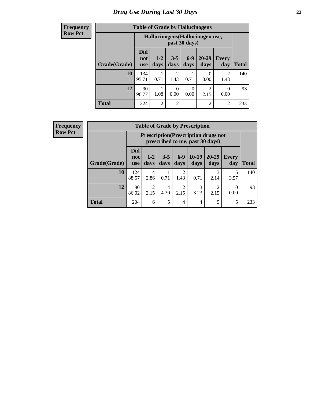#### **Frequency Row Pct**

| <b>Table of Grade by Hallucinogens</b> |                                                                                                                                                  |                                                   |                        |      |                           |                |     |  |  |
|----------------------------------------|--------------------------------------------------------------------------------------------------------------------------------------------------|---------------------------------------------------|------------------------|------|---------------------------|----------------|-----|--|--|
|                                        |                                                                                                                                                  | Hallucinogens (Hallucinogen use,<br>past 30 days) |                        |      |                           |                |     |  |  |
| <b>Grade</b> (Grade)                   | <b>Did</b><br>$6 - 9$<br>20-29<br>$3 - 5$<br>$1 - 2$<br><b>Every</b><br>not<br>days<br>day<br><b>Total</b><br>days<br>days<br>days<br><b>use</b> |                                                   |                        |      |                           |                |     |  |  |
| 10                                     | 134<br>95.71                                                                                                                                     | 0.71                                              | $\overline{2}$<br>1.43 | 0.71 | $\mathbf{\Omega}$<br>0.00 | 2<br>1.43      | 140 |  |  |
| 12                                     | $\overline{c}$<br>90<br>0<br>0<br>96.77<br>1.08<br>0.00<br>0.00<br>2.15<br>0.00                                                                  |                                                   |                        |      |                           |                |     |  |  |
| <b>Total</b>                           | 224                                                                                                                                              | $\overline{2}$                                    | $\overline{2}$         |      | $\overline{c}$            | $\overline{c}$ | 233 |  |  |

| <b>Table of Grade by Prescription</b> |                          |                                                                                |                 |                        |                 |               |              |              |  |
|---------------------------------------|--------------------------|--------------------------------------------------------------------------------|-----------------|------------------------|-----------------|---------------|--------------|--------------|--|
|                                       |                          | <b>Prescription</b> (Prescription drugs not<br>prescribed to me, past 30 days) |                 |                        |                 |               |              |              |  |
| Grade(Grade)                          | Did<br>not<br><b>use</b> | $1-2$<br>days                                                                  | $3 - 5$<br>days | $6-9$<br>days          | $10-19$<br>days | 20-29<br>days | Every<br>day | <b>Total</b> |  |
| 10                                    | 124<br>88.57             | 4<br>2.86                                                                      | 0.71            | $\overline{2}$<br>1.43 | 0.71            | 3<br>2.14     | 5<br>3.57    | 140          |  |
| 12                                    | 80<br>86.02              | $\overline{c}$<br>2.15                                                         | 4<br>4.30       | $\overline{2}$<br>2.15 | 3<br>3.23       | ∍<br>2.15     | 0.00         | 93           |  |
| <b>Total</b>                          | 204                      | 6                                                                              | 5               | $\overline{4}$         | 4               | 5             | 5            | 233          |  |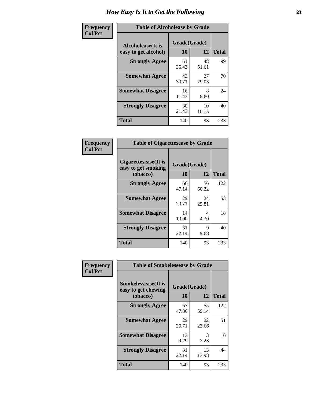| Frequency      | <b>Table of Alcoholease by Grade</b>              |                    |             |              |  |  |  |
|----------------|---------------------------------------------------|--------------------|-------------|--------------|--|--|--|
| <b>Col Pct</b> | <b>Alcoholease</b> (It is<br>easy to get alcohol) | Grade(Grade)<br>10 | 12          | <b>Total</b> |  |  |  |
|                | <b>Strongly Agree</b>                             | 51<br>36.43        | 48<br>51.61 | 99           |  |  |  |
|                | <b>Somewhat Agree</b>                             | 43<br>30.71        | 27<br>29.03 | 70           |  |  |  |
|                | <b>Somewhat Disagree</b>                          | 16<br>11.43        | 8<br>8.60   | 24           |  |  |  |
|                | <b>Strongly Disagree</b>                          | 30<br>21.43        | 10<br>10.75 | 40           |  |  |  |
|                | <b>Total</b>                                      | 140                | 93          | 233          |  |  |  |

| Frequency      |                                                         | <b>Table of Cigarettesease by Grade</b> |             |              |  |  |  |  |
|----------------|---------------------------------------------------------|-----------------------------------------|-------------|--------------|--|--|--|--|
| <b>Col Pct</b> | Cigarettesease(It is<br>easy to get smoking<br>tobacco) | Grade(Grade)<br>10                      | 12          | <b>Total</b> |  |  |  |  |
|                | <b>Strongly Agree</b>                                   | 66<br>47.14                             | 56<br>60.22 | 122          |  |  |  |  |
|                | <b>Somewhat Agree</b>                                   | 29<br>20.71                             | 24<br>25.81 | 53           |  |  |  |  |
|                | <b>Somewhat Disagree</b>                                | 14<br>10.00                             | 4<br>4.30   | 18           |  |  |  |  |
|                | <b>Strongly Disagree</b>                                | 31<br>22.14                             | 9<br>9.68   | 40           |  |  |  |  |
|                | Total                                                   | 140                                     | 93          | 233          |  |  |  |  |

| Frequency      | <b>Table of Smokelessease by Grade</b>                         |                    |             |              |
|----------------|----------------------------------------------------------------|--------------------|-------------|--------------|
| <b>Col Pct</b> | <b>Smokelessease</b> (It is<br>easy to get chewing<br>tobacco) | Grade(Grade)<br>10 | 12          | <b>Total</b> |
|                | <b>Strongly Agree</b>                                          | 67<br>47.86        | 55<br>59.14 | 122          |
|                | <b>Somewhat Agree</b>                                          | 29<br>20.71        | 22<br>23.66 | 51           |
|                | <b>Somewhat Disagree</b>                                       | 13<br>9.29         | 3<br>3.23   | 16           |
|                | <b>Strongly Disagree</b>                                       | 31<br>22.14        | 13<br>13.98 | 44           |
|                | Total                                                          | 140                | 93          | 233          |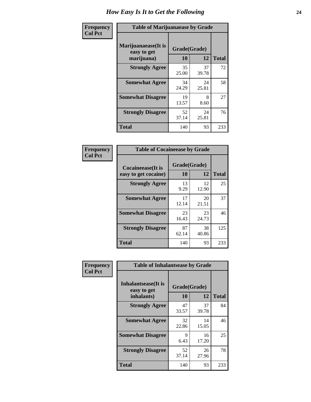| Frequency      | <b>Table of Marijuanaease by Grade</b>           |                    |             |              |  |  |  |
|----------------|--------------------------------------------------|--------------------|-------------|--------------|--|--|--|
| <b>Col Pct</b> | Marijuanaease(It is<br>easy to get<br>marijuana) | Grade(Grade)<br>10 | 12          | <b>Total</b> |  |  |  |
|                | <b>Strongly Agree</b>                            | 35<br>25.00        | 37<br>39.78 | 72           |  |  |  |
|                | <b>Somewhat Agree</b>                            | 34<br>24.29        | 24<br>25.81 | 58           |  |  |  |
|                | <b>Somewhat Disagree</b>                         | 19<br>13.57        | 8<br>8.60   | 27           |  |  |  |
|                | <b>Strongly Disagree</b>                         | 52<br>37.14        | 24<br>25.81 | 76           |  |  |  |
|                | <b>Total</b>                                     | 140                | 93          | 233          |  |  |  |

| <b>Table of Cocaineease by Grade</b>              |                    |              |     |  |  |  |  |
|---------------------------------------------------|--------------------|--------------|-----|--|--|--|--|
| <b>Cocaineease</b> (It is<br>easy to get cocaine) | Grade(Grade)<br>10 | <b>Total</b> |     |  |  |  |  |
| <b>Strongly Agree</b>                             | 13<br>9.29         | 12<br>12.90  | 25  |  |  |  |  |
| <b>Somewhat Agree</b>                             | 17<br>12.14        | 20<br>21.51  | 37  |  |  |  |  |
| <b>Somewhat Disagree</b>                          | 23<br>16.43        | 23<br>24.73  | 46  |  |  |  |  |
| <b>Strongly Disagree</b>                          | 87<br>62.14        | 38<br>40.86  | 125 |  |  |  |  |
| <b>Total</b>                                      | 140                | 93           | 233 |  |  |  |  |

| Frequency      | <b>Table of Inhalantsease by Grade</b>                   |                    |             |              |
|----------------|----------------------------------------------------------|--------------------|-------------|--------------|
| <b>Col Pct</b> | <b>Inhalantsease</b> (It is<br>easy to get<br>inhalants) | Grade(Grade)<br>10 | 12          | <b>Total</b> |
|                | <b>Strongly Agree</b>                                    | 47                 | 37          | 84           |
|                |                                                          | 33.57              | 39.78       |              |
|                | <b>Somewhat Agree</b>                                    | 32<br>22.86        | 14<br>15.05 | 46           |
|                | <b>Somewhat Disagree</b>                                 | 9<br>6.43          | 16<br>17.20 | 25           |
|                | <b>Strongly Disagree</b>                                 | 52<br>37.14        | 26<br>27.96 | 78           |
|                | <b>Total</b>                                             | 140                | 93          | 233          |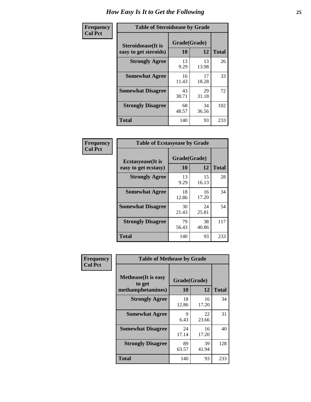| Frequency      |                                                     | <b>Table of Steroidsease by Grade</b> |             |              |  |  |  |  |  |  |  |
|----------------|-----------------------------------------------------|---------------------------------------|-------------|--------------|--|--|--|--|--|--|--|
| <b>Col Pct</b> | <b>Steroidsease</b> (It is<br>easy to get steroids) | Grade(Grade)<br>10                    | 12          | <b>Total</b> |  |  |  |  |  |  |  |
|                | <b>Strongly Agree</b>                               | 13<br>9.29                            | 13<br>13.98 | 26           |  |  |  |  |  |  |  |
|                | <b>Somewhat Agree</b>                               | 16<br>11.43                           | 17<br>18.28 | 33           |  |  |  |  |  |  |  |
|                | <b>Somewhat Disagree</b>                            | 43<br>30.71                           | 29<br>31.18 | 72           |  |  |  |  |  |  |  |
|                | <b>Strongly Disagree</b>                            | 68<br>48.57                           | 34<br>36.56 | 102          |  |  |  |  |  |  |  |
|                | <b>Total</b>                                        | 140                                   | 93          | 233          |  |  |  |  |  |  |  |

| <b>Frequency</b> |  |
|------------------|--|
| <b>Col Pct</b>   |  |

| <b>Table of Ecstasyease by Grade</b>              |             |                    |     |  |  |  |  |  |  |  |
|---------------------------------------------------|-------------|--------------------|-----|--|--|--|--|--|--|--|
| <b>Ecstasyease</b> (It is<br>easy to get ecstasy) | 10          | Grade(Grade)<br>12 |     |  |  |  |  |  |  |  |
| <b>Strongly Agree</b>                             | 13<br>9.29  | 15<br>16.13        | 28  |  |  |  |  |  |  |  |
| <b>Somewhat Agree</b>                             | 18<br>12.86 | 16<br>17.20        | 34  |  |  |  |  |  |  |  |
| <b>Somewhat Disagree</b>                          | 30<br>21.43 | 24<br>25.81        | 54  |  |  |  |  |  |  |  |
| <b>Strongly Disagree</b>                          | 79<br>56.43 | 38<br>40.86        | 117 |  |  |  |  |  |  |  |
| <b>Total</b>                                      | 140         | 93                 | 233 |  |  |  |  |  |  |  |

| Frequency      | <b>Table of Methease by Grade</b>                          |                    |             |              |
|----------------|------------------------------------------------------------|--------------------|-------------|--------------|
| <b>Col Pct</b> | <b>Methease</b> (It is easy<br>to get<br>methamphetamines) | Grade(Grade)<br>10 | 12          | <b>Total</b> |
|                | <b>Strongly Agree</b>                                      | 18<br>12.86        | 16<br>17.20 | 34           |
|                | <b>Somewhat Agree</b>                                      | 9<br>6.43          | 22<br>23.66 | 31           |
|                | <b>Somewhat Disagree</b>                                   | 24<br>17.14        | 16<br>17.20 | 40           |
|                | <b>Strongly Disagree</b>                                   | 89<br>63.57        | 39<br>41.94 | 128          |
|                | Total                                                      | 140                | 93          | 233          |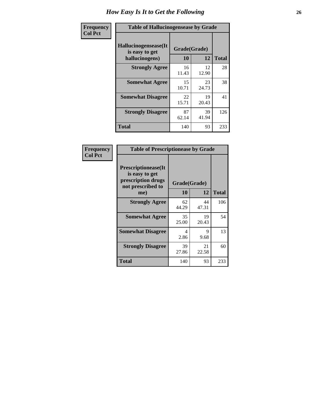| <b>Frequency</b> | <b>Table of Hallucinogensease by Grade</b>               |                    |             |              |  |  |  |  |  |  |  |  |
|------------------|----------------------------------------------------------|--------------------|-------------|--------------|--|--|--|--|--|--|--|--|
| <b>Col Pct</b>   | Hallucinogensease(It<br>is easy to get<br>hallucinogens) | Grade(Grade)<br>10 | 12          | <b>Total</b> |  |  |  |  |  |  |  |  |
|                  | <b>Strongly Agree</b>                                    | 16<br>11.43        | 12<br>12.90 | 28           |  |  |  |  |  |  |  |  |
|                  | <b>Somewhat Agree</b>                                    | 15<br>10.71        | 23<br>24.73 | 38           |  |  |  |  |  |  |  |  |
|                  | <b>Somewhat Disagree</b>                                 | 22<br>15.71        | 19<br>20.43 | 41           |  |  |  |  |  |  |  |  |
|                  | <b>Strongly Disagree</b>                                 | 87<br>62.14        | 39<br>41.94 | 126          |  |  |  |  |  |  |  |  |
|                  | <b>Total</b>                                             | 140                | 93          | 233          |  |  |  |  |  |  |  |  |

| Frequency<br>  Col Pct |
|------------------------|

| <b>Table of Prescriptionease by Grade</b>                                                |              |             |              |  |  |  |  |  |  |  |
|------------------------------------------------------------------------------------------|--------------|-------------|--------------|--|--|--|--|--|--|--|
| <b>Prescriptionease</b> (It<br>is easy to get<br>prescription drugs<br>not prescribed to | Grade(Grade) |             |              |  |  |  |  |  |  |  |
| me)                                                                                      | 10           | 12          | <b>Total</b> |  |  |  |  |  |  |  |
| <b>Strongly Agree</b>                                                                    | 62<br>44.29  | 44<br>47.31 | 106          |  |  |  |  |  |  |  |
| <b>Somewhat Agree</b>                                                                    | 35<br>25.00  | 19<br>20.43 | 54           |  |  |  |  |  |  |  |
| <b>Somewhat Disagree</b>                                                                 | 4<br>2.86    | 9<br>9.68   | 13           |  |  |  |  |  |  |  |
| <b>Strongly Disagree</b>                                                                 | 39<br>27.86  | 21<br>22.58 | 60           |  |  |  |  |  |  |  |
| Total                                                                                    | 140          | 93          | 233          |  |  |  |  |  |  |  |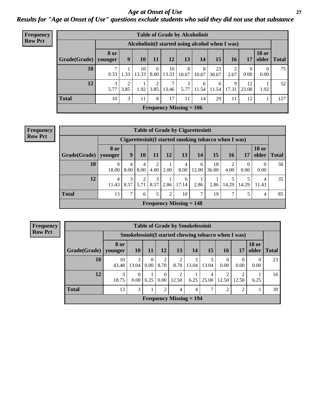### *Age at Onset of Use* **27** *Results for "Age at Onset of Use" questions exclude students who said they did not use that substance*

| <b>Frequency</b> |                        |             |           |             |           | <b>Table of Grade by Alcoholinit</b> |            |            |                                                  |            |                  |                       |              |
|------------------|------------------------|-------------|-----------|-------------|-----------|--------------------------------------|------------|------------|--------------------------------------------------|------------|------------------|-----------------------|--------------|
| <b>Row Pct</b>   |                        |             |           |             |           |                                      |            |            | Alcoholinit (I started using alcohol when I was) |            |                  |                       |              |
|                  | Grade(Grade)   younger | <b>8 or</b> | 9         | 10          | 11        | 12                                   | 13         | 14         | 15                                               | 16         | 17               | <b>18 or</b><br>older | <b>Total</b> |
|                  | 10                     | 9.33        | 1.33      | 10<br>13.33 | 6<br>8.00 | 10<br>13.33                          | 8<br>10.67 | 8<br>10.67 | 23<br>30.67                                      | 2<br>2.67  | $\theta$<br>0.00 | 0<br>0.00             | 75           |
|                  | 12                     | 3<br>5.77   | ↑<br>3.85 | 1.92        | 2<br>3.85 | 7<br>13.46                           | 3<br>5.77  | 6<br>11.54 | 6<br>11.54                                       | 9<br>17.31 | 12<br>23.08      | 1.92                  | 52           |
|                  | <b>Total</b>           | 10          | 3         | 11          | 8         | 17                                   | 11         | 14         | 29                                               | 11         | 12               |                       | 127          |
|                  |                        |             |           |             |           | Frequency Missing $= 106$            |            |            |                                                  |            |                  |                       |              |

| <b>Frequency</b> |                                                       |                 |           |                        |           |                | <b>Table of Grade by Cigarettesinit</b> |               |             |           |                  |                       |              |
|------------------|-------------------------------------------------------|-----------------|-----------|------------------------|-----------|----------------|-----------------------------------------|---------------|-------------|-----------|------------------|-----------------------|--------------|
| <b>Row Pct</b>   | Cigarettesinit (I started smoking tobacco when I was) |                 |           |                        |           |                |                                         |               |             |           |                  |                       |              |
|                  | Grade(Grade)                                          | 8 or<br>younger | 9         | 10                     | 11        | 12             | 13                                      | 14            | 15          | <b>16</b> | 17               | <b>18 or</b><br>older | <b>Total</b> |
|                  | 10                                                    | 9<br>18.00      | 4<br>8.00 | 4<br>8.00              | 4.00      | 2.00           | 4<br>8.00                               | 6<br>12.00    | 18<br>36.00 | 4.00      | $\theta$<br>0.00 | $\Omega$<br>0.00      | 50           |
|                  | 12                                                    | 4<br>11.43      | 3<br>8.57 | $\overline{2}$<br>5.71 | 3<br>8.57 |                | 6<br>$2.86$ 17.14                       | 2.86          | 2.86        | 14.29     | 5<br>14.29       | 4<br>11.43            | 35           |
|                  | <b>Total</b>                                          | 13              | $\tau$    | 6                      | 5         | $\overline{2}$ | 10                                      | $\mathcal{I}$ | 19          | ⇁         | 5                | 4                     | 85           |
|                  |                                                       |                 |           |                        |           |                | Frequency Missing $= 148$               |               |             |           |                  |                       |              |

**Frequency Row Pct**

| <b>Table of Grade by Smokelessinit</b> |                        |                  |                  |                  |                           |            |                                                      |                      |       |                       |              |  |  |  |
|----------------------------------------|------------------------|------------------|------------------|------------------|---------------------------|------------|------------------------------------------------------|----------------------|-------|-----------------------|--------------|--|--|--|
|                                        |                        |                  |                  |                  |                           |            | Smokelessinit (I started chewing tobacco when I was) |                      |       |                       |              |  |  |  |
| Grade(Grade)                           | <b>8 or</b><br>younger | <b>10</b>        | <b>11</b>        | 12               | 13                        | 14         | 15                                                   | <b>16</b>            | 17    | <b>18 or</b><br>older | <b>Total</b> |  |  |  |
| 10                                     | 10<br>43.48            | 3<br>13.04       | $\Omega$<br>0.00 | 2<br>8.70        | 2<br>8.70                 | 3<br>13.04 | 3<br>13.04                                           | $\mathbf{0}$<br>0.00 | 0.00  | 0<br>0.00             | 23           |  |  |  |
| 12                                     | 3<br>18.75             | $\theta$<br>0.00 | 6.25             | $\Omega$<br>0.00 | 2<br>12.50                | 6.25       | 4<br>25.00                                           | 2<br>12.50           | 12.50 | 6.25                  | 16           |  |  |  |
| <b>Total</b>                           | 13                     | 3                |                  | 2                | 4                         | 4          | $\mathcal{I}$                                        | 2                    | 2     |                       | 39           |  |  |  |
|                                        |                        |                  |                  |                  | Frequency Missing $= 194$ |            |                                                      |                      |       |                       |              |  |  |  |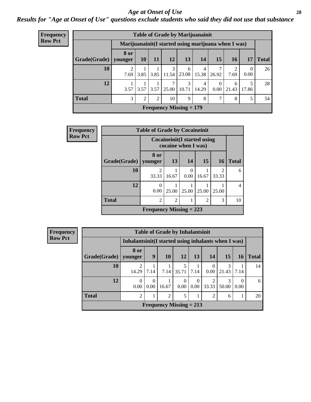#### *Age at Onset of Use* **28**

*Results for "Age at Onset of Use" questions exclude students who said they did not use that substance*

| Frequency      |              | <b>Table of Grade by Marijuanainit</b>               |           |      |                         |                                |            |                        |            |                  |              |  |  |  |  |
|----------------|--------------|------------------------------------------------------|-----------|------|-------------------------|--------------------------------|------------|------------------------|------------|------------------|--------------|--|--|--|--|
| <b>Row Pct</b> |              | Marijuanainit (I started using marijuana when I was) |           |      |                         |                                |            |                        |            |                  |              |  |  |  |  |
|                | Grade(Grade) | 8 or<br>younger                                      | <b>10</b> | 11   | 12                      | 13                             | 14         | 15                     | 16         | 17               | <b>Total</b> |  |  |  |  |
|                | 10           | $\overline{c}$<br>7.69                               | 3.85      | 3.85 | 3<br>11.54              | 6<br>23.08                     | 4<br>15.38 | 7<br>26.92             | 2<br>7.69  | $\Omega$<br>0.00 | 26           |  |  |  |  |
|                | 12           | 3.57                                                 | 3.57      |      | $3.57 \,   \, 25.00 \,$ | 3<br>10.71                     | 4<br>14.29 | $\overline{0}$<br>0.00 | 6<br>21.43 | 5<br>17.86       | 28           |  |  |  |  |
|                | <b>Total</b> | 3                                                    | 2         | 2    | 10                      | 9                              | 8          | 7                      | 8          | 5                | 54           |  |  |  |  |
|                |              |                                                      |           |      |                         | <b>Frequency Missing = 179</b> |            |                        |            |                  |              |  |  |  |  |

| <b>Frequency</b> | <b>Table of Grade by Cocaineinit</b> |                           |                     |                  |                 |                                     |              |  |  |
|------------------|--------------------------------------|---------------------------|---------------------|------------------|-----------------|-------------------------------------|--------------|--|--|
| <b>Row Pct</b>   |                                      |                           | cocaine when I was) |                  |                 | <b>Cocaineinit</b> (I started using |              |  |  |
|                  | Grade(Grade)                         | 8 or<br>younger           | 13                  | 14               | 15 <sup>1</sup> | 16                                  | <b>Total</b> |  |  |
|                  | 10                                   | $\mathfrak{D}$<br>33.33   | 16.67               | $\Omega$<br>0.00 | 16.67           | $\overline{2}$<br>33.33             | 6            |  |  |
|                  | 12                                   | $\mathcal{L}$<br>0.00     | 25.00               | 25.00            | 25.00           | 25.00                               | 4            |  |  |
|                  | <b>Total</b>                         | $\mathfrak{D}$            | $\overline{2}$      |                  | $\mathcal{D}$   | 3                                   | 10           |  |  |
|                  |                                      | Frequency Missing $= 223$ |                     |                  |                 |                                     |              |  |  |

| <b>Frequency</b> |              |                                                      |                  |                | <b>Table of Grade by Inhalantsinit</b> |                  |                |            |                  |              |
|------------------|--------------|------------------------------------------------------|------------------|----------------|----------------------------------------|------------------|----------------|------------|------------------|--------------|
| <b>Row Pct</b>   |              | Inhalantsinit (I started using inhalants when I was) |                  |                |                                        |                  |                |            |                  |              |
|                  | Grade(Grade) | 8 or<br>younger                                      | 9                | <b>10</b>      | 12                                     | 13               | 14             | <b>15</b>  | 16               | <b>Total</b> |
|                  | 10           | 14.29                                                | 7.14             | 7.14           | 35.71                                  | 7.14             | 0<br>0.00      | 3<br>21.43 | 7.14             | 14           |
|                  | 12           | $\Omega$<br>0.00                                     | $\theta$<br>0.00 | 16.67          | $\theta$<br>0.00                       | $\Omega$<br>0.00 | ∍<br>33.33     | 3<br>50.00 | $\Omega$<br>0.00 | 6            |
|                  | <b>Total</b> | $\overline{2}$                                       | 1                | $\overline{2}$ | 5                                      |                  | $\overline{2}$ | 6          |                  | 20           |
|                  |              |                                                      |                  |                | Frequency Missing $= 213$              |                  |                |            |                  |              |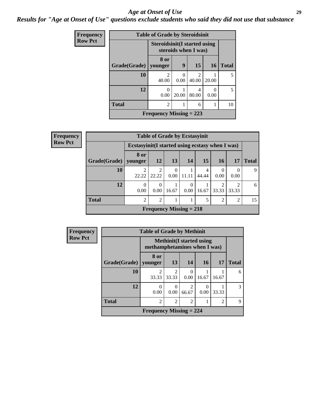#### *Age at Onset of Use* **29**

*Results for "Age at Onset of Use" questions exclude students who said they did not use that substance*

| Frequency      | <b>Table of Grade by Steroidsinit</b> |                           |                  |                                                              |           |              |  |  |  |
|----------------|---------------------------------------|---------------------------|------------------|--------------------------------------------------------------|-----------|--------------|--|--|--|
| <b>Row Pct</b> |                                       |                           |                  | <b>Steroidsinit (I started using</b><br>steroids when I was) |           |              |  |  |  |
|                | Grade(Grade)                          | 8 or<br>younger           | 9                | 15                                                           | <b>16</b> | <b>Total</b> |  |  |  |
|                | 10                                    | $\mathfrak{D}$<br>40.00   | $\Omega$<br>0.00 | $\mathcal{D}_{\mathcal{A}}$<br>40.00                         | 20.00     | 5            |  |  |  |
|                | 12                                    | 0<br>0.00                 | 20.00            | 4<br>80.00                                                   | 0<br>0.00 | 5            |  |  |  |
|                | <b>Total</b>                          | $\overline{c}$            |                  | 6                                                            |           | 10           |  |  |  |
|                |                                       | Frequency Missing $= 223$ |                  |                                                              |           |              |  |  |  |

| <b>Frequency</b> | <b>Table of Grade by Ecstasyinit</b> |                                                  |                               |           |           |            |           |                |              |  |
|------------------|--------------------------------------|--------------------------------------------------|-------------------------------|-----------|-----------|------------|-----------|----------------|--------------|--|
| <b>Row Pct</b>   |                                      | Ecstasyinit (I started using ecstasy when I was) |                               |           |           |            |           |                |              |  |
|                  | Grade(Grade)                         | 8 or<br>younger                                  | <b>12</b>                     | <b>13</b> | 14        | 15         | <b>16</b> | <b>17</b>      | <b>Total</b> |  |
|                  | 10                                   | 22.22                                            | 2<br>22.22                    | 0<br>0.00 | 11.11     | 4<br>44.44 | 0.00      | 0.00           | 9            |  |
|                  | 12                                   | $\Omega$<br>0.00                                 | $\theta$<br>0.00 <sub>l</sub> | 16.67     | 0<br>0.00 | 16.67      | 33.33     | ↑<br>33.33     | 6            |  |
|                  | <b>Total</b>                         | $\mathfrak{D}$                                   | $\overline{2}$                |           |           | 5          | ↑         | $\overline{2}$ | 15           |  |
|                  |                                      |                                                  | Frequency Missing $= 218$     |           |           |            |           |                |              |  |

| <b>Frequency</b> | <b>Table of Grade by Methinit</b> |                                |                         |                                  |       |                |               |  |  |
|------------------|-----------------------------------|--------------------------------|-------------------------|----------------------------------|-------|----------------|---------------|--|--|
| <b>Row Pct</b>   |                                   | methamphetamines when I was)   |                         | <b>Methinit</b> (I started using |       |                |               |  |  |
|                  | Grade(Grade)   younger            | 8 or                           | 13                      | 14                               | 16    | 17             | <b>Total</b>  |  |  |
|                  | 10                                | $\mathfrak{D}$<br>33.33        | $\mathfrak{D}$<br>33.33 | $\Omega$<br>0.00                 | 16.67 | 16.67          | 6             |  |  |
|                  | 12                                | $\mathcal{O}$<br>0.00          | $\theta$<br>0.00        | $\overline{2}$<br>66.67          | 0.00  | 33.33          | $\mathcal{R}$ |  |  |
|                  | <b>Total</b>                      | $\overline{c}$                 | $\overline{2}$          | $\overline{2}$                   |       | $\overline{c}$ | 9             |  |  |
|                  |                                   | <b>Frequency Missing = 224</b> |                         |                                  |       |                |               |  |  |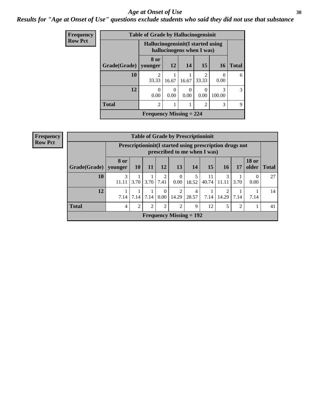### Age at Onset of Use **30**

### *Results for "Age at Onset of Use" questions exclude students who said they did not use that substance*

| Frequency      |                                                                 | <b>Table of Grade by Hallucinogensinit</b> |           |           |                         |                          |              |  |  |  |
|----------------|-----------------------------------------------------------------|--------------------------------------------|-----------|-----------|-------------------------|--------------------------|--------------|--|--|--|
| <b>Row Pct</b> | Hallucinogensinit (I started using<br>hallucinogens when I was) |                                            |           |           |                         |                          |              |  |  |  |
|                | Grade(Grade)                                                    | 8 or<br>younger                            | <b>12</b> | 14        | 15                      | <b>16</b>                | <b>Total</b> |  |  |  |
|                | 10                                                              | $\overline{c}$<br>33.33                    | 16.67     | 16.67     | $\overline{c}$<br>33.33 | $\left( \right)$<br>0.00 | 6            |  |  |  |
|                | 12                                                              | $\theta$<br>0.00                           | 0<br>0.00 | 0<br>0.00 | 0<br>0.00               | 3<br>100.00              | 3            |  |  |  |
|                | <b>Total</b>                                                    | $\overline{c}$                             |           |           | $\overline{c}$          | 3                        | 9            |  |  |  |
|                |                                                                 | Frequency Missing $= 224$                  |           |           |                         |                          |              |  |  |  |

| <b>Frequency</b> |  |
|------------------|--|
| <b>Row Pct</b>   |  |

| <b>Table of Grade by Prescriptioninit</b> |                                                                                            |                |                |                  |                         |            |             |            |                |                       |              |
|-------------------------------------------|--------------------------------------------------------------------------------------------|----------------|----------------|------------------|-------------------------|------------|-------------|------------|----------------|-----------------------|--------------|
|                                           | Prescription in it (I started using prescription drugs not<br>prescribed to me when I was) |                |                |                  |                         |            |             |            |                |                       |              |
| Grade(Grade)   younger                    | 8 or                                                                                       | <b>10</b>      | <b>11</b>      | <b>12</b>        | 13                      | 14         | 15          | <b>16</b>  | 17             | <b>18 or</b><br>older | <b>Total</b> |
| 10                                        | 3<br>11.11                                                                                 | 3.70           | 3.70           | 2<br>7.41        | $\theta$<br>$0.00\,$    | 18.52      | 11<br>40.74 | 3<br>11.11 | 3.70           | 0.00                  | 27           |
| 12                                        | 7.14                                                                                       | 7.14           | 7.14           | $\Omega$<br>0.00 | $\overline{2}$<br>14.29 | 4<br>28.57 | 7.14        | 2<br>14.29 | 7.14           | 7.14                  | 14           |
| <b>Total</b>                              | $\overline{4}$                                                                             | $\overline{2}$ | $\overline{2}$ | 2                | $\overline{2}$          | 9          | 12          | 5          | $\overline{2}$ |                       | 41           |
|                                           | Frequency Missing $= 192$                                                                  |                |                |                  |                         |            |             |            |                |                       |              |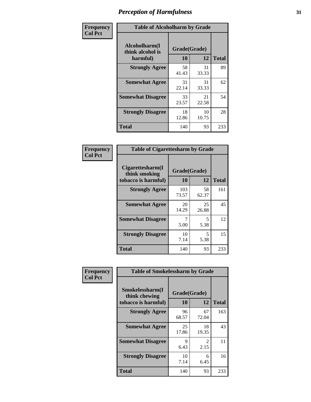| Frequency      | <b>Table of Alcoholharm by Grade</b>          |                    |             |              |  |  |  |  |
|----------------|-----------------------------------------------|--------------------|-------------|--------------|--|--|--|--|
| <b>Col Pct</b> | Alcoholharm(I<br>think alcohol is<br>harmful) | Grade(Grade)<br>10 | 12          | <b>Total</b> |  |  |  |  |
|                | <b>Strongly Agree</b>                         | 58<br>41.43        | 31<br>33.33 | 89           |  |  |  |  |
|                | <b>Somewhat Agree</b>                         | 31<br>22.14        | 31<br>33.33 | 62           |  |  |  |  |
|                | <b>Somewhat Disagree</b>                      | 33<br>23.57        | 21<br>22.58 | 54           |  |  |  |  |
|                | <b>Strongly Disagree</b>                      | 18<br>12.86        | 10<br>10.75 | 28           |  |  |  |  |
|                | <b>Total</b>                                  | 140                | 93          | 233          |  |  |  |  |

| <b>Table of Cigarettesharm by Grade</b>                  |                    |             |              |  |  |  |  |  |
|----------------------------------------------------------|--------------------|-------------|--------------|--|--|--|--|--|
| Cigarettesharm(I<br>think smoking<br>tobacco is harmful) | Grade(Grade)<br>10 | 12          | <b>Total</b> |  |  |  |  |  |
| <b>Strongly Agree</b>                                    | 103<br>73.57       | 58<br>62.37 | 161          |  |  |  |  |  |
| <b>Somewhat Agree</b>                                    | 20<br>14.29        | 25<br>26.88 | 45           |  |  |  |  |  |
| <b>Somewhat Disagree</b>                                 | 7<br>5.00          | 5<br>5.38   | 12           |  |  |  |  |  |
| <b>Strongly Disagree</b>                                 | 10<br>7.14         | 5<br>5.38   | 15           |  |  |  |  |  |
| <b>Total</b>                                             | 140                | 93          | 233          |  |  |  |  |  |

| Frequency      | <b>Table of Smokelessharm by Grade</b>                  |                           |                       |              |
|----------------|---------------------------------------------------------|---------------------------|-----------------------|--------------|
| <b>Col Pct</b> | Smokelessharm(I<br>think chewing<br>tobacco is harmful) | Grade(Grade)<br><b>10</b> | 12                    | <b>Total</b> |
|                | <b>Strongly Agree</b>                                   | 96<br>68.57               | 67<br>72.04           | 163          |
|                | <b>Somewhat Agree</b>                                   | 25<br>17.86               | 18<br>19.35           | 43           |
|                | <b>Somewhat Disagree</b>                                | 9<br>6.43                 | $\mathcal{L}$<br>2.15 | 11           |
|                | <b>Strongly Disagree</b>                                | 10<br>7.14                | 6<br>6.45             | 16           |
|                | Total                                                   | 140                       | 93                    | 233          |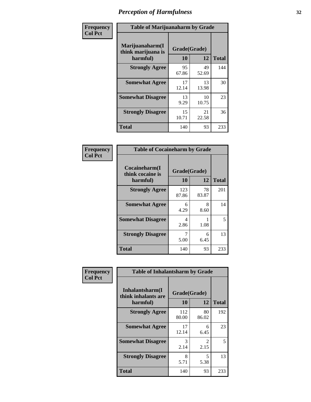| Frequency      | <b>Table of Marijuanaharm by Grade</b>            |                    |             |              |  |  |  |  |  |
|----------------|---------------------------------------------------|--------------------|-------------|--------------|--|--|--|--|--|
| <b>Col Pct</b> | Marijuanaharm(I<br>think marijuana is<br>harmful) | Grade(Grade)<br>10 | 12          | <b>Total</b> |  |  |  |  |  |
|                | <b>Strongly Agree</b>                             | 95<br>67.86        | 49<br>52.69 | 144          |  |  |  |  |  |
|                | <b>Somewhat Agree</b>                             | 17<br>12.14        | 13<br>13.98 | 30           |  |  |  |  |  |
|                | <b>Somewhat Disagree</b>                          | 13<br>9.29         | 10<br>10.75 | 23           |  |  |  |  |  |
|                | <b>Strongly Disagree</b>                          | 15<br>10.71        | 21<br>22.58 | 36           |  |  |  |  |  |
|                | <b>Total</b>                                      | 140                | 93          | 233          |  |  |  |  |  |

| <b>Table of Cocaineharm by Grade</b>          |                    |              |     |  |  |
|-----------------------------------------------|--------------------|--------------|-----|--|--|
| Cocaineharm(I<br>think cocaine is<br>harmful) | Grade(Grade)<br>10 | <b>Total</b> |     |  |  |
| <b>Strongly Agree</b>                         | 123<br>87.86       | 78<br>83.87  | 201 |  |  |
| <b>Somewhat Agree</b>                         | 6<br>4.29          | 8<br>8.60    | 14  |  |  |
| <b>Somewhat Disagree</b>                      | 4<br>2.86          | 1.08         | 5   |  |  |
| <b>Strongly Disagree</b>                      | 7<br>5.00          | 6<br>6.45    | 13  |  |  |
| <b>Total</b>                                  | 140                | 93           | 233 |  |  |

| Frequency      | <b>Table of Inhalantsharm by Grade</b>             |                           |             |              |  |
|----------------|----------------------------------------------------|---------------------------|-------------|--------------|--|
| <b>Col Pct</b> | Inhalantsharm(I<br>think inhalants are<br>harmful) | Grade(Grade)<br><b>10</b> | 12          | <b>Total</b> |  |
|                | <b>Strongly Agree</b>                              | 112<br>80.00              | 80<br>86.02 | 192          |  |
|                | <b>Somewhat Agree</b>                              | 17<br>12.14               | 6<br>6.45   | 23           |  |
|                | <b>Somewhat Disagree</b>                           | 3<br>2.14                 | 2<br>2.15   | 5            |  |
|                | <b>Strongly Disagree</b>                           | 8<br>5.71                 | 5<br>5.38   | 13           |  |
|                | <b>Total</b>                                       | 140                       | 93          | 233          |  |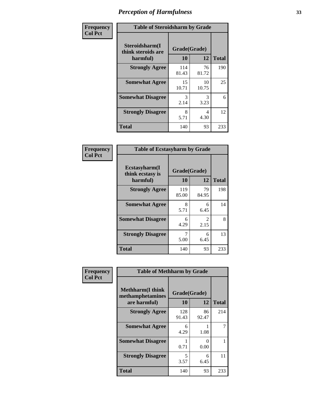| Frequency      | <b>Table of Steroidsharm by Grade</b>            |                    |             |              |
|----------------|--------------------------------------------------|--------------------|-------------|--------------|
| <b>Col Pct</b> | Steroidsharm(I<br>think steroids are<br>harmful) | Grade(Grade)<br>10 | 12          | <b>Total</b> |
|                | <b>Strongly Agree</b>                            | 114<br>81.43       | 76<br>81.72 | 190          |
|                | <b>Somewhat Agree</b>                            | 15<br>10.71        | 10<br>10.75 | 25           |
|                | <b>Somewhat Disagree</b>                         | 3<br>2.14          | 3<br>3.23   | 6            |
|                | <b>Strongly Disagree</b>                         | 8<br>5.71          | 4<br>4.30   | 12           |
|                | <b>Total</b>                                     | 140                | 93          | 233          |

| <b>Table of Ecstasyharm by Grade</b>          |                    |              |     |  |  |  |
|-----------------------------------------------|--------------------|--------------|-----|--|--|--|
| Ecstasyharm(I<br>think ecstasy is<br>harmful) | Grade(Grade)<br>10 | <b>Total</b> |     |  |  |  |
| <b>Strongly Agree</b>                         | 119<br>85.00       | 79<br>84.95  | 198 |  |  |  |
| <b>Somewhat Agree</b>                         | 8<br>5.71          | 6<br>6.45    | 14  |  |  |  |
| <b>Somewhat Disagree</b>                      | 6<br>4.29          | 2<br>2.15    | 8   |  |  |  |
| <b>Strongly Disagree</b>                      | 7<br>5.00          | 6<br>6.45    | 13  |  |  |  |
| Total                                         | 140                | 93           | 233 |  |  |  |

| Frequency      | <b>Table of Methharm by Grade</b>                            |                    |                           |              |
|----------------|--------------------------------------------------------------|--------------------|---------------------------|--------------|
| <b>Col Pct</b> | <b>Methharm</b> (I think<br>methamphetamines<br>are harmful) | Grade(Grade)<br>10 | 12                        | <b>Total</b> |
|                | <b>Strongly Agree</b>                                        | 128<br>91.43       | 86<br>92.47               | 214          |
|                | <b>Somewhat Agree</b>                                        | 6<br>4.29          | 1.08                      |              |
|                | <b>Somewhat Disagree</b>                                     | 0.71               | $\mathbf{\Omega}$<br>0.00 |              |
|                | <b>Strongly Disagree</b>                                     | 5<br>3.57          | 6<br>6.45                 | 11           |
|                | <b>Total</b>                                                 | 140                | 93                        | 233          |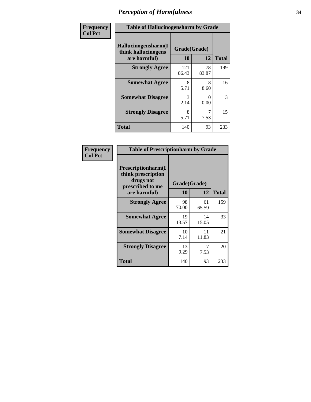| Frequency      | <b>Table of Hallucinogensharm by Grade</b>                 |                    |             |              |
|----------------|------------------------------------------------------------|--------------------|-------------|--------------|
| <b>Col Pct</b> | Hallucinogensharm(I<br>think hallucinogens<br>are harmful) | Grade(Grade)<br>10 | 12          | <b>Total</b> |
|                | <b>Strongly Agree</b>                                      | 121<br>86.43       | 78<br>83.87 | 199          |
|                | <b>Somewhat Agree</b>                                      | 8<br>5.71          | 8<br>8.60   | 16           |
|                | <b>Somewhat Disagree</b>                                   | 3<br>2.14          | 0<br>0.00   | 3            |
|                | <b>Strongly Disagree</b>                                   | 8<br>5.71          | 7<br>7.53   | 15           |
|                | <b>Total</b>                                               | 140                | 93          | 233          |

| <b>Table of Prescriptionharm by Grade</b>                                 |                    |             |              |  |  |
|---------------------------------------------------------------------------|--------------------|-------------|--------------|--|--|
| Prescriptionharm(I<br>think prescription<br>drugs not<br>prescribed to me | Grade(Grade)<br>10 | 12          | <b>Total</b> |  |  |
| are harmful)<br><b>Strongly Agree</b>                                     | 98                 | 61          | 159          |  |  |
|                                                                           | 70.00              | 65.59       |              |  |  |
| <b>Somewhat Agree</b>                                                     | 19<br>13.57        | 14<br>15.05 | 33           |  |  |
| <b>Somewhat Disagree</b>                                                  | 10<br>7.14         | 11<br>11.83 | 21           |  |  |
| <b>Strongly Disagree</b>                                                  | 13<br>9.29         | 7<br>7.53   | 20           |  |  |
| Total                                                                     | 140                | 93          | 233          |  |  |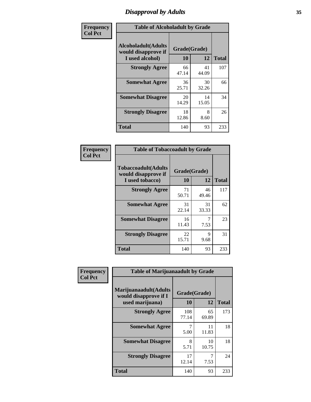# *Disapproval by Adults* **35**

| Frequency      | <b>Table of Alcoholadult by Grade</b>                                 |                    |             |              |  |
|----------------|-----------------------------------------------------------------------|--------------------|-------------|--------------|--|
| <b>Col Pct</b> | <b>Alcoholadult</b> (Adults<br>would disapprove if<br>I used alcohol) | Grade(Grade)<br>10 | 12          | <b>Total</b> |  |
|                | <b>Strongly Agree</b>                                                 | 66<br>47.14        | 41<br>44.09 | 107          |  |
|                | <b>Somewhat Agree</b>                                                 | 36<br>25.71        | 30<br>32.26 | 66           |  |
|                | <b>Somewhat Disagree</b>                                              | 20<br>14.29        | 14<br>15.05 | 34           |  |
|                | <b>Strongly Disagree</b>                                              | 18<br>12.86        | 8<br>8.60   | 26           |  |
|                | <b>Total</b>                                                          | 140                | 93          | 233          |  |

| <b>Table of Tobaccoadult by Grade</b>                                |                          |             |     |  |
|----------------------------------------------------------------------|--------------------------|-------------|-----|--|
| <b>Tobaccoadult(Adults</b><br>would disapprove if<br>I used tobacco) | Grade(Grade)<br>10<br>12 |             |     |  |
| <b>Strongly Agree</b>                                                | 71<br>50.71              | 46<br>49.46 | 117 |  |
| <b>Somewhat Agree</b>                                                | 31<br>22.14              | 31<br>33.33 | 62  |  |
| <b>Somewhat Disagree</b>                                             | 16<br>11.43              | 7<br>7.53   | 23  |  |
| <b>Strongly Disagree</b>                                             | 22<br>15.71              | 9<br>9.68   | 31  |  |
| <b>Total</b>                                                         | 140                      | 93          | 233 |  |

| Frequency      | <b>Table of Marijuanaadult by Grade</b>                           |                    |             |              |  |
|----------------|-------------------------------------------------------------------|--------------------|-------------|--------------|--|
| <b>Col Pct</b> | Marijuanaadult(Adults<br>would disapprove if I<br>used marijuana) | Grade(Grade)<br>10 | 12          | <b>Total</b> |  |
|                | <b>Strongly Agree</b>                                             | 108<br>77.14       | 65<br>69.89 | 173          |  |
|                | <b>Somewhat Agree</b>                                             | 5.00               | 11<br>11.83 | 18           |  |
|                | <b>Somewhat Disagree</b>                                          | 8<br>5.71          | 10<br>10.75 | 18           |  |
|                | <b>Strongly Disagree</b>                                          | 17<br>12.14        | 7<br>7.53   | 24           |  |
|                | <b>Total</b>                                                      | 140                | 93          | 233          |  |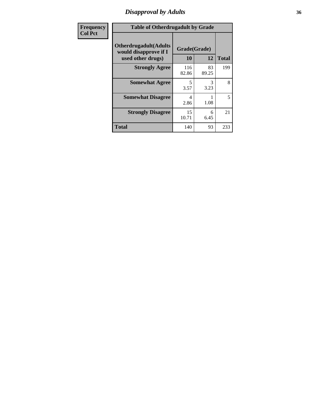# *Disapproval by Adults* **36**

| <b>Frequency</b> | <b>Table of Otherdrugadult by Grade</b>                                     |                    |             |              |
|------------------|-----------------------------------------------------------------------------|--------------------|-------------|--------------|
| <b>Col Pct</b>   | <b>Otherdrugadult</b> (Adults<br>would disapprove if I<br>used other drugs) | Grade(Grade)<br>10 | 12          | <b>Total</b> |
|                  | <b>Strongly Agree</b>                                                       | 116<br>82.86       | 83<br>89.25 | 199          |
|                  | <b>Somewhat Agree</b>                                                       | 5<br>3.57          | 3<br>3.23   | 8            |
|                  | <b>Somewhat Disagree</b>                                                    | 4<br>2.86          | 1.08        | 5            |
|                  | <b>Strongly Disagree</b>                                                    | 15<br>10.71        | 6<br>6.45   | 21           |
|                  | <b>Total</b>                                                                | 140                | 93          | 233          |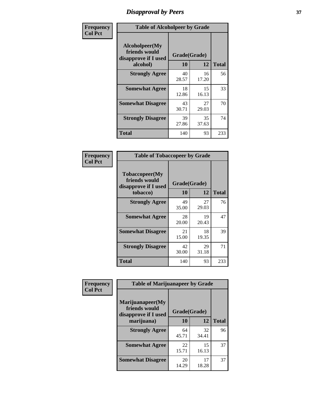# *Disapproval by Peers* **37**

| Frequency      | <b>Table of Alcoholpeer by Grade</b>                    |              |             |              |  |
|----------------|---------------------------------------------------------|--------------|-------------|--------------|--|
| <b>Col Pct</b> | Alcoholpeer(My<br>friends would<br>disapprove if I used | Grade(Grade) |             |              |  |
|                | alcohol)                                                | 10           | 12          | <b>Total</b> |  |
|                | <b>Strongly Agree</b>                                   | 40<br>28.57  | 16<br>17.20 | 56           |  |
|                | <b>Somewhat Agree</b>                                   | 18<br>12.86  | 15<br>16.13 | 33           |  |
|                | <b>Somewhat Disagree</b>                                | 43<br>30.71  | 27<br>29.03 | 70           |  |
|                | <b>Strongly Disagree</b>                                | 39<br>27.86  | 35<br>37.63 | 74           |  |
|                | Total                                                   | 140          | 93          | 233          |  |

| Frequency      | <b>Table of Tobaccopeer by Grade</b>                                |                    |             |              |
|----------------|---------------------------------------------------------------------|--------------------|-------------|--------------|
| <b>Col Pct</b> | Tobaccopeer(My<br>friends would<br>disapprove if I used<br>tobacco) | Grade(Grade)<br>10 | 12          | <b>Total</b> |
|                | <b>Strongly Agree</b>                                               | 49<br>35.00        | 27<br>29.03 | 76           |
|                | <b>Somewhat Agree</b>                                               | 28<br>20.00        | 19<br>20.43 | 47           |
|                | <b>Somewhat Disagree</b>                                            | 21<br>15.00        | 18<br>19.35 | 39           |
|                | <b>Strongly Disagree</b>                                            | 42<br>30.00        | 29<br>31.18 | 71           |
|                | <b>Total</b>                                                        | 140                | 93          | 233          |

| Frequency      | <b>Table of Marijuanapeer by Grade</b>                    |              |             |              |
|----------------|-----------------------------------------------------------|--------------|-------------|--------------|
| <b>Col Pct</b> | Marijuanapeer(My<br>friends would<br>disapprove if I used | Grade(Grade) |             |              |
|                | marijuana)                                                | 10           | 12          | <b>Total</b> |
|                | <b>Strongly Agree</b>                                     | 64<br>45.71  | 32<br>34.41 | 96           |
|                | <b>Somewhat Agree</b>                                     | 22<br>15.71  | 15<br>16.13 | 37           |
|                | <b>Somewhat Disagree</b>                                  | 20<br>14.29  | 17<br>18.28 | 37           |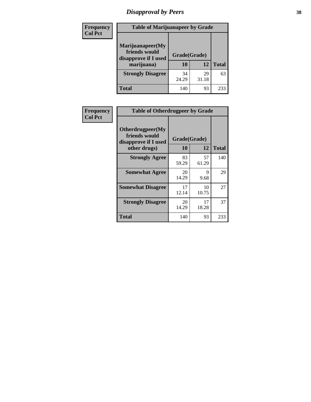# *Disapproval by Peers* **38**

| Frequency<br><b>Col Pct</b> | <b>Table of Marijuanapeer by Grade</b>                                  |                    |             |              |  |
|-----------------------------|-------------------------------------------------------------------------|--------------------|-------------|--------------|--|
|                             | Marijuanapeer(My<br>friends would<br>disapprove if I used<br>marijuana) | Grade(Grade)<br>10 | 12          | <b>Total</b> |  |
|                             | <b>Strongly Disagree</b>                                                | 34<br>24.29        | 29<br>31.18 | 63           |  |
|                             | Total                                                                   | 140                | 93          | 233          |  |

| Frequency      | <b>Table of Otherdrugpeer by Grade</b>                                    |             |                    |              |
|----------------|---------------------------------------------------------------------------|-------------|--------------------|--------------|
| <b>Col Pct</b> | Otherdrugpeer(My<br>friends would<br>disapprove if I used<br>other drugs) | 10          | Grade(Grade)<br>12 | <b>Total</b> |
|                | <b>Strongly Agree</b>                                                     | 83<br>59.29 | 57<br>61.29        | 140          |
|                | <b>Somewhat Agree</b>                                                     | 20<br>14.29 | 9<br>9.68          | 29           |
|                | <b>Somewhat Disagree</b>                                                  | 17<br>12.14 | 10<br>10.75        | 27           |
|                | <b>Strongly Disagree</b>                                                  | 20<br>14.29 | 17<br>18.28        | 37           |
|                | Total                                                                     | 140         | 93                 | 233          |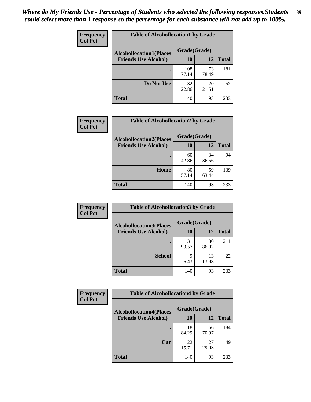| Frequency<br><b>Col Pct</b> | <b>Table of Alcohollocation1 by Grade</b> |              |             |              |  |
|-----------------------------|-------------------------------------------|--------------|-------------|--------------|--|
|                             | <b>Alcohollocation1(Places</b>            | Grade(Grade) |             |              |  |
|                             | <b>Friends Use Alcohol)</b>               | 10           | 12          | <b>Total</b> |  |
|                             |                                           | 108<br>77.14 | 73<br>78.49 | 181          |  |
|                             | Do Not Use                                | 32<br>22.86  | 20<br>21.51 | 52           |  |
|                             | <b>Total</b>                              | 140          | 93          | 233          |  |

| Frequency<br><b>Col Pct</b> | <b>Table of Alcohollocation2 by Grade</b>                     |                    |             |              |
|-----------------------------|---------------------------------------------------------------|--------------------|-------------|--------------|
|                             | <b>Alcohollocation2(Places</b><br><b>Friends Use Alcohol)</b> | Grade(Grade)<br>10 | 12          | <b>Total</b> |
|                             |                                                               | 60<br>42.86        | 34<br>36.56 | 94           |
|                             | Home                                                          | 80<br>57.14        | 59<br>63.44 | 139          |
|                             | Total                                                         | 140                | 93          | 233          |

| <b>Frequency</b> | <b>Table of Alcohollocation 3 by Grade</b> |              |             |              |
|------------------|--------------------------------------------|--------------|-------------|--------------|
| <b>Col Pct</b>   | <b>Alcohollocation3(Places</b>             | Grade(Grade) |             |              |
|                  | <b>Friends Use Alcohol)</b>                | <b>10</b>    | 12          | <b>Total</b> |
|                  |                                            | 131<br>93.57 | 80<br>86.02 | 211          |
|                  | <b>School</b>                              | 9<br>6.43    | 13<br>13.98 | 22           |
|                  | <b>Total</b>                               | 140          | 93          | 233          |

| Frequency      | <b>Table of Alcohollocation4 by Grade</b> |              |             |              |  |
|----------------|-------------------------------------------|--------------|-------------|--------------|--|
| <b>Col Pct</b> | <b>Alcohollocation4(Places</b>            | Grade(Grade) |             |              |  |
|                | <b>Friends Use Alcohol)</b>               | 10           | 12          | <b>Total</b> |  |
|                |                                           | 118<br>84.29 | 66<br>70.97 | 184          |  |
|                | Car                                       | 22<br>15.71  | 27<br>29.03 | 49           |  |
|                | <b>Total</b>                              | 140          | 93          | 233          |  |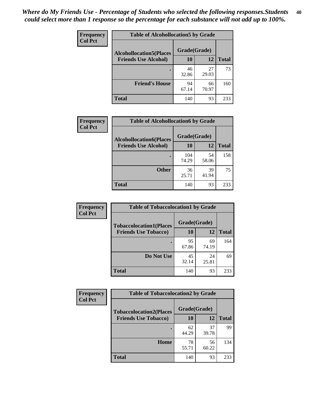| Frequency<br><b>Col Pct</b> | <b>Table of Alcohollocation5 by Grade</b> |              |             |              |  |
|-----------------------------|-------------------------------------------|--------------|-------------|--------------|--|
|                             | <b>Alcohollocation5(Places</b>            | Grade(Grade) |             |              |  |
|                             | <b>Friends Use Alcohol)</b>               | 10           | 12          | <b>Total</b> |  |
|                             |                                           | 46<br>32.86  | 27<br>29.03 | 73           |  |
|                             | <b>Friend's House</b>                     | 94<br>67.14  | 66<br>70.97 | 160          |  |
|                             | <b>Total</b>                              | 140          | 93          | 233          |  |

| <b>Frequency</b> | <b>Table of Alcohollocation6 by Grade</b> |              |             |              |
|------------------|-------------------------------------------|--------------|-------------|--------------|
| <b>Col Pct</b>   | <b>Alcohollocation6(Places</b>            | Grade(Grade) |             |              |
|                  | <b>Friends Use Alcohol)</b>               | 10           | 12          | <b>Total</b> |
|                  |                                           | 104<br>74.29 | 54<br>58.06 | 158          |
|                  | <b>Other</b>                              | 36<br>25.71  | 39<br>41.94 | 75           |
|                  | <b>Total</b>                              | 140          | 93          | 233          |

| Frequency      | <b>Table of Tobaccolocation1 by Grade</b> |              |             |              |
|----------------|-------------------------------------------|--------------|-------------|--------------|
| <b>Col Pct</b> | <b>Tobaccolocation1(Places</b>            | Grade(Grade) |             |              |
|                | <b>Friends Use Tobacco)</b>               | 10           | 12          | <b>Total</b> |
|                |                                           | 95<br>67.86  | 69<br>74.19 | 164          |
|                | Do Not Use                                | 45<br>32.14  | 24<br>25.81 | 69           |
|                | <b>Total</b>                              | 140          | 93          | 233          |

| Frequency      | <b>Table of Tobaccolocation2 by Grade</b> |              |             |              |  |
|----------------|-------------------------------------------|--------------|-------------|--------------|--|
| <b>Col Pct</b> | <b>Tobaccolocation2(Places</b>            | Grade(Grade) |             |              |  |
|                | <b>Friends Use Tobacco)</b>               | 10           | 12          | <b>Total</b> |  |
|                |                                           | 62<br>44.29  | 37<br>39.78 | 99           |  |
|                | Home                                      | 78<br>55.71  | 56<br>60.22 | 134          |  |
|                | <b>Total</b>                              | 140          | 93          | 233          |  |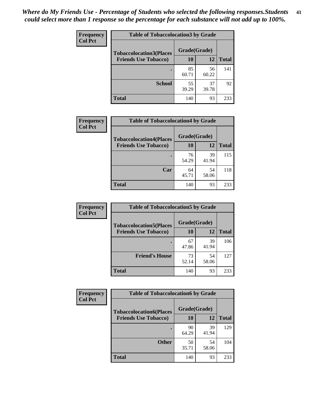| Frequency      | <b>Table of Tobaccolocation 3 by Grade</b> |              |             |              |
|----------------|--------------------------------------------|--------------|-------------|--------------|
| <b>Col Pct</b> | <b>Tobaccolocation3(Places</b>             | Grade(Grade) |             |              |
|                | <b>Friends Use Tobacco)</b>                | 10           | 12          | <b>Total</b> |
|                |                                            | 85<br>60.71  | 56<br>60.22 | 141          |
|                | <b>School</b>                              | 55<br>39.29  | 37<br>39.78 | 92           |
|                | <b>Total</b>                               | 140          | 93          | 233          |

| Frequency      | <b>Table of Tobaccolocation4 by Grade</b> |              |             |              |
|----------------|-------------------------------------------|--------------|-------------|--------------|
| <b>Col Pct</b> | <b>Tobaccolocation4(Places</b>            | Grade(Grade) |             |              |
|                | <b>Friends Use Tobacco)</b>               | 10           | 12          | <b>Total</b> |
|                |                                           | 76<br>54.29  | 39<br>41.94 | 115          |
|                | Car                                       | 64<br>45.71  | 54<br>58.06 | 118          |
|                | <b>Total</b>                              | 140          | 93          | 233          |

| Frequency      | <b>Table of Tobaccolocation5 by Grade</b> |              |             |              |
|----------------|-------------------------------------------|--------------|-------------|--------------|
| <b>Col Pct</b> | <b>Tobaccolocation5(Places</b>            | Grade(Grade) |             |              |
|                | <b>Friends Use Tobacco)</b>               | 10           | 12          | <b>Total</b> |
|                |                                           | 67<br>47.86  | 39<br>41.94 | 106          |
|                | <b>Friend's House</b>                     | 73<br>52.14  | 54<br>58.06 | 127          |
|                | <b>Total</b>                              | 140          | 93          | 233          |

| Frequency      | <b>Table of Tobaccolocation6 by Grade</b> |              |             |              |  |  |
|----------------|-------------------------------------------|--------------|-------------|--------------|--|--|
| <b>Col Pct</b> | <b>Tobaccolocation6(Places</b>            | Grade(Grade) |             |              |  |  |
|                | <b>Friends Use Tobacco)</b>               | 10           | 12          | <b>Total</b> |  |  |
|                |                                           | 90<br>64.29  | 39<br>41.94 | 129          |  |  |
|                | <b>Other</b>                              | 50<br>35.71  | 54<br>58.06 | 104          |  |  |
|                | <b>Total</b>                              | 140          | 93          | 233          |  |  |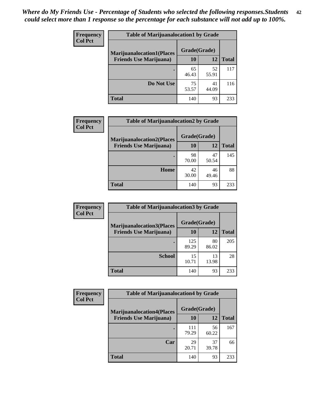| <b>Frequency</b> | <b>Table of Marijuanalocation1 by Grade</b> |              |             |              |
|------------------|---------------------------------------------|--------------|-------------|--------------|
| <b>Col Pct</b>   | <b>Marijuanalocation1(Places</b>            | Grade(Grade) |             |              |
|                  | <b>Friends Use Marijuana</b> )              | 10           | 12          | <b>Total</b> |
|                  |                                             | 65<br>46.43  | 52<br>55.91 | 117          |
|                  | Do Not Use                                  | 75<br>53.57  | 41<br>44.09 | 116          |
|                  | <b>Total</b>                                | 140          | 93          | 233          |

| <b>Frequency</b> | <b>Table of Marijuanalocation2 by Grade</b>                        |                    |             |              |
|------------------|--------------------------------------------------------------------|--------------------|-------------|--------------|
| <b>Col Pct</b>   | <b>Marijuanalocation2(Places</b><br><b>Friends Use Marijuana</b> ) | Grade(Grade)<br>10 | 12          | <b>Total</b> |
|                  |                                                                    | 98<br>70.00        | 47<br>50.54 | 145          |
|                  | Home                                                               | 42<br>30.00        | 46<br>49.46 | 88           |
|                  | <b>Total</b>                                                       | 140                | 93          | 233          |

| Frequency      | <b>Table of Marijuanalocation3 by Grade</b> |              |             |       |
|----------------|---------------------------------------------|--------------|-------------|-------|
| <b>Col Pct</b> | <b>Marijuanalocation3</b> (Places           | Grade(Grade) |             |       |
|                | <b>Friends Use Marijuana</b> )              | 10           | 12          | Total |
|                |                                             | 125<br>89.29 | 80<br>86.02 | 205   |
|                | <b>School</b>                               | 15<br>10.71  | 13<br>13.98 | 28    |
|                | <b>Total</b>                                | 140          | 93          | 233   |

| Frequency      | <b>Table of Marijuanalocation4 by Grade</b> |              |             |              |  |
|----------------|---------------------------------------------|--------------|-------------|--------------|--|
| <b>Col Pct</b> | <b>Marijuanalocation4(Places</b>            | Grade(Grade) |             |              |  |
|                | <b>Friends Use Marijuana</b> )              | <b>10</b>    | 12          | <b>Total</b> |  |
|                |                                             | 111<br>79.29 | 56<br>60.22 | 167          |  |
|                | Car                                         | 29<br>20.71  | 37<br>39.78 | 66           |  |
|                | <b>Total</b>                                | 140          | 93          | 233          |  |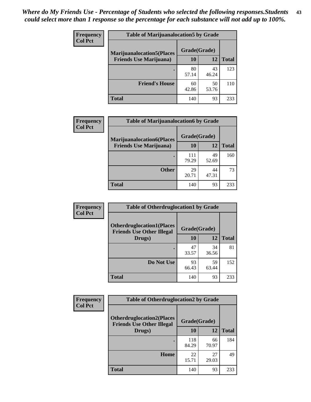| <b>Frequency</b> | <b>Table of Marijuanalocation5 by Grade</b> |              |             |              |
|------------------|---------------------------------------------|--------------|-------------|--------------|
| <b>Col Pct</b>   | <b>Marijuanalocation5(Places)</b>           | Grade(Grade) |             |              |
|                  | <b>Friends Use Marijuana</b> )              | 10           | 12          | <b>Total</b> |
|                  |                                             | 80<br>57.14  | 43<br>46.24 | 123          |
|                  | <b>Friend's House</b>                       | 60<br>42.86  | 50<br>53.76 | 110          |
|                  | <b>Total</b>                                | 140          | 93          | 233          |

| <b>Frequency</b> | <b>Table of Marijuanalocation6 by Grade</b>                        |                    |             |              |
|------------------|--------------------------------------------------------------------|--------------------|-------------|--------------|
| <b>Col Pct</b>   | <b>Marijuanalocation6(Places</b><br><b>Friends Use Marijuana</b> ) | Grade(Grade)<br>10 | 12          | <b>Total</b> |
|                  |                                                                    | 111<br>79.29       | 49<br>52.69 | 160          |
|                  | <b>Other</b>                                                       | 29<br>20.71        | 44<br>47.31 | 73           |
|                  | <b>Total</b>                                                       | 140                | 93          | 233          |

| Frequency      | <b>Table of Otherdruglocation1 by Grade</b>                          |              |             |              |
|----------------|----------------------------------------------------------------------|--------------|-------------|--------------|
| <b>Col Pct</b> | <b>Otherdruglocation1(Places</b><br><b>Friends Use Other Illegal</b> | Grade(Grade) |             |              |
|                | Drugs)                                                               | 10           | 12          | <b>Total</b> |
|                |                                                                      | 47<br>33.57  | 34<br>36.56 | 81           |
|                | Do Not Use                                                           | 93<br>66.43  | 59<br>63.44 | 152          |
|                | <b>Total</b>                                                         | 140          | 93          | 233          |

| Frequency      | <b>Table of Otherdruglocation2 by Grade</b>                          |              |             |              |
|----------------|----------------------------------------------------------------------|--------------|-------------|--------------|
| <b>Col Pct</b> | <b>Otherdruglocation2(Places</b><br><b>Friends Use Other Illegal</b> | Grade(Grade) |             |              |
|                | Drugs)                                                               | 10           | 12          | <b>Total</b> |
|                |                                                                      | 118<br>84.29 | 66<br>70.97 | 184          |
|                | Home                                                                 | 22<br>15.71  | 27<br>29.03 | 49           |
|                | <b>Total</b>                                                         | 140          | 93          | 233          |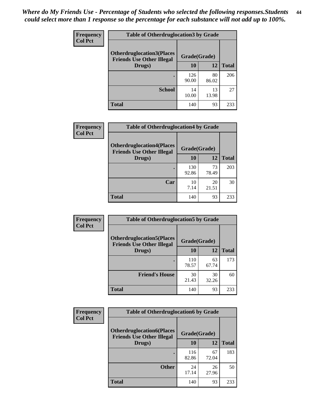| <b>Frequency</b> | <b>Table of Otherdruglocation3 by Grade</b>                          |              |             |              |
|------------------|----------------------------------------------------------------------|--------------|-------------|--------------|
| <b>Col Pct</b>   | <b>Otherdruglocation3(Places</b><br><b>Friends Use Other Illegal</b> | Grade(Grade) |             |              |
|                  | Drugs)                                                               | 10           | 12          | <b>Total</b> |
|                  |                                                                      | 126<br>90.00 | 80<br>86.02 | 206          |
|                  | <b>School</b>                                                        | 14<br>10.00  | 13<br>13.98 | 27           |
|                  | <b>Total</b>                                                         | 140          | 93          | 233          |

| <b>Frequency</b> | <b>Table of Otherdruglocation4 by Grade</b>                          |              |             |              |
|------------------|----------------------------------------------------------------------|--------------|-------------|--------------|
| <b>Col Pct</b>   | <b>Otherdruglocation4(Places</b><br><b>Friends Use Other Illegal</b> | Grade(Grade) |             |              |
|                  | Drugs)                                                               | 10           | 12          | <b>Total</b> |
|                  |                                                                      | 130<br>92.86 | 73<br>78.49 | 203          |
|                  | Car                                                                  | 10<br>7.14   | 20<br>21.51 | 30           |
|                  | <b>Total</b>                                                         | 140          | 93          | 233          |

| Frequency      | <b>Table of Otherdruglocation5 by Grade</b>                          |              |             |              |
|----------------|----------------------------------------------------------------------|--------------|-------------|--------------|
| <b>Col Pct</b> | <b>Otherdruglocation5(Places</b><br><b>Friends Use Other Illegal</b> | Grade(Grade) |             |              |
|                | Drugs)                                                               | 10           | 12          | <b>Total</b> |
|                |                                                                      | 110<br>78.57 | 63<br>67.74 | 173          |
|                | <b>Friend's House</b>                                                | 30<br>21.43  | 30<br>32.26 | 60           |
|                | <b>Total</b>                                                         | 140          | 93          | 233          |

| <b>Frequency</b> | <b>Table of Otherdruglocation6 by Grade</b>                          |              |             |              |
|------------------|----------------------------------------------------------------------|--------------|-------------|--------------|
| <b>Col Pct</b>   | <b>Otherdruglocation6(Places</b><br><b>Friends Use Other Illegal</b> | Grade(Grade) |             |              |
|                  | Drugs)                                                               | <b>10</b>    | 12          | <b>Total</b> |
|                  |                                                                      | 116<br>82.86 | 67<br>72.04 | 183          |
|                  | <b>Other</b>                                                         | 24<br>17.14  | 26<br>27.96 | 50           |
|                  | <b>Total</b>                                                         | 140          | 93          | 233          |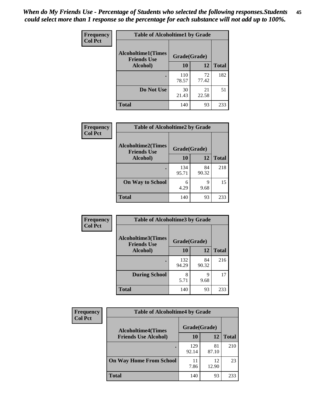| Frequency      | <b>Table of Alcoholtime1 by Grade</b>           |              |             |              |
|----------------|-------------------------------------------------|--------------|-------------|--------------|
| <b>Col Pct</b> | <b>Alcoholtime1(Times</b><br><b>Friends Use</b> | Grade(Grade) |             |              |
|                | Alcohol)                                        | 10           | 12          | <b>Total</b> |
|                |                                                 | 110<br>78.57 | 72<br>77.42 | 182          |
|                | Do Not Use                                      | 30<br>21.43  | 21<br>22.58 | 51           |
|                | <b>Total</b>                                    | 140          | 93          | 233          |

| Frequency      | <b>Table of Alcoholtime2 by Grade</b>           |              |             |              |
|----------------|-------------------------------------------------|--------------|-------------|--------------|
| <b>Col Pct</b> | <b>Alcoholtime2(Times</b><br><b>Friends Use</b> | Grade(Grade) |             |              |
|                | Alcohol)                                        | 10           | 12          | <b>Total</b> |
|                |                                                 | 134<br>95.71 | 84<br>90.32 | 218          |
|                | <b>On Way to School</b>                         | 6<br>4.29    | 9<br>9.68   | 15           |
|                | <b>Total</b>                                    | 140          | 93          | 233          |

| Frequency      | <b>Table of Alcoholtime3 by Grade</b>           |              |             |              |
|----------------|-------------------------------------------------|--------------|-------------|--------------|
| <b>Col Pct</b> | <b>Alcoholtime3(Times</b><br><b>Friends Use</b> | Grade(Grade) |             |              |
|                | Alcohol)                                        | <b>10</b>    | 12          | <b>Total</b> |
|                |                                                 | 132<br>94.29 | 84<br>90.32 | 216          |
|                | <b>During School</b>                            | 8<br>5.71    | 9<br>9.68   | 17           |
|                | <b>Total</b>                                    | 140          | 93          | 233          |

| <b>Frequency</b><br><b>Col Pct</b> | <b>Table of Alcoholtime4 by Grade</b> |              |             |              |
|------------------------------------|---------------------------------------|--------------|-------------|--------------|
|                                    | <b>Alcoholtime4(Times</b>             | Grade(Grade) |             |              |
|                                    | <b>Friends Use Alcohol)</b>           | 10           | 12          | <b>Total</b> |
|                                    |                                       | 129<br>92.14 | 81<br>87.10 | 210          |
|                                    | <b>On Way Home From School</b>        | 7.86         | 12<br>12.90 | 23           |
|                                    | <b>Total</b>                          | 140          | 93          | 233          |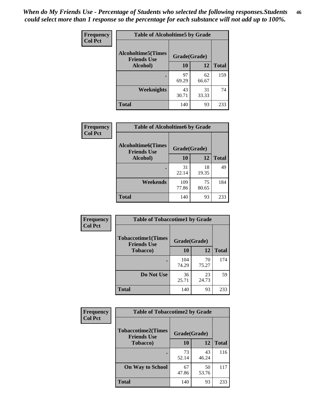*When do My Friends Use - Percentage of Students who selected the following responses.Students could select more than 1 response so the percentage for each substance will not add up to 100%.* **46**

| <b>Frequency</b> | <b>Table of Alcoholtime5 by Grade</b>            |              |             |              |
|------------------|--------------------------------------------------|--------------|-------------|--------------|
| <b>Col Pct</b>   | <b>Alcoholtime5</b> (Times<br><b>Friends Use</b> | Grade(Grade) |             |              |
|                  | Alcohol)                                         | 10           | 12          | <b>Total</b> |
|                  | ٠                                                | 97<br>69.29  | 62<br>66.67 | 159          |
|                  | Weeknights                                       | 43<br>30.71  | 31<br>33.33 | 74           |
|                  | <b>Total</b>                                     | 140          | 93          | 233          |

| Frequency      | <b>Table of Alcoholtime6 by Grade</b>           |              |             |              |
|----------------|-------------------------------------------------|--------------|-------------|--------------|
| <b>Col Pct</b> | <b>Alcoholtime6(Times</b><br><b>Friends Use</b> | Grade(Grade) |             |              |
|                | Alcohol)                                        | 10           | 12          | <b>Total</b> |
|                |                                                 | 31<br>22.14  | 18<br>19.35 | 49           |
|                | Weekends                                        | 109<br>77.86 | 75<br>80.65 | 184          |
|                | <b>Total</b>                                    | 140          | 93          | 233          |

| Frequency      | <b>Table of Tobaccotime1 by Grade</b>           |              |             |              |
|----------------|-------------------------------------------------|--------------|-------------|--------------|
| <b>Col Pct</b> | <b>Tobaccotime1(Times</b><br><b>Friends Use</b> | Grade(Grade) |             |              |
|                | <b>Tobacco</b> )                                | 10           | 12          | <b>Total</b> |
|                | ٠                                               | 104<br>74.29 | 70<br>75.27 | 174          |
|                | Do Not Use                                      | 36<br>25.71  | 23<br>24.73 | 59           |
|                | <b>Total</b>                                    | 140          | 93          | 233          |

| <b>Frequency</b> | <b>Table of Tobaccotime2 by Grade</b>           |              |             |              |
|------------------|-------------------------------------------------|--------------|-------------|--------------|
| <b>Col Pct</b>   | <b>Tobaccotime2(Times</b><br><b>Friends Use</b> | Grade(Grade) |             |              |
|                  | <b>Tobacco</b> )                                | 10           | 12          | <b>Total</b> |
|                  |                                                 | 73<br>52.14  | 43<br>46.24 | 116          |
|                  | <b>On Way to School</b>                         | 67<br>47.86  | 50<br>53.76 | 117          |
|                  | <b>Total</b>                                    | 140          | 93          | 233          |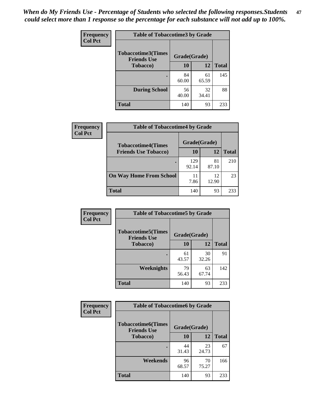*When do My Friends Use - Percentage of Students who selected the following responses.Students could select more than 1 response so the percentage for each substance will not add up to 100%.* **47**

| <b>Frequency</b> | <b>Table of Tobaccotime3 by Grade</b>           |              |             |              |  |
|------------------|-------------------------------------------------|--------------|-------------|--------------|--|
| <b>Col Pct</b>   | <b>Tobaccotime3(Times</b><br><b>Friends Use</b> | Grade(Grade) |             |              |  |
|                  | <b>Tobacco</b> )                                | 10           | 12          | <b>Total</b> |  |
|                  |                                                 | 84<br>60.00  | 61<br>65.59 | 145          |  |
|                  | <b>During School</b>                            | 56<br>40.00  | 32<br>34.41 | 88           |  |
|                  | <b>Total</b>                                    | 140          | 93          | 233          |  |

| Frequency<br><b>Col Pct</b> | <b>Table of Tobaccotime4 by Grade</b> |              |             |              |
|-----------------------------|---------------------------------------|--------------|-------------|--------------|
|                             | <b>Tobaccotime4(Times</b>             | Grade(Grade) |             |              |
|                             | <b>Friends Use Tobacco)</b>           | 10           | 12          | <b>Total</b> |
|                             |                                       | 129<br>92.14 | 81<br>87.10 | 210          |
|                             | <b>On Way Home From School</b>        | 11<br>7.86   | 12<br>12.90 | 23           |
|                             | <b>Total</b>                          | 140          | 93          | 233          |

| <b>Frequency</b> | <b>Table of Tobaccotime5 by Grade</b>            |              |             |              |
|------------------|--------------------------------------------------|--------------|-------------|--------------|
| <b>Col Pct</b>   | <b>Tobaccotime5</b> (Times<br><b>Friends Use</b> | Grade(Grade) |             |              |
|                  | Tobacco)                                         | 10           | 12          | <b>Total</b> |
|                  |                                                  | 61<br>43.57  | 30<br>32.26 | 91           |
|                  | Weeknights                                       | 79<br>56.43  | 63<br>67.74 | 142          |
|                  | <b>Total</b>                                     | 140          | 93          | 233          |

| <b>Frequency</b> | <b>Table of Tobaccotime6 by Grade</b>           |              |             |              |
|------------------|-------------------------------------------------|--------------|-------------|--------------|
| <b>Col Pct</b>   | <b>Tobaccotime6(Times</b><br><b>Friends Use</b> | Grade(Grade) |             |              |
|                  | <b>Tobacco</b> )                                | 10           | 12          | <b>Total</b> |
|                  | ٠                                               | 44<br>31.43  | 23<br>24.73 | 67           |
|                  | Weekends                                        | 96<br>68.57  | 70<br>75.27 | 166          |
|                  | <b>Total</b>                                    | 140          | 93          | 233          |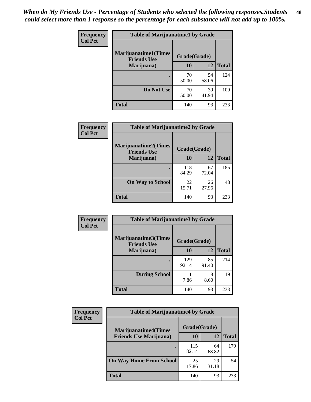| Frequency      | <b>Table of Marijuanatime1 by Grade</b>           |              |             |              |
|----------------|---------------------------------------------------|--------------|-------------|--------------|
| <b>Col Pct</b> | <b>Marijuanatime1(Times</b><br><b>Friends Use</b> | Grade(Grade) |             |              |
|                | Marijuana)                                        | 10           | 12          | <b>Total</b> |
|                |                                                   | 70<br>50.00  | 54<br>58.06 | 124          |
|                | Do Not Use                                        | 70<br>50.00  | 39<br>41.94 | 109          |
|                | <b>Total</b>                                      | 140          | 93          | 233          |

| Frequency      | <b>Table of Marijuanatime2 by Grade</b>           |              |             |              |
|----------------|---------------------------------------------------|--------------|-------------|--------------|
| <b>Col Pct</b> | <b>Marijuanatime2(Times</b><br><b>Friends Use</b> | Grade(Grade) |             |              |
|                | Marijuana)                                        | 10           | 12          | <b>Total</b> |
|                |                                                   | 118<br>84.29 | 67<br>72.04 | 185          |
|                | <b>On Way to School</b>                           | 22<br>15.71  | 26<br>27.96 | 48           |
|                | <b>Total</b>                                      | 140          | 93          | 233          |

| Frequency      | <b>Table of Marijuanatime3 by Grade</b>    |              |             |              |  |
|----------------|--------------------------------------------|--------------|-------------|--------------|--|
| <b>Col Pct</b> | Marijuanatime3(Times<br><b>Friends Use</b> | Grade(Grade) |             |              |  |
|                | Marijuana)                                 | 10           | 12          | <b>Total</b> |  |
|                |                                            | 129<br>92.14 | 85<br>91.40 | 214          |  |
|                | <b>During School</b>                       | 11<br>7.86   | 8<br>8.60   | 19           |  |
|                | <b>Total</b>                               | 140          | 93          | 233          |  |

| <b>Frequency</b><br><b>Col Pct</b> | <b>Table of Marijuanatime4 by Grade</b> |              |             |              |
|------------------------------------|-----------------------------------------|--------------|-------------|--------------|
|                                    | <b>Marijuanatime4</b> (Times            | Grade(Grade) |             |              |
|                                    | <b>Friends Use Marijuana</b> )          | 10           | 12          | <b>Total</b> |
|                                    |                                         | 115<br>82.14 | 64<br>68.82 | 179          |
|                                    | <b>On Way Home From School</b>          | 25<br>17.86  | 29<br>31.18 | 54           |
|                                    | <b>Total</b>                            | 140          | 93          | 233          |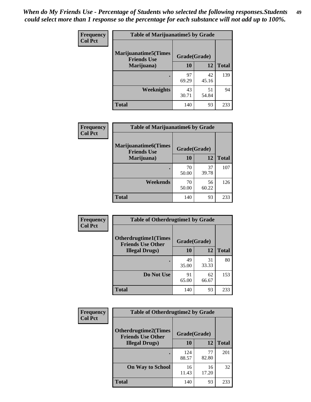| Frequency      | <b>Table of Marijuanatime5 by Grade</b>            |              |             |              |
|----------------|----------------------------------------------------|--------------|-------------|--------------|
| <b>Col Pct</b> | <b>Marijuanatime5</b> (Times<br><b>Friends Use</b> | Grade(Grade) |             |              |
|                | Marijuana)                                         | 10           | 12          | <b>Total</b> |
|                |                                                    | 97<br>69.29  | 42<br>45.16 | 139          |
|                | Weeknights                                         | 43<br>30.71  | 51<br>54.84 | 94           |
|                | <b>Total</b>                                       | 140          | 93          | 233          |

| Frequency      | <b>Table of Marijuanatime6 by Grade</b>            |              |             |              |  |
|----------------|----------------------------------------------------|--------------|-------------|--------------|--|
| <b>Col Pct</b> | <b>Marijuanatime6</b> (Times<br><b>Friends Use</b> | Grade(Grade) |             |              |  |
|                | Marijuana)                                         | 10           | 12          | <b>Total</b> |  |
|                |                                                    | 70<br>50.00  | 37<br>39.78 | 107          |  |
|                | Weekends                                           | 70<br>50.00  | 56<br>60.22 | 126          |  |
|                | <b>Total</b>                                       | 140          | 93          | 233          |  |

| Frequency      | <b>Table of Otherdrugtime1 by Grade</b>                 |              |             |              |
|----------------|---------------------------------------------------------|--------------|-------------|--------------|
| <b>Col Pct</b> | <b>Otherdrugtime1(Times</b><br><b>Friends Use Other</b> | Grade(Grade) |             |              |
|                | <b>Illegal Drugs</b> )                                  | 10           | 12          | <b>Total</b> |
|                |                                                         | 49<br>35.00  | 31<br>33.33 | 80           |
|                | Do Not Use                                              | 91<br>65.00  | 62<br>66.67 | 153          |
|                | <b>Total</b>                                            | 140          | 93          | 233          |

| Frequency      | <b>Table of Otherdrugtime2 by Grade</b>                 |              |             |              |  |  |
|----------------|---------------------------------------------------------|--------------|-------------|--------------|--|--|
| <b>Col Pct</b> | <b>Otherdrugtime2(Times</b><br><b>Friends Use Other</b> | Grade(Grade) |             |              |  |  |
|                | <b>Illegal Drugs</b> )                                  | 10           | 12          | <b>Total</b> |  |  |
|                |                                                         | 124<br>88.57 | 77<br>82.80 | 201          |  |  |
|                | <b>On Way to School</b>                                 | 16<br>11.43  | 16<br>17.20 | 32           |  |  |
|                | Total                                                   | 140          | 93          | 233          |  |  |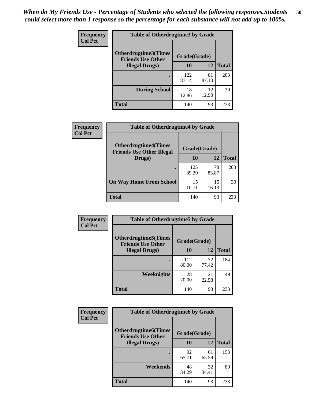| <b>Frequency</b> | <b>Table of Otherdrugtime3 by Grade</b>          |              |             |              |  |  |
|------------------|--------------------------------------------------|--------------|-------------|--------------|--|--|
| <b>Col Pct</b>   | Otherdrugtime3(Times<br><b>Friends Use Other</b> | Grade(Grade) |             |              |  |  |
|                  | <b>Illegal Drugs</b> )                           | 10           | 12          | <b>Total</b> |  |  |
|                  |                                                  | 122<br>87.14 | 81<br>87.10 | 203          |  |  |
|                  | <b>During School</b>                             | 18<br>12.86  | 12<br>12.90 | 30           |  |  |
|                  | Total                                            | 140          | 93          | 233          |  |  |

| <b>Frequency</b> | <b>Table of Otherdrugtime4 by Grade</b>                         |              |             |              |  |  |
|------------------|-----------------------------------------------------------------|--------------|-------------|--------------|--|--|
| <b>Col Pct</b>   | <b>Otherdrugtime4(Times</b><br><b>Friends Use Other Illegal</b> | Grade(Grade) |             |              |  |  |
|                  | Drugs)                                                          | 10           | 12          | <b>Total</b> |  |  |
|                  | $\bullet$                                                       | 125<br>89.29 | 78<br>83.87 | 203          |  |  |
|                  | <b>On Way Home From School</b>                                  | 15<br>10.71  | 15<br>16.13 | 30           |  |  |
|                  | <b>Total</b>                                                    | 140          | 93          | 233          |  |  |

| <b>Frequency</b> | <b>Table of Otherdrugtime5 by Grade</b>                  |              |             |              |  |  |  |
|------------------|----------------------------------------------------------|--------------|-------------|--------------|--|--|--|
| <b>Col Pct</b>   | <b>Otherdrugtime5</b> (Times<br><b>Friends Use Other</b> | Grade(Grade) |             |              |  |  |  |
|                  | <b>Illegal Drugs</b> )                                   | 10           | 12          | <b>Total</b> |  |  |  |
|                  |                                                          | 112<br>80.00 | 72<br>77.42 | 184          |  |  |  |
|                  | Weeknights                                               | 28<br>20.00  | 21<br>22.58 | 49           |  |  |  |
|                  | Total                                                    | 140          | 93          | 233          |  |  |  |

| Frequency      | <b>Table of Otherdrugtime6 by Grade</b>                 |              |             |              |  |  |
|----------------|---------------------------------------------------------|--------------|-------------|--------------|--|--|
| <b>Col Pct</b> | <b>Otherdrugtime6(Times</b><br><b>Friends Use Other</b> | Grade(Grade) |             |              |  |  |
|                | <b>Illegal Drugs</b> )                                  | 10           | 12          | <b>Total</b> |  |  |
|                |                                                         | 92<br>65.71  | 61<br>65.59 | 153          |  |  |
|                | Weekends                                                | 48<br>34.29  | 32<br>34.41 | 80           |  |  |
|                | Total                                                   | 140          | 93          | 233          |  |  |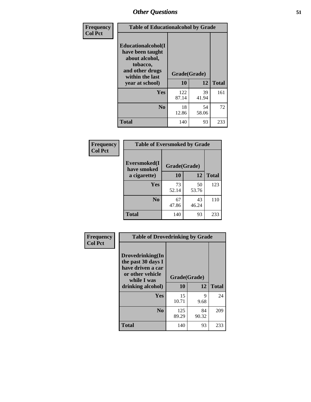| Frequency      | <b>Table of Educationalcohol by Grade</b>                                                                  |              |             |              |  |  |
|----------------|------------------------------------------------------------------------------------------------------------|--------------|-------------|--------------|--|--|
| <b>Col Pct</b> | Educationalcohol(I<br>have been taught<br>about alcohol,<br>tobacco,<br>and other drugs<br>within the last | Grade(Grade) |             |              |  |  |
|                | year at school)                                                                                            | 10           | 12          | <b>Total</b> |  |  |
|                | <b>Yes</b>                                                                                                 | 122<br>87.14 | 39<br>41.94 | 161          |  |  |
|                | N <sub>0</sub>                                                                                             | 18<br>12.86  | 54<br>58.06 | 72           |  |  |
|                | <b>Total</b>                                                                                               | 140          | 93          | 233          |  |  |

| Frequency      | <b>Table of Eversmoked by Grade</b>         |             |             |              |  |  |  |
|----------------|---------------------------------------------|-------------|-------------|--------------|--|--|--|
| <b>Col Pct</b> | Eversmoked(I<br>Grade(Grade)<br>have smoked |             |             |              |  |  |  |
|                | a cigarette)                                | 10          | 12          | <b>Total</b> |  |  |  |
|                | <b>Yes</b>                                  | 73<br>52.14 | 50<br>53.76 | 123          |  |  |  |
|                | N <sub>0</sub>                              | 67<br>47.86 | 43<br>46.24 | 110          |  |  |  |
|                | <b>Total</b>                                | 140         | 93          | 233          |  |  |  |

| Frequency      | <b>Table of Drovedrinking by Grade</b>                                                                              |                    |             |              |  |  |
|----------------|---------------------------------------------------------------------------------------------------------------------|--------------------|-------------|--------------|--|--|
| <b>Col Pct</b> | Drovedrinking(In<br>the past 30 days I<br>have driven a car<br>or other vehicle<br>while I was<br>drinking alcohol) | Grade(Grade)<br>10 | 12          | <b>Total</b> |  |  |
|                | <b>Yes</b>                                                                                                          | 15<br>10.71        | 9<br>9.68   | 24           |  |  |
|                | N <sub>0</sub>                                                                                                      | 125<br>89.29       | 84<br>90.32 | 209          |  |  |
|                | <b>Total</b>                                                                                                        | 140                | 93          | 233          |  |  |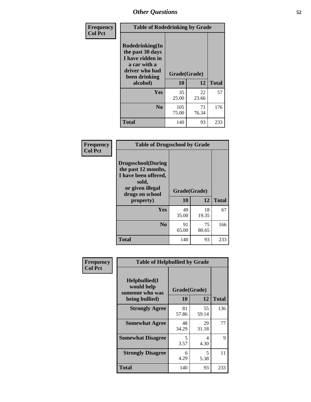| Frequency      | <b>Table of Rodedrinking by Grade</b>                                                                      |                          |             |              |  |  |
|----------------|------------------------------------------------------------------------------------------------------------|--------------------------|-------------|--------------|--|--|
| <b>Col Pct</b> | Rodedrinking(In<br>the past 30 days<br>I have ridden in<br>a car with a<br>driver who had<br>been drinking | Grade(Grade)<br>10<br>12 |             |              |  |  |
|                | alcohol)                                                                                                   |                          |             | <b>Total</b> |  |  |
|                | <b>Yes</b>                                                                                                 | 35<br>25.00              | 22<br>23.66 | 57           |  |  |
|                | N <sub>0</sub>                                                                                             | 105<br>75.00             | 71<br>76.34 | 176          |  |  |
|                | <b>Total</b>                                                                                               | 140                      | 93          | 233          |  |  |

#### **Frequency Col Pct**

| <b>Table of Drugsschool by Grade</b>                                                                                      |              |             |              |  |  |  |
|---------------------------------------------------------------------------------------------------------------------------|--------------|-------------|--------------|--|--|--|
| <b>Drugsschool</b> (During<br>the past 12 months,<br>I have been offered,<br>sold,<br>or given illegal<br>drugs on school | Grade(Grade) |             |              |  |  |  |
| property)                                                                                                                 | 10           | 12          | <b>Total</b> |  |  |  |
| Yes                                                                                                                       | 49<br>35.00  | 18<br>19.35 | 67           |  |  |  |
| N <sub>0</sub>                                                                                                            | 91<br>65.00  | 75<br>80.65 | 166          |  |  |  |
| <b>Total</b>                                                                                                              | 140          | 93          | 233          |  |  |  |

| Frequency      | <b>Table of Helpbullied by Grade</b>                 |              |             |              |  |  |  |
|----------------|------------------------------------------------------|--------------|-------------|--------------|--|--|--|
| <b>Col Pct</b> | $Helpb$ ullied $(I$<br>would help<br>someone who was | Grade(Grade) |             |              |  |  |  |
|                | being bullied)                                       | <b>10</b>    | 12          | <b>Total</b> |  |  |  |
|                | <b>Strongly Agree</b>                                | 81<br>57.86  | 55<br>59.14 | 136          |  |  |  |
|                | <b>Somewhat Agree</b>                                | 48<br>34.29  | 29<br>31.18 | 77           |  |  |  |
|                | <b>Somewhat Disagree</b>                             | 5<br>3.57    | 4<br>4.30   | 9            |  |  |  |
|                | <b>Strongly Disagree</b>                             | 6<br>4.29    | 5<br>5.38   | 11           |  |  |  |
|                | <b>Total</b>                                         | 140          | 93          | 233          |  |  |  |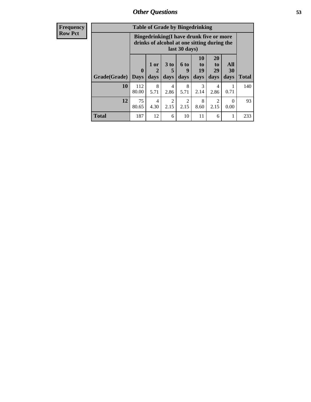| <b>Frequency</b> | <b>Table of Grade by Bingedrinking</b> |                                                                                                         |                |                              |                        |                        |                               |                   |              |
|------------------|----------------------------------------|---------------------------------------------------------------------------------------------------------|----------------|------------------------------|------------------------|------------------------|-------------------------------|-------------------|--------------|
| <b>Row Pct</b>   |                                        | Bingedrinking(I have drunk five or more<br>drinks of alcohol at one sitting during the<br>last 30 days) |                |                              |                        |                        |                               |                   |              |
|                  | Grade(Grade)   Days                    | $\mathbf{0}$                                                                                            | $1$ or<br>days | 3 <sub>to</sub><br>5<br>days | 6 to<br>9<br>days      | 10<br>to<br>19<br>days | <b>20</b><br>to<br>29<br>days | All<br>30<br>days | <b>Total</b> |
|                  | 10                                     | 112<br>80.00                                                                                            | 8<br>5.71      | 4<br>2.86                    | 8<br>5.71              | $\mathcal{R}$<br>2.14  | 4<br>2.86                     | 0.71              | 140          |
|                  | 12                                     | 75<br>80.65                                                                                             | 4<br>4.30      | $\overline{2}$<br>2.15       | $\overline{2}$<br>2.15 | 8<br>8.60              | $\overline{2}$<br>2.15        | $\Omega$<br>0.00  | 93           |
|                  | <b>Total</b>                           | 187                                                                                                     | 12             | 6                            | 10                     | 11                     | 6                             | 1                 | 233          |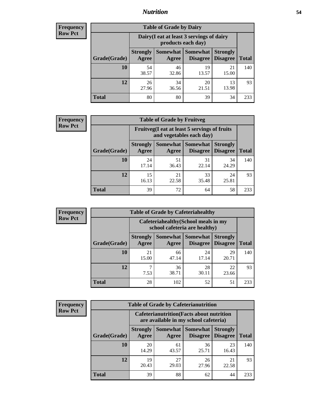### *Nutrition* **54**

| <b>Frequency</b><br>Row Pct |
|-----------------------------|
|                             |

| <b>Table of Grade by Dairy</b> |             |                                                                                                                                                                                                       |             |             |     |  |  |  |
|--------------------------------|-------------|-------------------------------------------------------------------------------------------------------------------------------------------------------------------------------------------------------|-------------|-------------|-----|--|--|--|
|                                |             | Dairy (I eat at least 3 servings of dairy<br>products each day)<br>Somewhat<br><b>Somewhat</b><br><b>Strongly</b><br><b>Strongly</b><br><b>Disagree</b><br>Agree<br><b>Disagree</b><br>Total<br>Agree |             |             |     |  |  |  |
| Grade(Grade)                   |             |                                                                                                                                                                                                       |             |             |     |  |  |  |
| 10                             | 54<br>38.57 | 46<br>32.86                                                                                                                                                                                           | 19<br>13.57 | 21<br>15.00 | 140 |  |  |  |
| 12                             | 26<br>27.96 | 34<br>36.56                                                                                                                                                                                           | 20<br>21.51 | 13<br>13.98 | 93  |  |  |  |
| <b>Total</b>                   | 80          | 80                                                                                                                                                                                                    | 39          | 34          | 233 |  |  |  |

| <b>Frequency</b> |  |
|------------------|--|
| <b>Row Pct</b>   |  |

| y | <b>Table of Grade by Fruitveg</b> |                          |                                                                                                 |             |             |     |  |  |
|---|-----------------------------------|--------------------------|-------------------------------------------------------------------------------------------------|-------------|-------------|-----|--|--|
|   |                                   |                          | Fruitveg(I eat at least 5 servings of fruits<br>and vegetables each day)                        |             |             |     |  |  |
|   | Grade(Grade)                      | <b>Strongly</b><br>Agree | Somewhat  <br><b>Somewhat</b><br><b>Strongly</b><br><b>Disagree</b><br><b>Disagree</b><br>Agree |             |             |     |  |  |
|   | 10                                | 24<br>17.14              | 51<br>36.43                                                                                     | 31<br>22.14 | 34<br>24.29 | 140 |  |  |
|   | 12                                | 15<br>16.13              | 21<br>22.58                                                                                     | 33<br>35.48 | 24<br>25.81 | 93  |  |  |
|   | <b>Total</b>                      | 39                       | 72                                                                                              | 64          | 58          | 233 |  |  |

| <b>Frequency</b> | <b>Table of Grade by Cafeteriahealthy</b> |                                                                       |                     |                      |                                    |              |  |  |
|------------------|-------------------------------------------|-----------------------------------------------------------------------|---------------------|----------------------|------------------------------------|--------------|--|--|
| <b>Row Pct</b>   |                                           | Cafeteriahealthy (School meals in my<br>school cafeteria are healthy) |                     |                      |                                    |              |  |  |
|                  | Grade(Grade)                              | <b>Strongly</b><br>Agree                                              | Somewhat  <br>Agree | Somewhat<br>Disagree | <b>Strongly</b><br><b>Disagree</b> | <b>Total</b> |  |  |
|                  | 10                                        | 21<br>15.00                                                           | 66<br>47.14         | 24<br>17.14          | 29<br>20.71                        | 140          |  |  |
|                  | 12                                        | 7.53                                                                  | 36<br>38.71         | 28<br>30.11          | 22<br>23.66                        | 93           |  |  |
|                  | Total                                     | 28                                                                    | 102                 | 52                   | 51                                 | 233          |  |  |

| <b>Frequency</b> |
|------------------|
| <b>Row Pct</b>   |

| <b>Table of Grade by Cafeterianutrition</b>                                                                                                       |             |                                                                                           |             |             |     |  |  |
|---------------------------------------------------------------------------------------------------------------------------------------------------|-------------|-------------------------------------------------------------------------------------------|-------------|-------------|-----|--|--|
|                                                                                                                                                   |             | <b>Cafeterianutrition</b> (Facts about nutrition<br>are available in my school cafeteria) |             |             |     |  |  |
| Somewhat   Somewhat<br><b>Strongly</b><br><b>Strongly</b><br><b>Disagree</b><br>Grade(Grade)<br><b>Total</b><br>Agree<br><b>Disagree</b><br>Agree |             |                                                                                           |             |             |     |  |  |
| 10                                                                                                                                                | 20<br>14.29 | 61<br>43.57                                                                               | 36<br>25.71 | 23<br>16.43 | 140 |  |  |
| 12                                                                                                                                                | 19<br>20.43 | 27<br>29.03                                                                               | 26<br>27.96 | 21<br>22.58 | 93  |  |  |
| <b>Total</b>                                                                                                                                      | 39          | 88                                                                                        | 62          | 44          | 233 |  |  |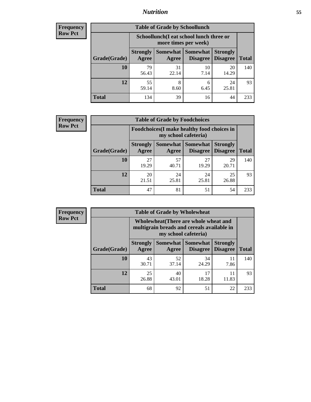### *Nutrition* **55**

| <b>Frequency</b> |
|------------------|
| Row Pct          |

| <b>Table of Grade by Schoollunch</b> |                                                                                                                                      |                                                                 |            |             |     |  |  |  |
|--------------------------------------|--------------------------------------------------------------------------------------------------------------------------------------|-----------------------------------------------------------------|------------|-------------|-----|--|--|--|
|                                      |                                                                                                                                      | Schoollunch(I eat school lunch three or<br>more times per week) |            |             |     |  |  |  |
| Grade(Grade)                         | Somewhat  <br><b>Somewhat</b><br><b>Strongly</b><br><b>Strongly</b><br><b>Disagree</b><br>Agree<br>Disagree<br><b>Total</b><br>Agree |                                                                 |            |             |     |  |  |  |
| 10                                   | 79<br>56.43                                                                                                                          | 31<br>22.14                                                     | 10<br>7.14 | 20<br>14.29 | 140 |  |  |  |
| 12                                   | 55<br>59.14                                                                                                                          | 8<br>8.60                                                       | 6<br>6.45  | 24<br>25.81 | 93  |  |  |  |
| <b>Total</b>                         | 134                                                                                                                                  | 39                                                              | 16         | 44          | 233 |  |  |  |

| <b>Frequency</b> |  |
|------------------|--|
| <b>Row Pct</b>   |  |

| <b>Table of Grade by Foodchoices</b>                                                        |             |             |             |                                    |              |  |  |
|---------------------------------------------------------------------------------------------|-------------|-------------|-------------|------------------------------------|--------------|--|--|
| <b>Foodchoices</b> (I make healthy food choices in<br>my school cafeteria)                  |             |             |             |                                    |              |  |  |
| <b>Somewhat   Somewhat</b><br><b>Strongly</b><br>Grade(Grade)<br>Agree<br>Disagree<br>Agree |             |             |             | <b>Strongly</b><br><b>Disagree</b> | <b>Total</b> |  |  |
| 10                                                                                          | 27<br>19.29 | 57<br>40.71 | 27<br>19.29 | 29<br>20.71                        | 140          |  |  |
| 12                                                                                          | 20<br>21.51 | 24<br>25.81 | 24<br>25.81 | 25<br>26.88                        | 93           |  |  |
| <b>Total</b>                                                                                | 47          | 81          | 51          | 54                                 | 233          |  |  |

| <b>Frequency</b> | <b>Table of Grade by Wholewheat</b> |                                                                                                             |                     |                             |                                    |              |  |  |  |
|------------------|-------------------------------------|-------------------------------------------------------------------------------------------------------------|---------------------|-----------------------------|------------------------------------|--------------|--|--|--|
| <b>Row Pct</b>   |                                     | Wholewheat (There are whole wheat and<br>multigrain breads and cereals available in<br>my school cafeteria) |                     |                             |                                    |              |  |  |  |
|                  | Grade(Grade)                        | <b>Strongly</b><br>Agree                                                                                    | Somewhat  <br>Agree | Somewhat<br><b>Disagree</b> | <b>Strongly</b><br><b>Disagree</b> | <b>Total</b> |  |  |  |
|                  | <b>10</b>                           | 43<br>30.71                                                                                                 | 52<br>37.14         | 34<br>24.29                 | 11<br>7.86                         | 140          |  |  |  |
|                  | 12                                  | 25<br>26.88                                                                                                 | 40<br>43.01         | 17<br>18.28                 | 11<br>11.83                        | 93           |  |  |  |
|                  | <b>Total</b>                        | 68                                                                                                          | 92                  | 51                          | 22                                 | 233          |  |  |  |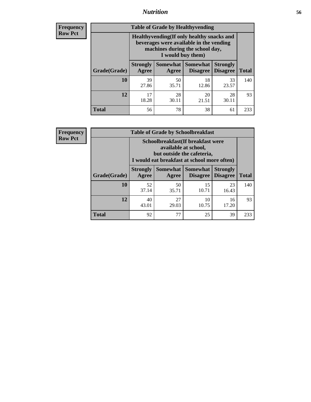### *Nutrition* **56**

**Frequency Row Pct**

| <b>Table of Grade by Healthyvending</b> |                                                                                                                                               |                          |                                    |                                    |              |  |
|-----------------------------------------|-----------------------------------------------------------------------------------------------------------------------------------------------|--------------------------|------------------------------------|------------------------------------|--------------|--|
|                                         | Healthyvending (If only healthy snacks and<br>beverages were available in the vending<br>machines during the school day,<br>I would buy them) |                          |                                    |                                    |              |  |
| Grade(Grade)                            | <b>Strongly</b><br>Agree                                                                                                                      | <b>Somewhat</b><br>Agree | <b>Somewhat</b><br><b>Disagree</b> | <b>Strongly</b><br><b>Disagree</b> | <b>Total</b> |  |
| 10                                      | 39<br>27.86                                                                                                                                   | 50<br>35.71              | 18<br>12.86                        | 33<br>23.57                        | 140          |  |
| 12                                      | 17<br>18.28                                                                                                                                   | 28<br>30.11              | 20<br>21.51                        | 28<br>30.11                        | 93           |  |
| <b>Total</b>                            | 56                                                                                                                                            | 78                       | 38                                 | 61                                 | 233          |  |

**Frequency Row Pct**

| <b>Table of Grade by Schoolbreakfast</b> |                                                                                                                                         |                     |                                    |                                    |              |  |
|------------------------------------------|-----------------------------------------------------------------------------------------------------------------------------------------|---------------------|------------------------------------|------------------------------------|--------------|--|
|                                          | Schoolbreakfast (If breakfast were<br>available at school,<br>but outside the cafeteria,<br>I would eat breakfast at school more often) |                     |                                    |                                    |              |  |
| Grade(Grade)                             | <b>Strongly</b><br>Agree                                                                                                                | Somewhat  <br>Agree | <b>Somewhat</b><br><b>Disagree</b> | <b>Strongly</b><br><b>Disagree</b> | <b>Total</b> |  |
| 10                                       | 52<br>37.14                                                                                                                             | 50<br>35.71         | 15<br>10.71                        | 23<br>16.43                        | 140          |  |
| 12                                       | 40<br>43.01                                                                                                                             | 27<br>29.03         | 10<br>10.75                        | 16<br>17.20                        | 93           |  |
| <b>Total</b>                             | 92                                                                                                                                      | 77                  | 25                                 | 39                                 | 233          |  |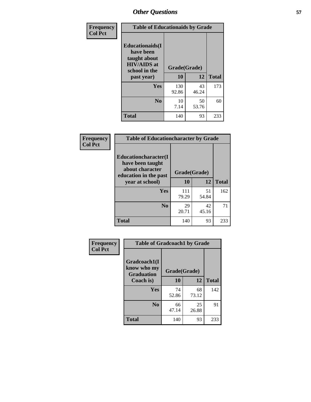| Frequency<br><b>Col Pct</b> | <b>Table of Educationaids by Grade</b>                                                                    |                    |             |              |
|-----------------------------|-----------------------------------------------------------------------------------------------------------|--------------------|-------------|--------------|
|                             | <b>Educationaids</b> (I<br>have been<br>taught about<br><b>HIV/AIDS</b> at<br>school in the<br>past year) | Grade(Grade)<br>10 | 12          | <b>Total</b> |
|                             | <b>Yes</b>                                                                                                | 130<br>92.86       | 43<br>46.24 | 173          |
|                             | N <sub>0</sub>                                                                                            | 10<br>7.14         | 50<br>53.76 | 60           |
|                             | <b>Total</b>                                                                                              | 140                | 93          | 233          |

| <b>Frequency</b> | <b>Table of Educationcharacter by Grade</b>                 |              |             |              |
|------------------|-------------------------------------------------------------|--------------|-------------|--------------|
| <b>Col Pct</b>   | Educationcharacter(I<br>have been taught<br>about character |              |             |              |
|                  | education in the past                                       | Grade(Grade) |             |              |
|                  | year at school)                                             | 10           | 12          | <b>Total</b> |
|                  | Yes                                                         | 111<br>79.29 | 51<br>54.84 | 162          |
|                  | N <sub>0</sub>                                              | 29<br>20.71  | 42<br>45.16 | 71           |
|                  | <b>Total</b>                                                | 140          | 93          | 233          |

| <b>Frequency</b> | <b>Table of Gradcoach1 by Grade</b> |              |             |              |
|------------------|-------------------------------------|--------------|-------------|--------------|
| <b>Col Pct</b>   | Gradcoach1(I<br>know who my         | Grade(Grade) |             |              |
|                  | <b>Graduation</b><br>Coach is)      | 10           | 12          | <b>Total</b> |
|                  | Yes                                 | 74<br>52.86  | 68<br>73.12 | 142          |
|                  | N <sub>0</sub>                      | 66<br>47.14  | 25<br>26.88 | 91           |
|                  | <b>Total</b>                        | 140          | 93          | 233          |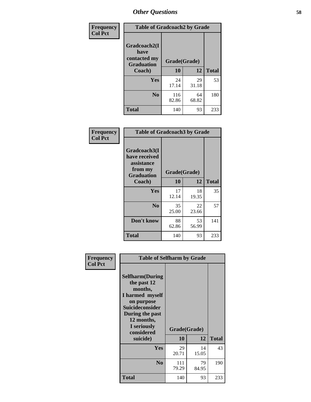| Frequency      | <b>Table of Gradcoach2 by Grade</b> |              |             |              |
|----------------|-------------------------------------|--------------|-------------|--------------|
| <b>Col Pct</b> | Gradcoach2(I<br>have                |              |             |              |
|                | contacted my<br><b>Graduation</b>   | Grade(Grade) |             |              |
|                | Coach)                              | 10           | 12          | <b>Total</b> |
|                | Yes                                 | 24<br>17.14  | 29<br>31.18 | 53           |
|                | N <sub>0</sub>                      | 116<br>82.86 | 64<br>68.82 | 180          |
|                | <b>Total</b>                        | 140          | 93          | 233          |

| <b>Frequency</b><br><b>Col Pct</b> | <b>Table of Gradcoach3 by Grade</b>                                         |              |             |              |
|------------------------------------|-----------------------------------------------------------------------------|--------------|-------------|--------------|
|                                    | Gradcoach3(I<br>have received<br>assistance<br>from my<br><b>Graduation</b> | Grade(Grade) |             |              |
|                                    | Coach)                                                                      | 10           | 12          | <b>Total</b> |
|                                    | <b>Yes</b>                                                                  | 17<br>12.14  | 18<br>19.35 | 35           |
|                                    | N <sub>0</sub>                                                              | 35<br>25.00  | 22<br>23.66 | 57           |
|                                    | Don't know                                                                  | 88<br>62.86  | 53<br>56.99 | 141          |
|                                    | <b>Total</b>                                                                | 140          | 93          | 233          |

|                | <b>Table of Selfharm by Grade</b>                                                                                                             |              |             |              |
|----------------|-----------------------------------------------------------------------------------------------------------------------------------------------|--------------|-------------|--------------|
| Frequency      |                                                                                                                                               |              |             |              |
| <b>Col Pct</b> | <b>Selfharm</b> (During<br>the past 12<br>months,<br>I harmed myself<br>on purpose<br><b>Suicideconsider</b><br>During the past<br>12 months, |              |             |              |
|                | I seriously<br>considered                                                                                                                     | Grade(Grade) |             |              |
|                | suicide)                                                                                                                                      | 10           | 12          | <b>Total</b> |
|                | Yes                                                                                                                                           | 29<br>20.71  | 14<br>15.05 | 43           |
|                | N <sub>0</sub>                                                                                                                                | 111<br>79.29 | 79<br>84.95 | 190          |
|                | <b>Total</b>                                                                                                                                  | 140          | 93          | 233          |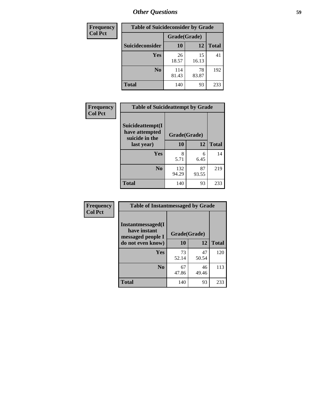| <b>Frequency</b> | <b>Table of Suicideconsider by Grade</b> |              |             |              |
|------------------|------------------------------------------|--------------|-------------|--------------|
| <b>Col Pct</b>   |                                          | Grade(Grade) |             |              |
|                  | Suicideconsider                          | <b>10</b>    | 12          | <b>Total</b> |
|                  | <b>Yes</b>                               | 26<br>18.57  | 15<br>16.13 | 41           |
|                  | N <sub>0</sub>                           | 114<br>81.43 | 78<br>83.87 | 192          |
|                  | <b>Total</b>                             | 140          | 93          | 233          |

| Frequency      | <b>Table of Suicideattempt by Grade</b>              |              |             |              |
|----------------|------------------------------------------------------|--------------|-------------|--------------|
| <b>Col Pct</b> | Suicideattempt(I<br>have attempted<br>suicide in the | Grade(Grade) |             |              |
|                | last year)                                           | 10           | 12          | <b>Total</b> |
|                | Yes                                                  | 8<br>5.71    | 6<br>6.45   | 14           |
|                | N <sub>0</sub>                                       | 132<br>94.29 | 87<br>93.55 | 219          |
|                | <b>Total</b>                                         | 140          | 93          | 233          |

| Frequency      | <b>Table of Instantmessaged by Grade</b>               |              |             |              |
|----------------|--------------------------------------------------------|--------------|-------------|--------------|
| <b>Col Pct</b> | Instantmessaged(I<br>have instant<br>messaged people I | Grade(Grade) |             |              |
|                | do not even know)                                      | 10           | 12          | <b>Total</b> |
|                | Yes                                                    | 73<br>52.14  | 47<br>50.54 | 120          |
|                | N <sub>0</sub>                                         | 67<br>47.86  | 46<br>49.46 | 113          |
|                | <b>Total</b>                                           | 140          | 93          | 233          |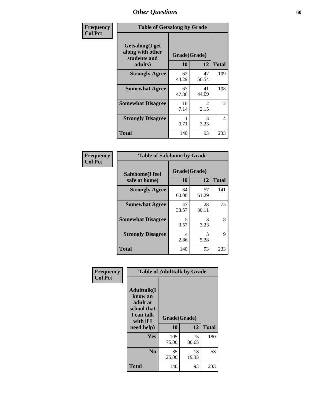| Frequency      | <b>Table of Getsalong by Grade</b>                          |              |             |              |
|----------------|-------------------------------------------------------------|--------------|-------------|--------------|
| <b>Col Pct</b> | <b>Getsalong</b> (I get<br>along with other<br>students and | Grade(Grade) |             |              |
|                | adults)                                                     | 10           | 12          | <b>Total</b> |
|                | <b>Strongly Agree</b>                                       | 62<br>44.29  | 47<br>50.54 | 109          |
|                | <b>Somewhat Agree</b>                                       | 67<br>47.86  | 41<br>44.09 | 108          |
|                | <b>Somewhat Disagree</b>                                    | 10<br>7.14   | 2<br>2.15   | 12           |
|                | <b>Strongly Disagree</b>                                    | 0.71         | 3<br>3.23   | 4            |
|                | <b>Total</b>                                                | 140          | 93          | 233          |

| Frequency      | <b>Table of Safehome by Grade</b> |                    |             |              |
|----------------|-----------------------------------|--------------------|-------------|--------------|
| <b>Col Pct</b> | Safehome(I feel<br>safe at home)  | Grade(Grade)<br>10 | 12          | <b>Total</b> |
|                | <b>Strongly Agree</b>             | 84<br>60.00        | 57<br>61.29 | 141          |
|                | <b>Somewhat Agree</b>             | 47<br>33.57        | 28<br>30.11 | 75           |
|                | <b>Somewhat Disagree</b>          | 5<br>3.57          | 3<br>3.23   | 8            |
|                | <b>Strongly Disagree</b>          | 4<br>2.86          | 5<br>5.38   | 9            |
|                | <b>Total</b>                      | 140                | 93          | 233          |

| Frequency      |                                                                                     | <b>Table of Adulttalk by Grade</b> |             |              |  |  |  |
|----------------|-------------------------------------------------------------------------------------|------------------------------------|-------------|--------------|--|--|--|
| <b>Col Pct</b> | <b>Adulttalk(I</b><br>know an<br>adult at<br>school that<br>I can talk<br>with if I | Grade(Grade)<br>10                 | 12          | <b>Total</b> |  |  |  |
|                | need help)                                                                          |                                    |             |              |  |  |  |
|                | <b>Yes</b>                                                                          | 105<br>75.00                       | 75<br>80.65 | 180          |  |  |  |
|                | N <sub>0</sub>                                                                      | 35<br>25.00                        | 18<br>19.35 | 53           |  |  |  |
|                | <b>Total</b>                                                                        | 140                                | 93          | 233          |  |  |  |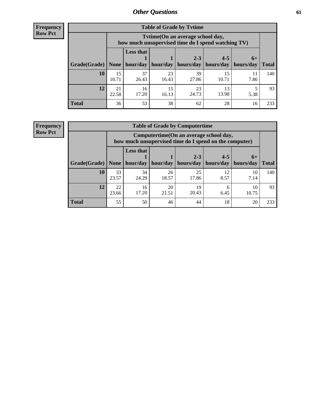**Frequency Row Pct**

| <b>Table of Grade by Tytime</b> |             |                                                                                         |             |                       |             |           |              |  |  |
|---------------------------------|-------------|-----------------------------------------------------------------------------------------|-------------|-----------------------|-------------|-----------|--------------|--|--|
|                                 |             | Tytime (On an average school day,<br>how much unsupervised time do I spend watching TV) |             |                       |             |           |              |  |  |
|                                 |             | <b>Less that</b><br>$2 - 3$<br>$4 - 5$<br>$6+$                                          |             |                       |             |           |              |  |  |
| Grade(Grade)                    | None        | hour/day                                                                                | hour/day    | hours/day   hours/day |             | hours/day | <b>Total</b> |  |  |
| 10                              | 15<br>10.71 | 37<br>26.43                                                                             | 23<br>16.43 | 39<br>27.86           | 15<br>10.71 | 7.86      | 140          |  |  |
| 12                              | 21<br>22.58 | 16<br>17.20                                                                             | 15<br>16.13 | 23<br>24.73           | 13<br>13.98 | 5.38      | 93           |  |  |
| <b>Total</b>                    | 36          | 53                                                                                      | 38          | 62                    | 28          | 16        | 233          |  |  |

**Frequency Row Pct**

| <b>Table of Grade by Computertime</b> |             |                                                                                                                               |             |             |            |             |     |  |  |
|---------------------------------------|-------------|-------------------------------------------------------------------------------------------------------------------------------|-------------|-------------|------------|-------------|-----|--|--|
|                                       |             | Computertime (On an average school day,<br>how much unsupervised time do I spend on the computer)                             |             |             |            |             |     |  |  |
| Grade(Grade)                          | None $ $    | <b>Less that</b><br>$2 - 3$<br>$4 - 5$<br>$6+$<br>hour/day<br>hour/day<br>hours/day<br>hours/day<br>hours/day<br><b>Total</b> |             |             |            |             |     |  |  |
| 10                                    | 33<br>23.57 | 34<br>24.29                                                                                                                   | 26<br>18.57 | 25<br>17.86 | 12<br>8.57 | 10<br>7.14  | 140 |  |  |
| 12                                    | 22<br>23.66 | 16<br>17.20                                                                                                                   | 20<br>21.51 | 19<br>20.43 | 6<br>6.45  | 10<br>10.75 | 93  |  |  |
| <b>Total</b>                          | 55          | 50                                                                                                                            | 46          | 44          | 18         | 20          | 233 |  |  |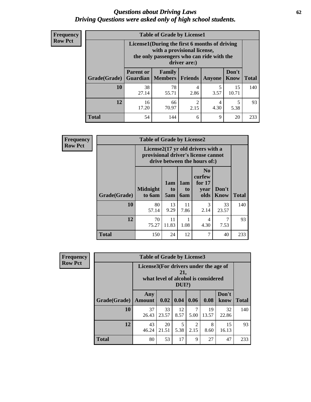#### *Questions about Driving Laws* **62** *Driving Questions were asked only of high school students.*

| <b>Frequency</b> |
|------------------|
| <b>Row Pct</b>   |

| <b>Table of Grade by License1</b> |                                     |                                                                                                                                           |           |           |               |              |  |  |  |
|-----------------------------------|-------------------------------------|-------------------------------------------------------------------------------------------------------------------------------------------|-----------|-----------|---------------|--------------|--|--|--|
|                                   |                                     | License1(During the first 6 months of driving<br>with a provisional license,<br>the only passengers who can ride with the<br>driver are:) |           |           |               |              |  |  |  |
| Grade(Grade)                      | <b>Parent or</b><br><b>Guardian</b> | Family<br>Members                                                                                                                         | Friends   | Anyone    | Don't<br>Know | <b>Total</b> |  |  |  |
| 10                                | 38<br>27.14                         | 78<br>55.71                                                                                                                               | 4<br>2.86 | 5<br>3.57 | 15<br>10.71   | 140          |  |  |  |
| 12                                | 16<br>17.20                         | 66<br>70.97                                                                                                                               | 2<br>2.15 | 4<br>4.30 | 5<br>5.38     | 93           |  |  |  |
| <b>Total</b>                      | 54                                  | 144                                                                                                                                       | 6         | 9         | 20            | 233          |  |  |  |

| <b>Frequency</b> |              | <b>Table of Grade by License2</b>                                                                        |                  |                         |                                                      |                      |              |  |  |
|------------------|--------------|----------------------------------------------------------------------------------------------------------|------------------|-------------------------|------------------------------------------------------|----------------------|--------------|--|--|
| <b>Row Pct</b>   |              | License2(17 yr old drivers with a<br>provisional driver's license cannot<br>drive between the hours of:) |                  |                         |                                                      |                      |              |  |  |
|                  | Grade(Grade) | <b>Midnight</b><br>to 6am                                                                                | 1am<br>to<br>5am | 1am<br>to<br><b>6am</b> | N <sub>0</sub><br>curfew<br>for $17$<br>year<br>olds | Don't<br><b>Know</b> | <b>Total</b> |  |  |
|                  | 10           | 80<br>57.14                                                                                              | 13<br>9.29       | 11<br>7.86              | 3<br>2.14                                            | 33<br>23.57          | 140          |  |  |
|                  | 12           | 70<br>75.27                                                                                              | 11<br>11.83      | 1.08                    | $\overline{4}$<br>4.30                               | 7<br>7.53            | 93           |  |  |
|                  | <b>Total</b> | 150                                                                                                      | 24               | 12                      | 7                                                    | 40                   | 233          |  |  |

| Frequency      | <b>Table of Grade by License3</b> |                                       |             |                 |                        |                                     |               |              |
|----------------|-----------------------------------|---------------------------------------|-------------|-----------------|------------------------|-------------------------------------|---------------|--------------|
| <b>Row Pct</b> |                                   | License3(For drivers under the age of |             | 21,<br>$DUI$ ?) |                        | what level of alcohol is considered |               |              |
|                | Grade(Grade)                      | Any<br><b>Amount</b>                  | 0.02        | 0.04            | 0.06                   | 0.08                                | Don't<br>know | <b>Total</b> |
|                | <b>10</b>                         | 37<br>26.43                           | 33<br>23.57 | 12<br>8.57      | 7<br>5.00              | 19<br>13.57                         | 32<br>22.86   | 140          |
|                | 12                                | 43<br>46.24                           | 20<br>21.51 | 5<br>5.38       | $\overline{2}$<br>2.15 | 8<br>8.60                           | 15<br>16.13   | 93           |
|                | <b>Total</b>                      | 80                                    | 53          | 17              | 9                      | 27                                  | 47            | 233          |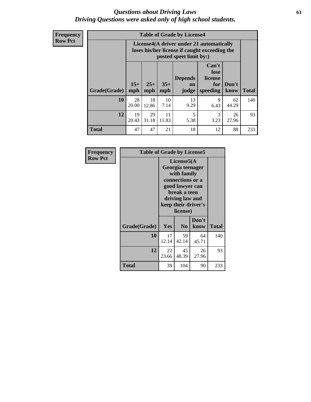#### *Questions about Driving Laws* **63** *Driving Questions were asked only of high school students.*

**Frequency Row Pct**

| <b>Table of Grade by License4</b> |              |                                                                                                                                                      |             |            |           |             |     |  |
|-----------------------------------|--------------|------------------------------------------------------------------------------------------------------------------------------------------------------|-------------|------------|-----------|-------------|-----|--|
|                                   |              | License4(A driver under 21 automatically<br>loses his/her license if caught exceeding the<br>posted speet limit by:)                                 |             |            |           |             |     |  |
| Grade(Grade)                      | $15+$<br>mph | Can't<br>lose<br>license<br><b>Depends</b><br>$25+$<br>$35+$<br>Don't<br>for<br><b>on</b><br>speeding<br><b>Total</b><br>mph<br>know<br>mph<br>judge |             |            |           |             |     |  |
| 10                                | 28<br>20.00  | 18<br>12.86                                                                                                                                          | 10<br>7.14  | 13<br>9.29 | 9<br>6.43 | 62<br>44.29 | 140 |  |
| 12                                | 19<br>20.43  | 29<br>31.18                                                                                                                                          | 11<br>11.83 | 5<br>5.38  | 3<br>3.23 | 26<br>27.96 | 93  |  |
| <b>Total</b>                      | 47           | 47                                                                                                                                                   | 21          | 18         | 12        | 88          | 233 |  |

| Frequency      | <b>Table of Grade by License5</b> |             |                                                                                                                                      |                     |       |
|----------------|-----------------------------------|-------------|--------------------------------------------------------------------------------------------------------------------------------------|---------------------|-------|
| <b>Row Pct</b> |                                   |             | License5(A)<br>Georgia teenager<br>with family<br>connections or a<br>good lawyer can<br>break a teen<br>driving law and<br>license) | keep their driver's |       |
|                | Grade(Grade)                      | Yes         | N <sub>0</sub>                                                                                                                       | Don't<br>know       | Total |
|                | 10                                | 17<br>12.14 | 59<br>42.14                                                                                                                          | 64<br>45.71         | 140   |
|                | 12                                | 22<br>23.66 | 45<br>48.39                                                                                                                          | 26<br>27.96         | 93    |
|                | <b>Total</b>                      | 39          | 104                                                                                                                                  | 90                  | 233   |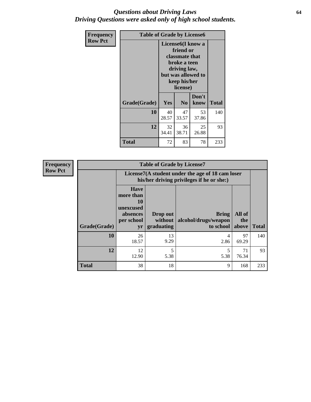#### *Questions about Driving Laws* **64** *Driving Questions were asked only of high school students.*

| <b>Frequency</b> | <b>Table of Grade by License6</b> |             |                                                                                                                           |                    |              |  |
|------------------|-----------------------------------|-------------|---------------------------------------------------------------------------------------------------------------------------|--------------------|--------------|--|
| <b>Row Pct</b>   |                                   |             | License <sub>6</sub> (I know a<br>friend or<br>classmate that<br>broke a teen<br>driving law,<br>keep his/her<br>license) | but was allowed to |              |  |
|                  | Grade(Grade)                      | Yes         | N <sub>0</sub>                                                                                                            | Don't<br>know      | <b>Total</b> |  |
|                  | 10                                | 40<br>28.57 | 47<br>33.57                                                                                                               | 53<br>37.86        | 140          |  |
|                  | 12                                | 32<br>34.41 | 36<br>38.71                                                                                                               | 25<br>26.88        | 93           |  |
|                  | <b>Total</b>                      | 72          | 83                                                                                                                        | 78                 | 233          |  |

| <b>Frequency</b> | <b>Table of Grade by License7</b> |                                                                             |                                     |                                                                                               |                        |              |  |  |
|------------------|-----------------------------------|-----------------------------------------------------------------------------|-------------------------------------|-----------------------------------------------------------------------------------------------|------------------------|--------------|--|--|
| <b>Row Pct</b>   |                                   |                                                                             |                                     | License7(A student under the age of 18 cam loser<br>his/her driving privileges if he or she:) |                        |              |  |  |
|                  | Grade(Grade)                      | <b>Have</b><br>more than<br>10<br>unexcused<br>absences<br>per school<br>yr | Drop out<br>without  <br>graduating | <b>Bring</b><br>alcohol/drugs/weapon<br>to school                                             | All of<br>the<br>above | <b>Total</b> |  |  |
|                  | 10                                | 26<br>18.57                                                                 | 13<br>9.29                          | 4<br>2.86                                                                                     | 97<br>69.29            | 140          |  |  |
|                  | 12                                | 12<br>12.90                                                                 | 5<br>5.38                           | 5<br>5.38                                                                                     | 71<br>76.34            | 93           |  |  |
|                  | <b>Total</b>                      | 38                                                                          | 18                                  | 9                                                                                             | 168                    | 233          |  |  |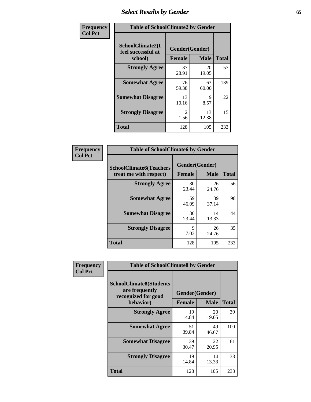## *Select Results by Gender* **65**

| Frequency      | <b>Table of SchoolClimate2 by Gender</b>          |                                 |             |              |  |
|----------------|---------------------------------------------------|---------------------------------|-------------|--------------|--|
| <b>Col Pct</b> | SchoolClimate2(I<br>feel successful at<br>school) | Gender(Gender)<br><b>Female</b> | <b>Male</b> | <b>Total</b> |  |
|                | <b>Strongly Agree</b>                             | 37<br>28.91                     | 20<br>19.05 | 57           |  |
|                | <b>Somewhat Agree</b>                             | 76<br>59.38                     | 63<br>60.00 | 139          |  |
|                | <b>Somewhat Disagree</b>                          | 13<br>10.16                     | 9<br>8.57   | 22           |  |
|                | <b>Strongly Disagree</b>                          | $\mathcal{L}$<br>1.56           | 13<br>12.38 | 15           |  |
|                | <b>Total</b>                                      | 128                             | 105         | 233          |  |

| <b>Frequency</b> | <b>Table of SchoolClimate6 by Gender</b>                 |                                 |             |              |  |
|------------------|----------------------------------------------------------|---------------------------------|-------------|--------------|--|
| <b>Col Pct</b>   | <b>SchoolClimate6(Teachers</b><br>treat me with respect) | Gender(Gender)<br><b>Female</b> | <b>Male</b> | <b>Total</b> |  |
|                  | <b>Strongly Agree</b>                                    | 30<br>23.44                     | 26<br>24.76 | 56           |  |
|                  | <b>Somewhat Agree</b>                                    | 59<br>46.09                     | 39<br>37.14 | 98           |  |
|                  | <b>Somewhat Disagree</b>                                 | 30<br>23.44                     | 14<br>13.33 | 44           |  |
|                  | <b>Strongly Disagree</b>                                 | 9<br>7.03                       | 26<br>24.76 | 35           |  |
|                  | <b>Total</b>                                             | 128                             | 105         | 233          |  |

| <b>Frequency</b> | <b>Table of SchoolClimate8 by Gender</b>                                             |               |                               |              |
|------------------|--------------------------------------------------------------------------------------|---------------|-------------------------------|--------------|
| <b>Col Pct</b>   | <b>SchoolClimate8(Students</b><br>are frequently<br>recognized for good<br>behavior) | <b>Female</b> | Gender(Gender)<br><b>Male</b> | <b>Total</b> |
|                  | <b>Strongly Agree</b>                                                                | 19<br>14.84   | 20<br>19.05                   | 39           |
|                  | <b>Somewhat Agree</b>                                                                | 51<br>39.84   | 49<br>46.67                   | 100          |
|                  | <b>Somewhat Disagree</b>                                                             | 39<br>30.47   | 22<br>20.95                   | 61           |
|                  | <b>Strongly Disagree</b>                                                             | 19<br>14.84   | 14<br>13.33                   | 33           |
|                  | Total                                                                                | 128           | 105                           | 233          |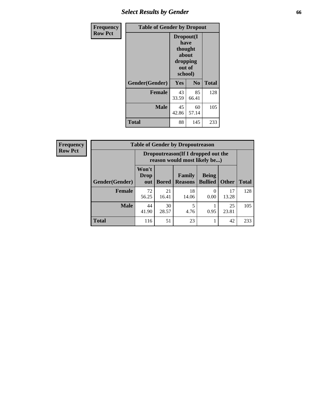## *Select Results by Gender* **66**

| Frequency      | <b>Table of Gender by Dropout</b> |                                                                        |                |              |
|----------------|-----------------------------------|------------------------------------------------------------------------|----------------|--------------|
| <b>Row Pct</b> |                                   | Dropout(I<br>have<br>thought<br>about<br>dropping<br>out of<br>school) |                |              |
|                | Gender(Gender)                    | Yes                                                                    | N <sub>0</sub> | <b>Total</b> |
|                | <b>Female</b>                     | 43<br>33.59                                                            | 85<br>66.41    | 128          |
|                | <b>Male</b>                       | 45<br>42.86                                                            | 60<br>57.14    | 105          |
|                | <b>Total</b>                      | 88                                                                     | 145            | 233          |

| <b>Frequency</b> | <b>Table of Gender by Dropoutreason</b> |                                                                    |              |                                 |                                |              |              |
|------------------|-----------------------------------------|--------------------------------------------------------------------|--------------|---------------------------------|--------------------------------|--------------|--------------|
| <b>Row Pct</b>   |                                         | Dropoutreason(If I dropped out the<br>reason would most likely be) |              |                                 |                                |              |              |
|                  | Gender(Gender)                          | Won't<br><b>Drop</b><br>out                                        | <b>Bored</b> | <b>Family</b><br><b>Reasons</b> | <b>Being</b><br><b>Bullied</b> | <b>Other</b> | <b>Total</b> |
|                  | <b>Female</b>                           | 72<br>56.25                                                        | 21<br>16.41  | 18<br>14.06                     | $\Omega$<br>0.00               | 17<br>13.28  | 128          |
|                  | <b>Male</b>                             | 44<br>41.90                                                        | 30<br>28.57  | 5<br>4.76                       | 0.95                           | 25<br>23.81  | 105          |
|                  | <b>Total</b>                            | 116                                                                | 51           | 23                              |                                | 42           | 233          |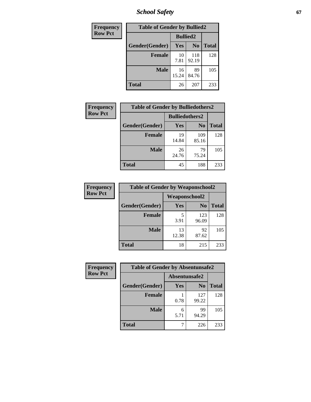*School Safety* **67**

| Frequency      | <b>Table of Gender by Bullied2</b> |                 |                |              |
|----------------|------------------------------------|-----------------|----------------|--------------|
| <b>Row Pct</b> |                                    | <b>Bullied2</b> |                |              |
|                | Gender(Gender)                     | Yes             | N <sub>0</sub> | <b>Total</b> |
|                | <b>Female</b>                      | 10<br>7.81      | 118<br>92.19   | 128          |
|                | <b>Male</b>                        | 16<br>15.24     | 89<br>84.76    | 105          |
|                | Total                              | 26              | 207            | 233          |

| Frequency      | <b>Table of Gender by Bulliedothers2</b> |                       |                |              |
|----------------|------------------------------------------|-----------------------|----------------|--------------|
| <b>Row Pct</b> |                                          | <b>Bulliedothers2</b> |                |              |
|                | Gender(Gender)                           | Yes                   | N <sub>0</sub> | <b>Total</b> |
|                | <b>Female</b>                            | 19<br>14.84           | 109<br>85.16   | 128          |
|                | <b>Male</b>                              | 26<br>24.76           | 79<br>75.24    | 105          |
|                | <b>Total</b>                             | 45                    | 188            | 233          |

| Frequency      | <b>Table of Gender by Weaponschool2</b> |                      |                |              |
|----------------|-----------------------------------------|----------------------|----------------|--------------|
| <b>Row Pct</b> |                                         | <b>Weaponschool2</b> |                |              |
|                | Gender(Gender)                          | Yes                  | N <sub>0</sub> | <b>Total</b> |
|                | <b>Female</b>                           | 5<br>3.91            | 123<br>96.09   | 128          |
|                | <b>Male</b>                             | 13<br>12.38          | 92<br>87.62    | 105          |
|                | <b>Total</b>                            | 18                   | 215            | 233          |

| Frequency      | <b>Table of Gender by Absentunsafe2</b> |               |                |              |
|----------------|-----------------------------------------|---------------|----------------|--------------|
| <b>Row Pct</b> |                                         | Absentunsafe2 |                |              |
|                | Gender(Gender)                          | Yes           | N <sub>0</sub> | <b>Total</b> |
|                | <b>Female</b>                           | 0.78          | 127<br>99.22   | 128          |
|                | <b>Male</b>                             | 6<br>5.71     | 99<br>94.29    | 105          |
|                | <b>Total</b>                            |               | 226            | 233          |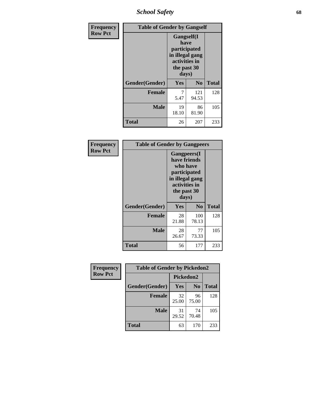*School Safety* **68**

| Frequency      | <b>Table of Gender by Gangself</b> |                                                                                                        |                |              |
|----------------|------------------------------------|--------------------------------------------------------------------------------------------------------|----------------|--------------|
| <b>Row Pct</b> |                                    | <b>Gangself</b> (I<br>have<br>participated<br>in illegal gang<br>activities in<br>the past 30<br>days) |                |              |
|                | Gender(Gender)                     | Yes                                                                                                    | N <sub>0</sub> | <b>Total</b> |
|                | <b>Female</b>                      | 7<br>5.47                                                                                              | 121<br>94.53   | 128          |
|                | <b>Male</b>                        | 19<br>18.10                                                                                            | 86<br>81.90    | 105          |
|                | <b>Total</b>                       | 26                                                                                                     | 207            | 233          |

| Frequency      | <b>Table of Gender by Gangpeers</b> |                                                                                                                             |                |              |
|----------------|-------------------------------------|-----------------------------------------------------------------------------------------------------------------------------|----------------|--------------|
| <b>Row Pct</b> |                                     | <b>Gangpeers</b> (I<br>have friends<br>who have<br>participated<br>in illegal gang<br>activities in<br>the past 30<br>days) |                |              |
|                | Gender(Gender)                      | Yes                                                                                                                         | N <sub>0</sub> | <b>Total</b> |
|                | <b>Female</b>                       | 28<br>21.88                                                                                                                 | 100<br>78.13   | 128          |
|                | <b>Male</b>                         | 28<br>26.67                                                                                                                 | 77<br>73.33    | 105          |
|                | <b>Total</b>                        | 56                                                                                                                          | 177            | 233          |

| Frequency      | <b>Table of Gender by Pickedon2</b> |             |                |              |
|----------------|-------------------------------------|-------------|----------------|--------------|
| <b>Row Pct</b> |                                     | Pickedon2   |                |              |
|                | Gender(Gender)                      | Yes         | N <sub>0</sub> | <b>Total</b> |
|                | <b>Female</b>                       | 32<br>25.00 | 96<br>75.00    | 128          |
|                | <b>Male</b>                         | 31<br>29.52 | 74<br>70.48    | 105          |
|                | <b>Total</b>                        | 63          | 170            | 233          |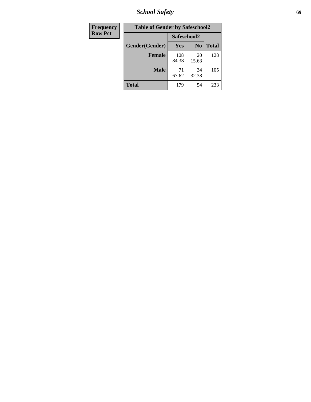*School Safety* **69**

| Frequency      | <b>Table of Gender by Safeschool2</b> |              |                |              |  |
|----------------|---------------------------------------|--------------|----------------|--------------|--|
| <b>Row Pct</b> |                                       | Safeschool2  |                |              |  |
|                | Gender(Gender)                        | Yes          | N <sub>0</sub> | <b>Total</b> |  |
|                | <b>Female</b>                         | 108<br>84.38 | 20<br>15.63    | 128          |  |
|                | <b>Male</b>                           | 71<br>67.62  | 34<br>32.38    | 105          |  |
|                | <b>Total</b>                          | 179          | 54             | 233          |  |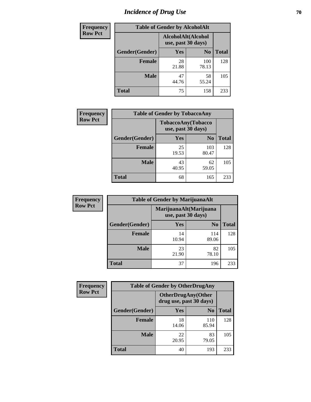# *Incidence of Drug Use* **70**

| <b>Frequency</b> | <b>Table of Gender by AlcoholAlt</b> |                                          |                |              |  |
|------------------|--------------------------------------|------------------------------------------|----------------|--------------|--|
| <b>Row Pct</b>   |                                      | AlcoholAlt(Alcohol<br>use, past 30 days) |                |              |  |
|                  | Gender(Gender)                       | <b>Yes</b>                               | N <sub>0</sub> | <b>Total</b> |  |
|                  | <b>Female</b>                        | 28<br>21.88                              | 100<br>78.13   | 128          |  |
|                  | <b>Male</b>                          | 47<br>44.76                              | 58<br>55.24    | 105          |  |
|                  | <b>Total</b>                         | 75                                       | 158            | 233          |  |

| <b>Frequency</b> | <b>Table of Gender by TobaccoAny</b> |                                          |                |              |  |
|------------------|--------------------------------------|------------------------------------------|----------------|--------------|--|
| <b>Row Pct</b>   |                                      | TobaccoAny(Tobacco<br>use, past 30 days) |                |              |  |
|                  | Gender(Gender)                       | Yes                                      | N <sub>0</sub> | <b>Total</b> |  |
|                  | <b>Female</b>                        | 25<br>19.53                              | 103<br>80.47   | 128          |  |
|                  | <b>Male</b>                          | 43<br>40.95                              | 62<br>59.05    | 105          |  |
|                  | <b>Total</b>                         | 68                                       | 165            | 233          |  |

| <b>Frequency</b> | <b>Table of Gender by MarijuanaAlt</b> |             |                                              |       |
|------------------|----------------------------------------|-------------|----------------------------------------------|-------|
| <b>Row Pct</b>   |                                        |             | MarijuanaAlt(Marijuana<br>use, past 30 days) |       |
|                  | Gender(Gender)                         | <b>Yes</b>  | N <sub>0</sub>                               | Total |
|                  | <b>Female</b>                          | 14<br>10.94 | 114<br>89.06                                 | 128   |
|                  | <b>Male</b>                            | 23<br>21.90 | 82<br>78.10                                  | 105   |
|                  | <b>Total</b>                           | 37          | 196                                          | 233   |

| <b>Frequency</b> | <b>Table of Gender by OtherDrugAny</b> |                                                      |                |              |
|------------------|----------------------------------------|------------------------------------------------------|----------------|--------------|
| <b>Row Pct</b>   |                                        | <b>OtherDrugAny(Other</b><br>drug use, past 30 days) |                |              |
|                  | <b>Gender</b> (Gender)                 | <b>Yes</b>                                           | N <sub>0</sub> | <b>Total</b> |
|                  | <b>Female</b>                          | 18<br>14.06                                          | 110<br>85.94   | 128          |
|                  | <b>Male</b>                            | 22<br>20.95                                          | 83<br>79.05    | 105          |
|                  | <b>Total</b>                           | 40                                                   | 193            | 233          |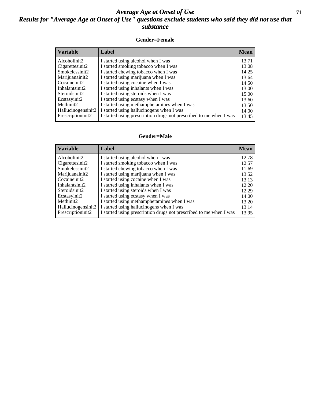#### *Average Age at Onset of Use* **71** *Results for "Average Age at Onset of Use" questions exclude students who said they did not use that substance*

#### **Gender=Female**

| <b>Variable</b>                 | Label                                                              | <b>Mean</b> |
|---------------------------------|--------------------------------------------------------------------|-------------|
| Alcoholinit2                    | I started using alcohol when I was                                 | 13.71       |
| Cigarettesinit2                 | I started smoking tobacco when I was                               | 13.08       |
| Smokelessinit2                  | I started chewing tobacco when I was                               | 14.25       |
| Marijuanainit2                  | I started using marijuana when I was                               | 13.64       |
| Cocaineinit2                    | I started using cocaine when I was                                 | 14.50       |
| Inhalantsinit2                  | I started using inhalants when I was                               | 13.00       |
| Steroidsinit2                   | I started using steroids when I was                                | 15.00       |
| Ecstasyinit2                    | I started using ecstasy when I was                                 | 13.60       |
| Methinit2                       | I started using methamphetamines when I was                        | 13.50       |
| Hallucinogensinit2              | I started using hallucinogens when I was                           | 14.00       |
| Prescription in it <sub>2</sub> | I started using prescription drugs not prescribed to me when I was | 13.45       |

#### **Gender=Male**

| <i><b>Variable</b></i>          | Label                                                              | <b>Mean</b> |
|---------------------------------|--------------------------------------------------------------------|-------------|
| Alcoholinit2                    | I started using alcohol when I was                                 | 12.78       |
| Cigarettesinit2                 | I started smoking tobacco when I was                               | 12.57       |
| Smokelessinit2                  | I started chewing tobacco when I was                               | 11.69       |
| Marijuanainit2                  | I started using marijuana when I was                               | 13.52       |
| Cocaineinit2                    | I started using cocaine when I was                                 | 13.13       |
| Inhalantsinit2                  | I started using inhalants when I was                               | 12.20       |
| Steroidsinit2                   | I started using steroids when I was                                | 12.29       |
| Ecstasyinit2                    | I started using ecstasy when I was                                 | 14.00       |
| Methinit2                       | I started using methamphetamines when I was                        | 13.20       |
| Hallucinogensinit2              | I started using hallucinogens when I was                           | 13.14       |
| Prescription in it <sub>2</sub> | I started using prescription drugs not prescribed to me when I was | 13.95       |
|                                 |                                                                    |             |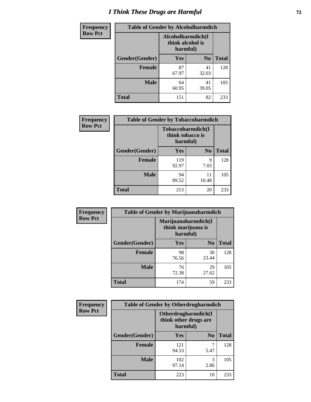# *I Think These Drugs are Harmful* **72**

| <b>Frequency</b> | <b>Table of Gender by Alcoholharmdich</b> |                                                   |                |              |  |
|------------------|-------------------------------------------|---------------------------------------------------|----------------|--------------|--|
| <b>Row Pct</b>   |                                           | Alcoholharmdich(I<br>think alcohol is<br>harmful) |                |              |  |
|                  | Gender(Gender)                            | <b>Yes</b>                                        | N <sub>0</sub> | <b>Total</b> |  |
|                  | <b>Female</b>                             | 87<br>67.97                                       | 41<br>32.03    | 128          |  |
|                  | <b>Male</b>                               | 64<br>60.95                                       | 41<br>39.05    | 105          |  |
|                  | <b>Total</b>                              | 151                                               | 82             | 233          |  |

| Frequency      | <b>Table of Gender by Tobaccoharmdich</b> |                              |                   |              |  |
|----------------|-------------------------------------------|------------------------------|-------------------|--------------|--|
| <b>Row Pct</b> |                                           | think tobacco is<br>harmful) | Tobaccoharmdich(I |              |  |
|                | Gender(Gender)                            | Yes                          | $\bf N_0$         | <b>Total</b> |  |
|                | <b>Female</b>                             | 119<br>92.97                 | 9<br>7.03         | 128          |  |
|                | <b>Male</b>                               | 94<br>89.52                  | 11<br>10.48       | 105          |  |
|                | <b>Total</b>                              | 213                          | 20                | 233          |  |

| Frequency      | <b>Table of Gender by Marijuanaharmdich</b> |                                                       |                |              |  |
|----------------|---------------------------------------------|-------------------------------------------------------|----------------|--------------|--|
| <b>Row Pct</b> |                                             | Marijuanaharmdich(I<br>think marijuana is<br>harmful) |                |              |  |
|                | Gender(Gender)                              | <b>Yes</b>                                            | N <sub>0</sub> | <b>Total</b> |  |
|                | <b>Female</b>                               | 98<br>76.56                                           | 30<br>23.44    | 128          |  |
|                | <b>Male</b>                                 | 76<br>72.38                                           | 29<br>27.62    | 105          |  |
|                | <b>Total</b>                                | 174                                                   | 59             | 233          |  |

| Frequency      | <b>Table of Gender by Otherdrugharmdich</b> |                                                          |                |              |  |
|----------------|---------------------------------------------|----------------------------------------------------------|----------------|--------------|--|
| <b>Row Pct</b> |                                             | Otherdrugharmdich(I<br>think other drugs are<br>harmful) |                |              |  |
|                | Gender(Gender)                              | <b>Yes</b>                                               | N <sub>0</sub> | <b>Total</b> |  |
|                | <b>Female</b>                               | 121<br>94.53                                             | 5.47           | 128          |  |
|                | <b>Male</b>                                 | 102<br>97.14                                             | 3<br>2.86      | 105          |  |
|                | <b>Total</b>                                | 223                                                      | 10             | 233          |  |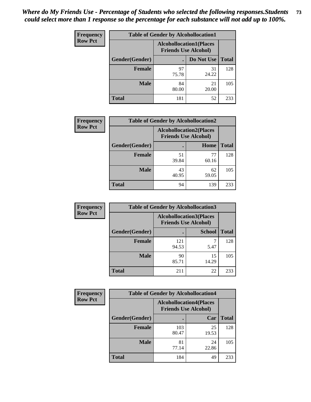| <b>Frequency</b> | <b>Table of Gender by Alcohollocation1</b> |                                                               |             |              |
|------------------|--------------------------------------------|---------------------------------------------------------------|-------------|--------------|
| <b>Row Pct</b>   |                                            | <b>Alcohollocation1(Places</b><br><b>Friends Use Alcohol)</b> |             |              |
|                  | Gender(Gender)                             |                                                               | Do Not Use  | <b>Total</b> |
|                  | <b>Female</b>                              | 97<br>75.78                                                   | 31<br>24.22 | 128          |
|                  | <b>Male</b>                                | 84<br>80.00                                                   | 21<br>20.00 | 105          |
|                  | Total                                      | 181                                                           | 52          | 233          |

| <b>Frequency</b> | <b>Table of Gender by Alcohollocation2</b> |                                |                             |              |
|------------------|--------------------------------------------|--------------------------------|-----------------------------|--------------|
| <b>Row Pct</b>   |                                            | <b>Alcohollocation2(Places</b> | <b>Friends Use Alcohol)</b> |              |
|                  | Gender(Gender)                             |                                | Home                        | <b>Total</b> |
|                  | <b>Female</b>                              | 51<br>39.84                    | 77<br>60.16                 | 128          |
|                  | <b>Male</b>                                | 43<br>40.95                    | 62<br>59.05                 | 105          |
|                  | <b>Total</b>                               | 94                             | 139                         | 233          |

| Frequency      | <b>Table of Gender by Alcohollocation3</b> |                                                               |               |              |
|----------------|--------------------------------------------|---------------------------------------------------------------|---------------|--------------|
| <b>Row Pct</b> |                                            | <b>Alcohollocation3(Places</b><br><b>Friends Use Alcohol)</b> |               |              |
|                | Gender(Gender)                             |                                                               | <b>School</b> | <b>Total</b> |
|                | <b>Female</b>                              | 121<br>94.53                                                  | 5.47          | 128          |
|                | <b>Male</b>                                | 90<br>85.71                                                   | 15<br>14.29   | 105          |
|                | <b>Total</b>                               | 211                                                           | 22            | 233          |

| Frequency      | <b>Table of Gender by Alcohollocation4</b> |                                                               |             |              |
|----------------|--------------------------------------------|---------------------------------------------------------------|-------------|--------------|
| <b>Row Pct</b> |                                            | <b>Alcohollocation4(Places</b><br><b>Friends Use Alcohol)</b> |             |              |
|                | Gender(Gender)                             |                                                               | Car         | <b>Total</b> |
|                | <b>Female</b>                              | 103<br>80.47                                                  | 25<br>19.53 | 128          |
|                | <b>Male</b>                                | 81<br>77.14                                                   | 24<br>22.86 | 105          |
|                | <b>Total</b>                               | 184                                                           | 49          | 233          |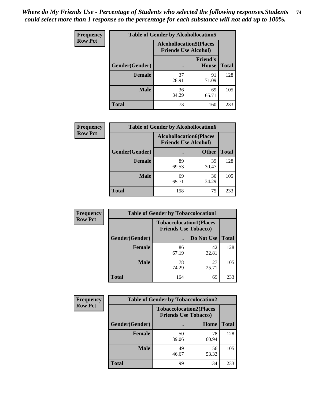| <b>Frequency</b> | <b>Table of Gender by Alcohollocation5</b> |                                                               |                                 |              |
|------------------|--------------------------------------------|---------------------------------------------------------------|---------------------------------|--------------|
| <b>Row Pct</b>   |                                            | <b>Alcohollocation5(Places</b><br><b>Friends Use Alcohol)</b> |                                 |              |
|                  | Gender(Gender)                             |                                                               | <b>Friend's</b><br><b>House</b> | <b>Total</b> |
|                  | <b>Female</b>                              | 37<br>28.91                                                   | 91<br>71.09                     | 128          |
|                  | <b>Male</b>                                | 36<br>34.29                                                   | 69<br>65.71                     | 105          |
|                  | <b>Total</b>                               | 73                                                            | 160                             | 233          |

| Frequency      | <b>Table of Gender by Alcohollocation6</b> |             |                                                               |              |
|----------------|--------------------------------------------|-------------|---------------------------------------------------------------|--------------|
| <b>Row Pct</b> |                                            |             | <b>Alcohollocation6(Places</b><br><b>Friends Use Alcohol)</b> |              |
|                | Gender(Gender)                             |             | <b>Other</b>                                                  | <b>Total</b> |
|                | <b>Female</b>                              | 89<br>69.53 | 39<br>30.47                                                   | 128          |
|                | <b>Male</b>                                | 69<br>65.71 | 36<br>34.29                                                   | 105          |
|                | <b>Total</b>                               | 158         | 75                                                            | 233          |

| Frequency      | <b>Table of Gender by Tobaccolocation1</b> |                                                               |             |              |  |
|----------------|--------------------------------------------|---------------------------------------------------------------|-------------|--------------|--|
| <b>Row Pct</b> |                                            | <b>Tobaccolocation1(Places</b><br><b>Friends Use Tobacco)</b> |             |              |  |
|                | Gender(Gender)                             |                                                               | Do Not Use  | <b>Total</b> |  |
|                | Female                                     | 86<br>67.19                                                   | 42<br>32.81 | 128          |  |
|                | <b>Male</b>                                | 78<br>74.29                                                   | 27<br>25.71 | 105          |  |
|                | <b>Total</b>                               | 164                                                           | 69          | 233          |  |

| <b>Frequency</b> | <b>Table of Gender by Tobaccolocation2</b> |                                                               |             |              |
|------------------|--------------------------------------------|---------------------------------------------------------------|-------------|--------------|
| <b>Row Pct</b>   |                                            | <b>Tobaccolocation2(Places</b><br><b>Friends Use Tobacco)</b> |             |              |
|                  | Gender(Gender)                             |                                                               | Home        | <b>Total</b> |
|                  | <b>Female</b>                              | 50<br>39.06                                                   | 78<br>60.94 | 128          |
|                  | <b>Male</b>                                | 49<br>46.67                                                   | 56<br>53.33 | 105          |
|                  | <b>Total</b>                               | 99                                                            | 134         | 233          |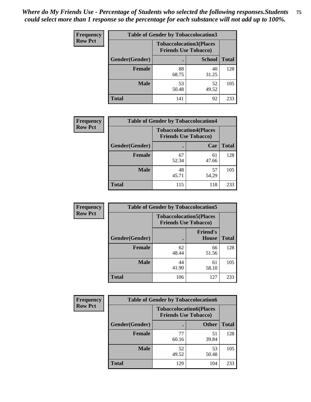| <b>Frequency</b> | <b>Table of Gender by Tobaccolocation3</b> |                             |                                |              |
|------------------|--------------------------------------------|-----------------------------|--------------------------------|--------------|
| <b>Row Pct</b>   |                                            | <b>Friends Use Tobacco)</b> | <b>Tobaccolocation3(Places</b> |              |
|                  | Gender(Gender)                             |                             | <b>School</b>                  | <b>Total</b> |
|                  | Female                                     | 88<br>68.75                 | 40<br>31.25                    | 128          |
|                  | <b>Male</b>                                | 53<br>50.48                 | 52<br>49.52                    | 105          |
|                  | <b>Total</b>                               | 141                         | 92                             | 233          |

| <b>Frequency</b> | <b>Table of Gender by Tobaccolocation4</b> |             |                                                               |              |
|------------------|--------------------------------------------|-------------|---------------------------------------------------------------|--------------|
| <b>Row Pct</b>   |                                            |             | <b>Tobaccolocation4(Places</b><br><b>Friends Use Tobacco)</b> |              |
|                  | Gender(Gender)                             |             | Car                                                           | <b>Total</b> |
|                  | <b>Female</b>                              | 67<br>52.34 | 61<br>47.66                                                   | 128          |
|                  | <b>Male</b>                                | 48<br>45.71 | 57<br>54.29                                                   | 105          |
|                  | <b>Total</b>                               | 115         | 118                                                           | 233          |

| <b>Frequency</b> | <b>Table of Gender by Tobaccolocation5</b> |                                                               |                                 |              |
|------------------|--------------------------------------------|---------------------------------------------------------------|---------------------------------|--------------|
| <b>Row Pct</b>   |                                            | <b>Tobaccolocation5(Places</b><br><b>Friends Use Tobacco)</b> |                                 |              |
|                  | <b>Gender</b> (Gender)                     |                                                               | <b>Friend's</b><br><b>House</b> | <b>Total</b> |
|                  | <b>Female</b>                              | 62<br>48.44                                                   | 66<br>51.56                     | 128          |
|                  | <b>Male</b>                                | 44<br>41.90                                                   | 61<br>58.10                     | 105          |
|                  | <b>Total</b>                               | 106                                                           | 127                             | 233          |

| <b>Frequency</b> | <b>Table of Gender by Tobaccolocation6</b> |                                                               |              |              |
|------------------|--------------------------------------------|---------------------------------------------------------------|--------------|--------------|
| <b>Row Pct</b>   |                                            | <b>Tobaccolocation6(Places</b><br><b>Friends Use Tobacco)</b> |              |              |
|                  | Gender(Gender)                             |                                                               | <b>Other</b> | <b>Total</b> |
|                  | Female                                     | 77<br>60.16                                                   | 51<br>39.84  | 128          |
|                  | <b>Male</b>                                | 52<br>49.52                                                   | 53<br>50.48  | 105          |
|                  | <b>Total</b>                               | 129                                                           | 104          | 233          |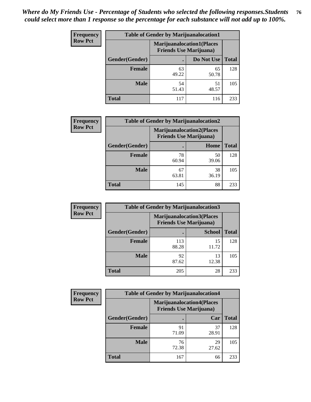| <b>Frequency</b> | <b>Table of Gender by Marijuanalocation1</b> |                                                                    |             |              |
|------------------|----------------------------------------------|--------------------------------------------------------------------|-------------|--------------|
| <b>Row Pct</b>   |                                              | <b>Marijuanalocation1(Places</b><br><b>Friends Use Marijuana</b> ) |             |              |
|                  | Gender(Gender)                               |                                                                    | Do Not Use  | <b>Total</b> |
|                  | <b>Female</b>                                | 63<br>49.22                                                        | 65<br>50.78 | 128          |
|                  | <b>Male</b>                                  | 54<br>51.43                                                        | 51<br>48.57 | 105          |
|                  | <b>Total</b>                                 | 117                                                                | 116         | 233          |

| <b>Frequency</b> | <b>Table of Gender by Marijuanalocation2</b> |                                                                    |             |              |
|------------------|----------------------------------------------|--------------------------------------------------------------------|-------------|--------------|
| <b>Row Pct</b>   |                                              | <b>Marijuanalocation2(Places</b><br><b>Friends Use Marijuana</b> ) |             |              |
|                  | Gender(Gender)                               |                                                                    | Home        | <b>Total</b> |
|                  | <b>Female</b>                                | 78<br>60.94                                                        | 50<br>39.06 | 128          |
|                  | <b>Male</b>                                  | 67<br>63.81                                                        | 38<br>36.19 | 105          |
|                  | <b>Total</b>                                 | 145                                                                | 88          | 233          |

| <b>Frequency</b> | <b>Table of Gender by Marijuanalocation3</b> |              |                                                                    |              |  |
|------------------|----------------------------------------------|--------------|--------------------------------------------------------------------|--------------|--|
| <b>Row Pct</b>   |                                              |              | <b>Marijuanalocation3(Places</b><br><b>Friends Use Marijuana</b> ) |              |  |
|                  | Gender(Gender)                               |              | <b>School</b>                                                      | <b>Total</b> |  |
|                  | Female                                       | 113<br>88.28 | 15<br>11.72                                                        | 128          |  |
|                  | <b>Male</b>                                  | 92<br>87.62  | 13<br>12.38                                                        | 105          |  |
|                  | <b>Total</b>                                 | 205          | 28                                                                 | 233          |  |

| Frequency      | <b>Table of Gender by Marijuanalocation4</b> |                                                                    |             |              |
|----------------|----------------------------------------------|--------------------------------------------------------------------|-------------|--------------|
| <b>Row Pct</b> |                                              | <b>Marijuanalocation4(Places</b><br><b>Friends Use Marijuana</b> ) |             |              |
|                | <b>Gender</b> (Gender)                       |                                                                    | Car         | <b>Total</b> |
|                | <b>Female</b>                                | 91<br>71.09                                                        | 37<br>28.91 | 128          |
|                | <b>Male</b>                                  | 76<br>72.38                                                        | 29<br>27.62 | 105          |
|                | <b>Total</b>                                 | 167                                                                | 66          | 233          |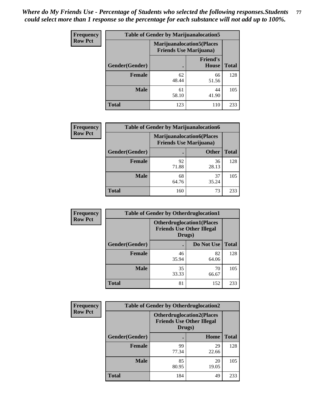| <b>Frequency</b> | <b>Table of Gender by Marijuanalocation5</b> |                                                                    |                                 |              |
|------------------|----------------------------------------------|--------------------------------------------------------------------|---------------------------------|--------------|
| <b>Row Pct</b>   |                                              | <b>Marijuanalocation5(Places</b><br><b>Friends Use Marijuana</b> ) |                                 |              |
|                  | Gender(Gender)                               |                                                                    | <b>Friend's</b><br><b>House</b> | <b>Total</b> |
|                  | Female                                       | 62<br>48.44                                                        | 66<br>51.56                     | 128          |
|                  | <b>Male</b>                                  | 61<br>58.10                                                        | 44<br>41.90                     | 105          |
|                  | <b>Total</b>                                 | 123                                                                | 110                             | 233          |

| <b>Frequency</b> | <b>Table of Gender by Marijuanalocation6</b> |                                |                                  |              |
|------------------|----------------------------------------------|--------------------------------|----------------------------------|--------------|
| <b>Row Pct</b>   |                                              | <b>Friends Use Marijuana</b> ) | <b>Marijuanalocation6(Places</b> |              |
|                  | Gender(Gender)                               |                                | <b>Other</b>                     | <b>Total</b> |
|                  | <b>Female</b>                                | 92<br>71.88                    | 36<br>28.13                      | 128          |
|                  | <b>Male</b>                                  | 68<br>64.76                    | 37<br>35.24                      | 105          |
|                  | <b>Total</b>                                 | 160                            | 73                               | 233          |

| Frequency      | <b>Table of Gender by Otherdruglocation1</b> |                                                                                |             |              |
|----------------|----------------------------------------------|--------------------------------------------------------------------------------|-------------|--------------|
| <b>Row Pct</b> |                                              | <b>Otherdruglocation1(Places</b><br><b>Friends Use Other Illegal</b><br>Drugs) |             |              |
|                | Gender(Gender)                               |                                                                                | Do Not Use  | <b>Total</b> |
|                | <b>Female</b>                                | 46<br>35.94                                                                    | 82<br>64.06 | 128          |
|                | <b>Male</b>                                  | 35<br>33.33                                                                    | 70<br>66.67 | 105          |
|                | <b>Total</b>                                 | 81                                                                             | 152         | 233          |

| <b>Frequency</b> | <b>Table of Gender by Otherdruglocation2</b> |                                            |                                  |              |
|------------------|----------------------------------------------|--------------------------------------------|----------------------------------|--------------|
| <b>Row Pct</b>   |                                              | <b>Friends Use Other Illegal</b><br>Drugs) | <b>Otherdruglocation2(Places</b> |              |
|                  | Gender(Gender)                               |                                            | Home                             | <b>Total</b> |
|                  | Female                                       | 99<br>77.34                                | 29<br>22.66                      | 128          |
|                  | <b>Male</b>                                  | 85<br>80.95                                | 20<br>19.05                      | 105          |
|                  | <b>Total</b>                                 | 184                                        | 49                               | 233          |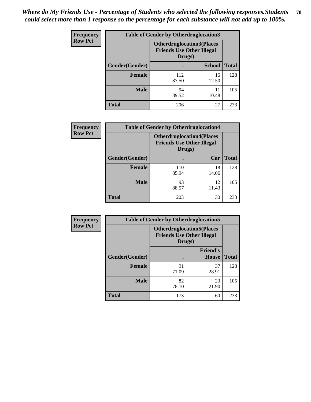| <b>Frequency</b> | <b>Table of Gender by Otherdruglocation3</b> |                                                                                |               |              |
|------------------|----------------------------------------------|--------------------------------------------------------------------------------|---------------|--------------|
| <b>Row Pct</b>   |                                              | <b>Otherdruglocation3(Places</b><br><b>Friends Use Other Illegal</b><br>Drugs) |               |              |
|                  | Gender(Gender)                               |                                                                                | <b>School</b> | <b>Total</b> |
|                  | <b>Female</b>                                | 112<br>87.50                                                                   | 16<br>12.50   | 128          |
|                  | <b>Male</b>                                  | 94<br>89.52                                                                    | 11<br>10.48   | 105          |
|                  | <b>Total</b>                                 | 206                                                                            | 27            | 233          |

| <b>Frequency</b> | <b>Table of Gender by Otherdruglocation4</b> |              |                                                                      |              |
|------------------|----------------------------------------------|--------------|----------------------------------------------------------------------|--------------|
| <b>Row Pct</b>   |                                              | Drugs)       | <b>Otherdruglocation4(Places</b><br><b>Friends Use Other Illegal</b> |              |
|                  | Gender(Gender)                               |              | Car                                                                  | <b>Total</b> |
|                  | <b>Female</b>                                | 110<br>85.94 | 18<br>14.06                                                          | 128          |
|                  | <b>Male</b>                                  | 93<br>88.57  | 12<br>11.43                                                          | 105          |
|                  | <b>Total</b>                                 | 203          | 30                                                                   | 233          |

| Frequency      | <b>Table of Gender by Otherdruglocation5</b>                                   |             |                                 |              |
|----------------|--------------------------------------------------------------------------------|-------------|---------------------------------|--------------|
| <b>Row Pct</b> | <b>Otherdruglocation5(Places</b><br><b>Friends Use Other Illegal</b><br>Drugs) |             |                                 |              |
|                | Gender(Gender)                                                                 |             | <b>Friend's</b><br><b>House</b> | <b>Total</b> |
|                | <b>Female</b>                                                                  | 91<br>71.09 | 37<br>28.91                     | 128          |
|                | <b>Male</b>                                                                    | 82<br>78.10 | 23<br>21.90                     | 105          |
|                | <b>Total</b>                                                                   | 173         | 60                              | 233          |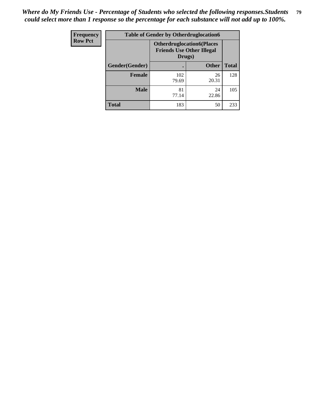| Frequency      | <b>Table of Gender by Otherdruglocation6</b> |                                            |                                  |              |
|----------------|----------------------------------------------|--------------------------------------------|----------------------------------|--------------|
| <b>Row Pct</b> |                                              | <b>Friends Use Other Illegal</b><br>Drugs) | <b>Otherdruglocation6(Places</b> |              |
|                | Gender(Gender)                               |                                            | <b>Other</b>                     | <b>Total</b> |
|                | <b>Female</b>                                | 102<br>79.69                               | 26<br>20.31                      | 128          |
|                | <b>Male</b>                                  | 81<br>77.14                                | 24<br>22.86                      | 105          |
|                | <b>Total</b>                                 | 183                                        | 50                               | 233          |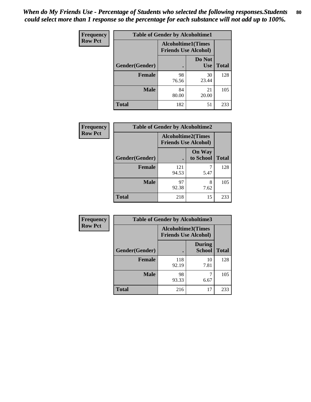| <b>Frequency</b> | <b>Table of Gender by Alcoholtime1</b> |                                                          |                      |              |
|------------------|----------------------------------------|----------------------------------------------------------|----------------------|--------------|
| <b>Row Pct</b>   |                                        | <b>Alcoholtime1(Times</b><br><b>Friends Use Alcohol)</b> |                      |              |
|                  | Gender(Gender)                         | $\bullet$                                                | Do Not<br><b>Use</b> | <b>Total</b> |
|                  | <b>Female</b>                          | 98<br>76.56                                              | 30<br>23.44          | 128          |
|                  | <b>Male</b>                            | 84<br>80.00                                              | 21<br>20.00          | 105          |
|                  | <b>Total</b>                           | 182                                                      | 51                   | 233          |

| <b>Frequency</b> | <b>Table of Gender by Alcoholtime2</b> |                                                          |                            |              |
|------------------|----------------------------------------|----------------------------------------------------------|----------------------------|--------------|
| <b>Row Pct</b>   |                                        | <b>Alcoholtime2(Times</b><br><b>Friends Use Alcohol)</b> |                            |              |
|                  | Gender(Gender)                         |                                                          | <b>On Way</b><br>to School | <b>Total</b> |
|                  | <b>Female</b>                          | 121<br>94.53                                             | 5.47                       | 128          |
|                  | <b>Male</b>                            | 97<br>92.38                                              | 8<br>7.62                  | 105          |
|                  | <b>Total</b>                           | 218                                                      | 15                         | 233          |

| Frequency      | <b>Table of Gender by Alcoholtime3</b> |                                                          |                         |              |
|----------------|----------------------------------------|----------------------------------------------------------|-------------------------|--------------|
| <b>Row Pct</b> |                                        | <b>Alcoholtime3(Times</b><br><b>Friends Use Alcohol)</b> |                         |              |
|                | Gender(Gender)                         |                                                          | <b>During</b><br>School | <b>Total</b> |
|                | <b>Female</b>                          | 118<br>92.19                                             | 10<br>7.81              | 128          |
|                | <b>Male</b>                            | 98<br>93.33                                              | 6.67                    | 105          |
|                | <b>Total</b>                           | 216                                                      | 17                      | 233          |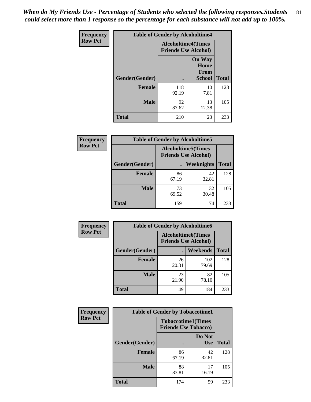*When do My Friends Use - Percentage of Students who selected the following responses.Students could select more than 1 response so the percentage for each substance will not add up to 100%.* **81**

| <b>Frequency</b> | <b>Table of Gender by Alcoholtime4</b> |                                                          |                                                |              |
|------------------|----------------------------------------|----------------------------------------------------------|------------------------------------------------|--------------|
| <b>Row Pct</b>   |                                        | <b>Alcoholtime4(Times</b><br><b>Friends Use Alcohol)</b> |                                                |              |
|                  | Gender(Gender)                         |                                                          | <b>On Way</b><br>Home<br>From<br><b>School</b> | <b>Total</b> |
|                  | <b>Female</b>                          | 118<br>92.19                                             | 10<br>7.81                                     | 128          |
|                  | <b>Male</b>                            | 92<br>87.62                                              | 13<br>12.38                                    | 105          |
|                  | <b>Total</b>                           | 210                                                      | 23                                             | 233          |

| <b>Frequency</b> | <b>Table of Gender by Alcoholtime5</b> |                                                           |             |              |
|------------------|----------------------------------------|-----------------------------------------------------------|-------------|--------------|
| <b>Row Pct</b>   |                                        | <b>Alcoholtime5</b> (Times<br><b>Friends Use Alcohol)</b> |             |              |
|                  | Gender(Gender)                         |                                                           | Weeknights  | <b>Total</b> |
|                  | <b>Female</b>                          | 86<br>67.19                                               | 42<br>32.81 | 128          |
|                  | <b>Male</b>                            | 73<br>69.52                                               | 32<br>30.48 | 105          |
|                  | <b>Total</b>                           | 159                                                       | 74          | 233          |

| <b>Frequency</b> | <b>Table of Gender by Alcoholtime6</b> |             |                                                          |              |
|------------------|----------------------------------------|-------------|----------------------------------------------------------|--------------|
| <b>Row Pct</b>   |                                        |             | <b>Alcoholtime6(Times</b><br><b>Friends Use Alcohol)</b> |              |
|                  | Gender(Gender)                         |             | Weekends                                                 | <b>Total</b> |
|                  | Female                                 | 26<br>20.31 | 102<br>79.69                                             | 128          |
|                  | <b>Male</b>                            | 23<br>21.90 | 82<br>78.10                                              | 105          |
|                  | <b>Total</b>                           | 49          | 184                                                      | 233          |

| Frequency      | <b>Table of Gender by Tobaccotime1</b> |                                                          |                      |              |
|----------------|----------------------------------------|----------------------------------------------------------|----------------------|--------------|
| <b>Row Pct</b> |                                        | <b>Tobaccotime1(Times</b><br><b>Friends Use Tobacco)</b> |                      |              |
|                | Gender(Gender)                         |                                                          | Do Not<br><b>Use</b> | <b>Total</b> |
|                | <b>Female</b>                          | 86<br>67.19                                              | 42<br>32.81          | 128          |
|                | <b>Male</b>                            | 88<br>83.81                                              | 17<br>16.19          | 105          |
|                | <b>Total</b>                           | 174                                                      | 59                   | 233          |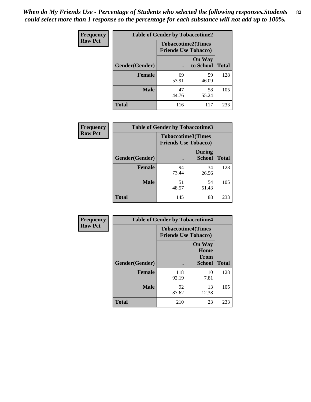| <b>Frequency</b> | <b>Table of Gender by Tobaccotime2</b> |                                                          |                            |              |
|------------------|----------------------------------------|----------------------------------------------------------|----------------------------|--------------|
| <b>Row Pct</b>   |                                        | <b>Tobaccotime2(Times</b><br><b>Friends Use Tobacco)</b> |                            |              |
|                  | Gender(Gender)                         |                                                          | <b>On Way</b><br>to School | <b>Total</b> |
|                  | <b>Female</b>                          | 69<br>53.91                                              | 59<br>46.09                | 128          |
|                  | <b>Male</b>                            | 47<br>44.76                                              | 58<br>55.24                | 105          |
|                  | <b>Total</b>                           | 116                                                      | 117                        | 233          |

| Frequency      | <b>Table of Gender by Tobaccotime3</b> |                                                          |                                |              |
|----------------|----------------------------------------|----------------------------------------------------------|--------------------------------|--------------|
| <b>Row Pct</b> |                                        | <b>Tobaccotime3(Times</b><br><b>Friends Use Tobacco)</b> |                                |              |
|                | Gender(Gender)                         | п                                                        | <b>During</b><br><b>School</b> | <b>Total</b> |
|                | Female                                 | 94<br>73.44                                              | 34<br>26.56                    | 128          |
|                | <b>Male</b>                            | 51<br>48.57                                              | 54<br>51.43                    | 105          |
|                | <b>Total</b>                           | 145                                                      | 88                             | 233          |

| <b>Frequency</b> | <b>Table of Gender by Tobaccotime4</b> |                                                          |                                                       |              |
|------------------|----------------------------------------|----------------------------------------------------------|-------------------------------------------------------|--------------|
| <b>Row Pct</b>   |                                        | <b>Tobaccotime4(Times</b><br><b>Friends Use Tobacco)</b> |                                                       |              |
|                  | Gender(Gender)                         |                                                          | <b>On Way</b><br>Home<br><b>From</b><br><b>School</b> | <b>Total</b> |
|                  | <b>Female</b>                          | 118<br>92.19                                             | 10<br>7.81                                            | 128          |
|                  | <b>Male</b>                            | 92<br>87.62                                              | 13<br>12.38                                           | 105          |
|                  | <b>Total</b>                           | 210                                                      | 23                                                    | 233          |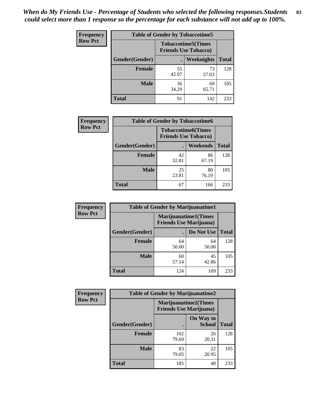| <b>Frequency</b> | <b>Table of Gender by Tobaccotime5</b> |             |                                                           |              |
|------------------|----------------------------------------|-------------|-----------------------------------------------------------|--------------|
| <b>Row Pct</b>   |                                        |             | <b>Tobaccotime5</b> (Times<br><b>Friends Use Tobacco)</b> |              |
|                  | Gender(Gender)                         |             | Weeknights                                                | <b>Total</b> |
|                  | <b>Female</b>                          | 55<br>42.97 | 73<br>57.03                                               | 128          |
|                  | <b>Male</b>                            | 36<br>34.29 | 69<br>65.71                                               | 105          |
|                  | <b>Total</b>                           | 91          | 142                                                       | 233          |

| <b>Frequency</b> | <b>Table of Gender by Tobaccotime6</b> |                                                          |                 |              |
|------------------|----------------------------------------|----------------------------------------------------------|-----------------|--------------|
| <b>Row Pct</b>   |                                        | <b>Tobaccotime6(Times</b><br><b>Friends Use Tobacco)</b> |                 |              |
|                  | Gender(Gender)                         |                                                          | <b>Weekends</b> | <b>Total</b> |
|                  | Female                                 | 42<br>32.81                                              | 86<br>67.19     | 128          |
|                  | <b>Male</b>                            | 25<br>23.81                                              | 80<br>76.19     | 105          |
|                  | <b>Total</b>                           | 67                                                       | 166             | 233          |

| <b>Frequency</b> | <b>Table of Gender by Marijuanatime1</b> |                                |                             |              |
|------------------|------------------------------------------|--------------------------------|-----------------------------|--------------|
| <b>Row Pct</b>   |                                          | <b>Friends Use Marijuana</b> ) | <b>Marijuanatime1(Times</b> |              |
|                  | Gender(Gender)                           |                                | Do Not Use                  | <b>Total</b> |
|                  | <b>Female</b>                            | 64<br>50.00                    | 64<br>50.00                 | 128          |
|                  | <b>Male</b>                              | 60<br>57.14                    | 45<br>42.86                 | 105          |
|                  | <b>Total</b>                             | 124                            | 109                         | 233          |

| <b>Frequency</b> | <b>Table of Gender by Marijuanatime2</b> |                                                               |                            |              |
|------------------|------------------------------------------|---------------------------------------------------------------|----------------------------|--------------|
| <b>Row Pct</b>   |                                          | <b>Marijuanatime2(Times</b><br><b>Friends Use Marijuana</b> ) |                            |              |
|                  | Gender(Gender)                           |                                                               | On Way to<br><b>School</b> | <b>Total</b> |
|                  | Female                                   | 102<br>79.69                                                  | 26<br>20.31                | 128          |
|                  | <b>Male</b>                              | 83<br>79.05                                                   | 22<br>20.95                | 105          |
|                  | <b>Total</b>                             | 185                                                           | 48                         | 233          |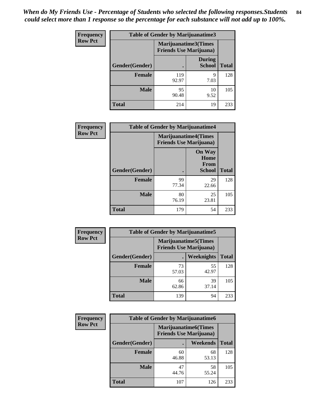*When do My Friends Use - Percentage of Students who selected the following responses.Students could select more than 1 response so the percentage for each substance will not add up to 100%.* **84**

| <b>Frequency</b> | Table of Gender by Marijuanatime3 |                                                        |                                |              |
|------------------|-----------------------------------|--------------------------------------------------------|--------------------------------|--------------|
| <b>Row Pct</b>   |                                   | Marijuanatime3(Times<br><b>Friends Use Marijuana</b> ) |                                |              |
|                  | Gender(Gender)                    |                                                        | <b>During</b><br><b>School</b> | <b>Total</b> |
|                  | <b>Female</b>                     | 119<br>92.97                                           | 9<br>7.03                      | 128          |
|                  | <b>Male</b>                       | 95<br>90.48                                            | 10<br>9.52                     | 105          |
|                  | <b>Total</b>                      | 214                                                    | 19                             | 233          |

| Frequency      | <b>Table of Gender by Marijuanatime4</b> |                                                               |                                                |              |
|----------------|------------------------------------------|---------------------------------------------------------------|------------------------------------------------|--------------|
| <b>Row Pct</b> |                                          | <b>Marijuanatime4(Times</b><br><b>Friends Use Marijuana</b> ) |                                                |              |
|                | Gender(Gender)                           |                                                               | <b>On Way</b><br>Home<br>From<br><b>School</b> | <b>Total</b> |
|                | <b>Female</b>                            | 99<br>77.34                                                   | 29<br>22.66                                    | 128          |
|                | <b>Male</b>                              | 80<br>76.19                                                   | 25<br>23.81                                    | 105          |
|                | <b>Total</b>                             | 179                                                           | 54                                             | 233          |

| Frequency      | <b>Table of Gender by Marijuanatime5</b> |             |                                                                |              |  |
|----------------|------------------------------------------|-------------|----------------------------------------------------------------|--------------|--|
| <b>Row Pct</b> |                                          |             | <b>Marijuanatime5</b> (Times<br><b>Friends Use Marijuana</b> ) |              |  |
|                | Gender(Gender)                           | ٠           | Weeknights                                                     | <b>Total</b> |  |
|                | <b>Female</b>                            | 73<br>57.03 | 55<br>42.97                                                    | 128          |  |
|                | <b>Male</b>                              | 66<br>62.86 | 39<br>37.14                                                    | 105          |  |
|                | <b>Total</b>                             | 139         | 94                                                             | 233          |  |

| Frequency      |                | <b>Table of Gender by Marijuanatime6</b>                      |                 |              |  |
|----------------|----------------|---------------------------------------------------------------|-----------------|--------------|--|
| <b>Row Pct</b> |                | <b>Marijuanatime6(Times</b><br><b>Friends Use Marijuana</b> ) |                 |              |  |
|                | Gender(Gender) |                                                               | <b>Weekends</b> | <b>Total</b> |  |
|                | <b>Female</b>  | 60<br>46.88                                                   | 68<br>53.13     | 128          |  |
|                | <b>Male</b>    | 47<br>44.76                                                   | 58<br>55.24     | 105          |  |
|                | <b>Total</b>   | 107                                                           | 126             | 233          |  |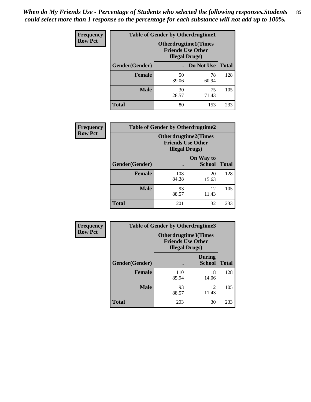| <b>Frequency</b> | <b>Table of Gender by Otherdrugtime1</b> |                                                                                   |             |              |
|------------------|------------------------------------------|-----------------------------------------------------------------------------------|-------------|--------------|
| <b>Row Pct</b>   |                                          | <b>Otherdrugtime1(Times</b><br><b>Friends Use Other</b><br><b>Illegal Drugs</b> ) |             |              |
|                  | Gender(Gender)                           |                                                                                   | Do Not Use  | <b>Total</b> |
|                  | <b>Female</b>                            | 50<br>39.06                                                                       | 78<br>60.94 | 128          |
|                  | <b>Male</b>                              | 30<br>28.57                                                                       | 75<br>71.43 | 105          |
|                  | <b>Total</b>                             | 80                                                                                | 153         | 233          |

| Frequency      | <b>Table of Gender by Otherdrugtime2</b> |                                                                                   |                            |              |
|----------------|------------------------------------------|-----------------------------------------------------------------------------------|----------------------------|--------------|
| <b>Row Pct</b> |                                          | <b>Otherdrugtime2(Times</b><br><b>Friends Use Other</b><br><b>Illegal Drugs</b> ) |                            |              |
|                | Gender(Gender)                           |                                                                                   | On Way to<br><b>School</b> | <b>Total</b> |
|                | <b>Female</b>                            | 108<br>84.38                                                                      | 20<br>15.63                | 128          |
|                | <b>Male</b>                              | 93<br>88.57                                                                       | 12<br>11.43                | 105          |
|                | <b>Total</b>                             | 201                                                                               | 32                         | 233          |

| Frequency      |                | <b>Table of Gender by Otherdrugtime3</b> |                                                  |              |
|----------------|----------------|------------------------------------------|--------------------------------------------------|--------------|
| <b>Row Pct</b> |                | <b>Illegal Drugs</b> )                   | Otherdrugtime3(Times<br><b>Friends Use Other</b> |              |
|                | Gender(Gender) |                                          | <b>During</b><br><b>School</b>                   | <b>Total</b> |
|                | <b>Female</b>  | 110<br>85.94                             | 18<br>14.06                                      | 128          |
|                | <b>Male</b>    | 93<br>88.57                              | 12<br>11.43                                      | 105          |
|                | <b>Total</b>   | 203                                      | 30                                               | 233          |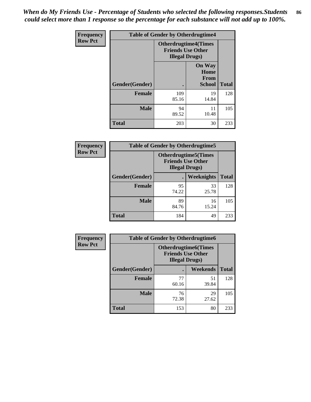*When do My Friends Use - Percentage of Students who selected the following responses.Students could select more than 1 response so the percentage for each substance will not add up to 100%.* **86**

| <b>Frequency</b> | <b>Table of Gender by Otherdrugtime4</b> |                                                    |                                                       |              |
|------------------|------------------------------------------|----------------------------------------------------|-------------------------------------------------------|--------------|
| <b>Row Pct</b>   |                                          | <b>Friends Use Other</b><br><b>Illegal Drugs</b> ) | <b>Otherdrugtime4(Times</b>                           |              |
|                  | Gender(Gender)                           |                                                    | <b>On Way</b><br>Home<br><b>From</b><br><b>School</b> | <b>Total</b> |
|                  | Female                                   | 109<br>85.16                                       | 19<br>14.84                                           | 128          |
|                  | <b>Male</b>                              | 94<br>89.52                                        | 11<br>10.48                                           | 105          |
|                  | <b>Total</b>                             | 203                                                | 30                                                    | 233          |

| Frequency      | <b>Table of Gender by Otherdrugtime5</b> |                                                                                    |             |              |
|----------------|------------------------------------------|------------------------------------------------------------------------------------|-------------|--------------|
| <b>Row Pct</b> |                                          | <b>Otherdrugtime5</b> (Times<br><b>Friends Use Other</b><br><b>Illegal Drugs</b> ) |             |              |
|                | Gender(Gender)                           |                                                                                    | Weeknights  | <b>Total</b> |
|                | <b>Female</b>                            | 95<br>74.22                                                                        | 33<br>25.78 | 128          |
|                | <b>Male</b>                              | 89<br>84.76                                                                        | 16<br>15.24 | 105          |
|                | <b>Total</b>                             | 184                                                                                | 49          | 233          |

| Frequency      | <b>Table of Gender by Otherdrugtime6</b> |                                                                                   |             |              |
|----------------|------------------------------------------|-----------------------------------------------------------------------------------|-------------|--------------|
| <b>Row Pct</b> |                                          | <b>Otherdrugtime6(Times</b><br><b>Friends Use Other</b><br><b>Illegal Drugs</b> ) |             |              |
|                | Gender(Gender)                           |                                                                                   | Weekends    | <b>Total</b> |
|                | <b>Female</b>                            | 77<br>60.16                                                                       | 51<br>39.84 | 128          |
|                | <b>Male</b>                              | 76<br>72.38                                                                       | 29<br>27.62 | 105          |
|                | <b>Total</b>                             | 153                                                                               | 80          | 233          |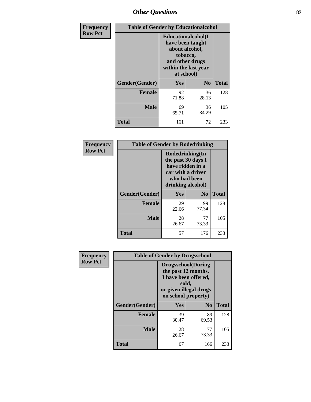# *Other Questions* **87**

| Frequency      | <b>Table of Gender by Educationalcohol</b> |                                                                                                                               |                |              |  |
|----------------|--------------------------------------------|-------------------------------------------------------------------------------------------------------------------------------|----------------|--------------|--|
| <b>Row Pct</b> |                                            | Educationalcohol(I<br>have been taught<br>about alcohol,<br>tobacco,<br>and other drugs<br>within the last year<br>at school) |                |              |  |
|                | Gender(Gender)                             | <b>Yes</b>                                                                                                                    | N <sub>0</sub> | <b>Total</b> |  |
|                | <b>Female</b>                              | 92<br>71.88                                                                                                                   | 36<br>28.13    | 128          |  |
|                | <b>Male</b>                                | 69<br>65.71                                                                                                                   | 36<br>34.29    | 105          |  |
|                | <b>Total</b>                               | 161                                                                                                                           | 72             | 233          |  |

| Frequency      | <b>Table of Gender by Rodedrinking</b> |                                                                                                                     |                |              |
|----------------|----------------------------------------|---------------------------------------------------------------------------------------------------------------------|----------------|--------------|
| <b>Row Pct</b> |                                        | Rodedrinking(In<br>the past 30 days I<br>have ridden in a<br>car with a driver<br>who had been<br>drinking alcohol) |                |              |
|                | Gender(Gender)                         | Yes                                                                                                                 | N <sub>0</sub> | <b>Total</b> |
|                | <b>Female</b>                          | 29<br>22.66                                                                                                         | 99<br>77.34    | 128          |
|                | <b>Male</b>                            | 28<br>26.67                                                                                                         | 77<br>73.33    | 105          |
|                | <b>Total</b>                           | 57                                                                                                                  | 176            | 233          |

| Frequency      | <b>Table of Gender by Drugsschool</b> |                                                                                                                                     |                |              |  |
|----------------|---------------------------------------|-------------------------------------------------------------------------------------------------------------------------------------|----------------|--------------|--|
| <b>Row Pct</b> |                                       | <b>Drugsschool</b> (During<br>the past 12 months,<br>I have been offered,<br>sold,<br>or given illegal drugs<br>on school property) |                |              |  |
|                | Gender(Gender)                        | <b>Yes</b>                                                                                                                          | N <sub>0</sub> | <b>Total</b> |  |
|                | <b>Female</b>                         | 39<br>30.47                                                                                                                         | 89<br>69.53    | 128          |  |
|                | <b>Male</b>                           | 28<br>26.67                                                                                                                         | 77<br>73.33    | 105          |  |
|                | <b>Total</b>                          | 67                                                                                                                                  | 166            | 233          |  |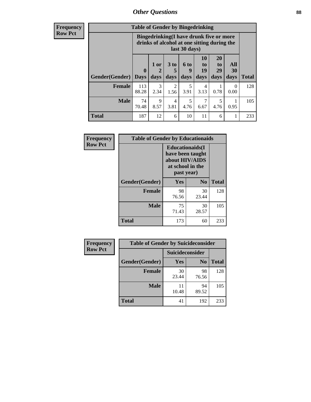# *Other Questions* **88**

**Frequency Row Pct**

| <b>Table of Gender by Bingedrinking</b> |                         |                                                                                                         |                        |                   |                               |                               |                   |              |
|-----------------------------------------|-------------------------|---------------------------------------------------------------------------------------------------------|------------------------|-------------------|-------------------------------|-------------------------------|-------------------|--------------|
|                                         |                         | Bingedrinking(I have drunk five or more<br>drinks of alcohol at one sitting during the<br>last 30 days) |                        |                   |                               |                               |                   |              |
| <b>Gender</b> (Gender)                  | $\bf{0}$<br><b>Days</b> | 1 or<br>days                                                                                            | 3 to<br>5<br>days      | 6 to<br>9<br>days | <b>10</b><br>to<br>19<br>days | <b>20</b><br>to<br>29<br>days | All<br>30<br>days | <b>Total</b> |
| <b>Female</b>                           | 113<br>88.28            | 3<br>2.34                                                                                               | $\overline{2}$<br>1.56 | 5<br>3.91         | 4<br>3.13                     | 0.78                          | $\Omega$<br>0.00  | 128          |
| <b>Male</b>                             | 74<br>70.48             | 9<br>8.57                                                                                               | $\overline{4}$<br>3.81 | 5<br>4.76         | 6.67                          | 5<br>4.76                     | 0.95              | 105          |
| <b>Total</b>                            |                         |                                                                                                         |                        |                   |                               |                               |                   |              |

| Frequency      | <b>Table of Gender by Educationaids</b> |                                                                                                 |                |              |
|----------------|-----------------------------------------|-------------------------------------------------------------------------------------------------|----------------|--------------|
| <b>Row Pct</b> |                                         | <b>Educationaids</b> (I<br>have been taught<br>about HIV/AIDS<br>at school in the<br>past year) |                |              |
|                | Gender(Gender)                          | Yes                                                                                             | N <sub>0</sub> | <b>Total</b> |
|                | <b>Female</b>                           | 98<br>76.56                                                                                     | 30<br>23.44    | 128          |
|                | <b>Male</b>                             | 75<br>71.43                                                                                     | 30<br>28.57    | 105          |
|                | <b>Total</b>                            | 173                                                                                             | 60             | 233          |

| <b>Frequency</b> | <b>Table of Gender by Suicideconsider</b> |                 |                |              |  |
|------------------|-------------------------------------------|-----------------|----------------|--------------|--|
| <b>Row Pct</b>   |                                           | Suicideconsider |                |              |  |
|                  | Gender(Gender)                            | Yes             | N <sub>0</sub> | <b>Total</b> |  |
|                  | <b>Female</b>                             | 30<br>23.44     | 98<br>76.56    | 128          |  |
|                  | <b>Male</b>                               | 11<br>10.48     | 94<br>89.52    | 105          |  |
|                  | Total                                     | 41              | 192            | 233          |  |